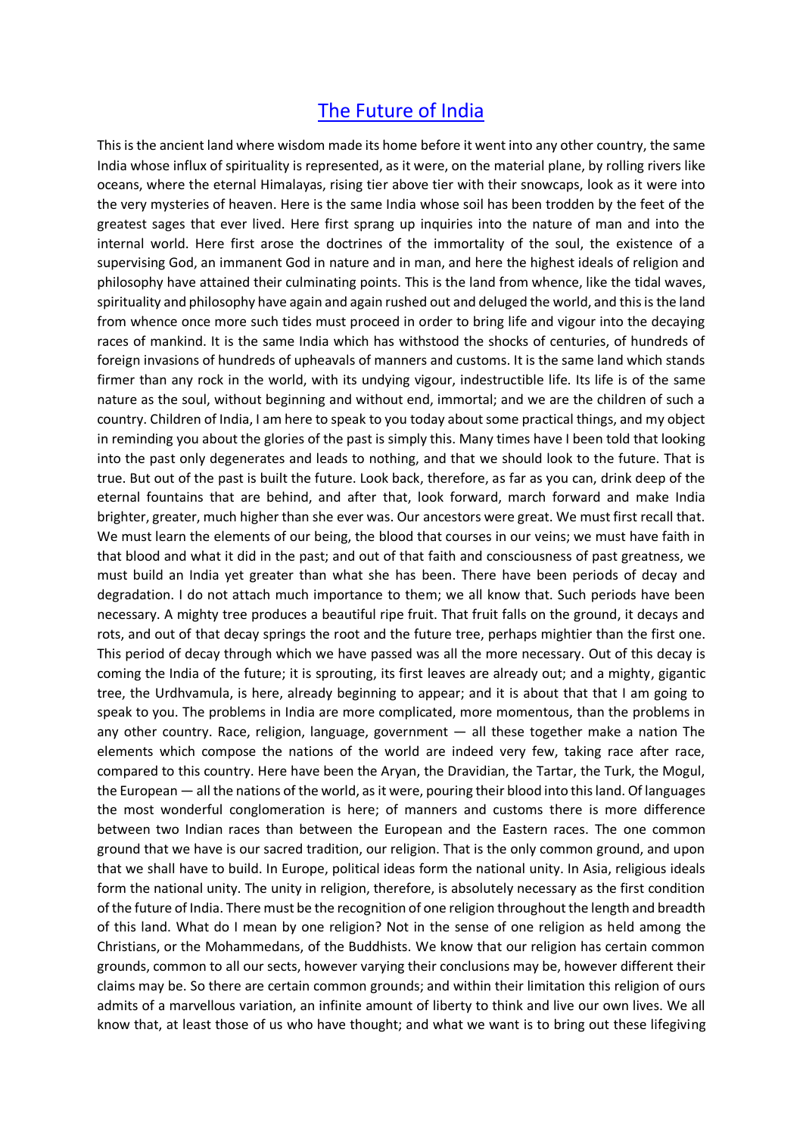# The Future of India

This is the ancient land where wisdom made its home before it went into any other country, the same India whose influx of spirituality is represented, as it were, on the material plane, by rolling rivers like oceans, where the eternal Himalayas, rising tier above tier with their snowcaps, look as it were into the very mysteries of heaven. Here is the same India whose soil has been trodden by the feet of the greatest sages that ever lived. Here first sprang up inquiries into the nature of man and into the internal world. Here first arose the doctrines of the immortality of the soul, the existence of a supervising God, an immanent God in nature and in man, and here the highest ideals of religion and philosophy have attained their culminating points. This is the land from whence, like the tidal waves, spirituality and philosophy have again and again rushed out and deluged the world, and this is the land from whence once more such tides must proceed in order to bring life and vigour into the decaying races of mankind. It is the same India which has withstood the shocks of centuries, of hundreds of foreign invasions of hundreds of upheavals of manners and customs. It is the same land which stands firmer than any rock in the world, with its undying vigour, indestructible life. Its life is of the same nature as the soul, without beginning and without end, immortal; and we are the children of such a country. Children of India, I am here to speak to you today about some practical things, and my object in reminding you about the glories of the past is simply this. Many times have I been told that looking into the past only degenerates and leads to nothing, and that we should look to the future. That is true. But out of the past is built the future. Look back, therefore, as far as you can, drink deep of the eternal fountains that are behind, and after that, look forward, march forward and make India brighter, greater, much higher than she ever was. Our ancestors were great. We must first recall that. We must learn the elements of our being, the blood that courses in our veins; we must have faith in that blood and what it did in the past; and out of that faith and consciousness of past greatness, we must build an India yet greater than what she has been. There have been periods of decay and degradation. I do not attach much importance to them; we all know that. Such periods have been necessary. A mighty tree produces a beautiful ripe fruit. That fruit falls on the ground, it decays and rots, and out of that decay springs the root and the future tree, perhaps mightier than the first one. This period of decay through which we have passed was all the more necessary. Out of this decay is coming the India of the future; it is sprouting, its first leaves are already out; and a mighty, gigantic tree, the Urdhvamula, is here, already beginning to appear; and it is about that that I am going to speak to you. The problems in India are more complicated, more momentous, than the problems in any other country. Race, religion, language, government — all these together make a nation The elements which compose the nations of the world are indeed very few, taking race after race, compared to this country. Here have been the Aryan, the Dravidian, the Tartar, the Turk, the Mogul, the European — all the nations of the world, as it were, pouring their blood into this land. Of languages the most wonderful conglomeration is here; of manners and customs there is more difference between two Indian races than between the European and the Eastern races. The one common ground that we have is our sacred tradition, our religion. That is the only common ground, and upon that we shall have to build. In Europe, political ideas form the national unity. In Asia, religious ideals form the national unity. The unity in religion, therefore, is absolutely necessary as the first condition of the future of India. There must be the recognition of one religion throughout the length and breadth of this land. What do I mean by one religion? Not in the sense of one religion as held among the Christians, or the Mohammedans, of the Buddhists. We know that our religion has certain common grounds, common to all our sects, however varying their conclusions may be, however different their claims may be. So there are certain common grounds; and within their limitation this religion of ours admits of a marvellous variation, an infinite amount of liberty to think and live our own lives. We all know that, at least those of us who have thought; and what we want is to bring out these lifegiving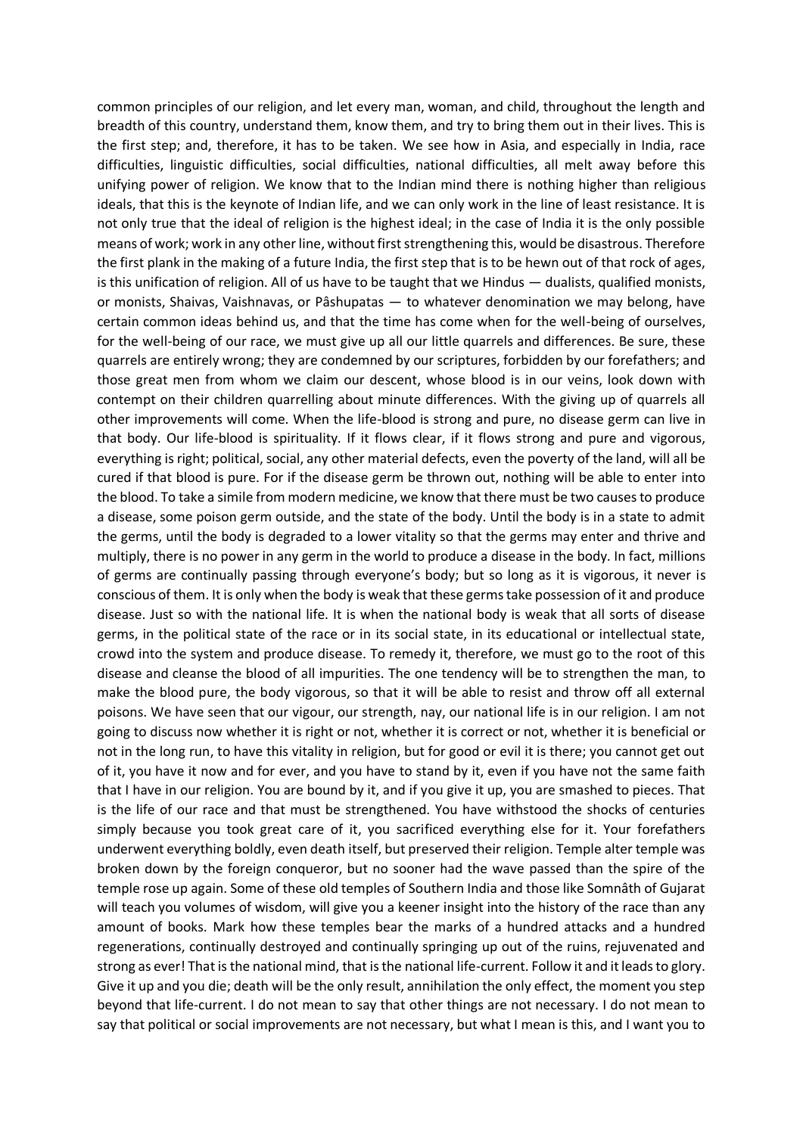common principles of our religion, and let every man, woman, and child, throughout the length and breadth of this country, understand them, know them, and try to bring them out in their lives. This is the first step; and, therefore, it has to be taken. We see how in Asia, and especially in India, race difficulties, linguistic difficulties, social difficulties, national difficulties, all melt away before this unifying power of religion. We know that to the Indian mind there is nothing higher than religious ideals, that this is the keynote of Indian life, and we can only work in the line of least resistance. It is not only true that the ideal of religion is the highest ideal; in the case of India it is the only possible means of work; work in any other line, without first strengthening this, would be disastrous. Therefore the first plank in the making of a future India, the first step that is to be hewn out of that rock of ages, is this unification of religion. All of us have to be taught that we Hindus — dualists, qualified monists, or monists, Shaivas, Vaishnavas, or Pâshupatas — to whatever denomination we may belong, have certain common ideas behind us, and that the time has come when for the well-being of ourselves, for the well-being of our race, we must give up all our little quarrels and differences. Be sure, these quarrels are entirely wrong; they are condemned by our scriptures, forbidden by our forefathers; and those great men from whom we claim our descent, whose blood is in our veins, look down with contempt on their children quarrelling about minute differences. With the giving up of quarrels all other improvements will come. When the life-blood is strong and pure, no disease germ can live in that body. Our life-blood is spirituality. If it flows clear, if it flows strong and pure and vigorous, everything is right; political, social, any other material defects, even the poverty of the land, will all be cured if that blood is pure. For if the disease germ be thrown out, nothing will be able to enter into the blood. To take a simile from modern medicine, we know that there must be two causes to produce a disease, some poison germ outside, and the state of the body. Until the body is in a state to admit the germs, until the body is degraded to a lower vitality so that the germs may enter and thrive and multiply, there is no power in any germ in the world to produce a disease in the body. In fact, millions of germs are continually passing through everyone's body; but so long as it is vigorous, it never is conscious of them. It is only when the body is weak that these germs take possession of it and produce disease. Just so with the national life. It is when the national body is weak that all sorts of disease germs, in the political state of the race or in its social state, in its educational or intellectual state, crowd into the system and produce disease. To remedy it, therefore, we must go to the root of this disease and cleanse the blood of all impurities. The one tendency will be to strengthen the man, to make the blood pure, the body vigorous, so that it will be able to resist and throw off all external poisons. We have seen that our vigour, our strength, nay, our national life is in our religion. I am not going to discuss now whether it is right or not, whether it is correct or not, whether it is beneficial or not in the long run, to have this vitality in religion, but for good or evil it is there; you cannot get out of it, you have it now and for ever, and you have to stand by it, even if you have not the same faith that I have in our religion. You are bound by it, and if you give it up, you are smashed to pieces. That is the life of our race and that must be strengthened. You have withstood the shocks of centuries simply because you took great care of it, you sacrificed everything else for it. Your forefathers underwent everything boldly, even death itself, but preserved their religion. Temple alter temple was broken down by the foreign conqueror, but no sooner had the wave passed than the spire of the temple rose up again. Some of these old temples of Southern India and those like Somnâth of Gujarat will teach you volumes of wisdom, will give you a keener insight into the history of the race than any amount of books. Mark how these temples bear the marks of a hundred attacks and a hundred regenerations, continually destroyed and continually springing up out of the ruins, rejuvenated and strong as ever! That is the national mind, that is the national life-current. Follow it and it leads to glory. Give it up and you die; death will be the only result, annihilation the only effect, the moment you step beyond that life-current. I do not mean to say that other things are not necessary. I do not mean to say that political or social improvements are not necessary, but what I mean is this, and I want you to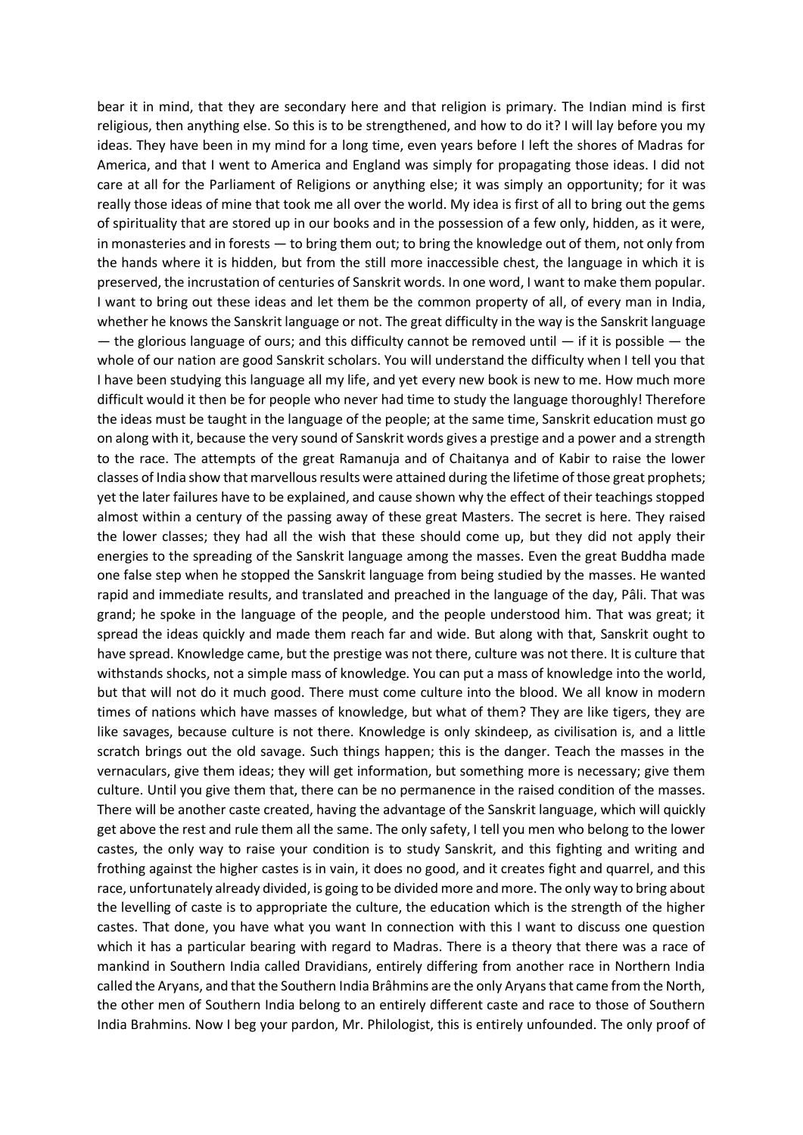bear it in mind, that they are secondary here and that religion is primary. The Indian mind is first religious, then anything else. So this is to be strengthened, and how to do it? I will lay before you my ideas. They have been in my mind for a long time, even years before I left the shores of Madras for America, and that I went to America and England was simply for propagating those ideas. I did not care at all for the Parliament of Religions or anything else; it was simply an opportunity; for it was really those ideas of mine that took me all over the world. My idea is first of all to bring out the gems of spirituality that are stored up in our books and in the possession of a few only, hidden, as it were, in monasteries and in forests — to bring them out; to bring the knowledge out of them, not only from the hands where it is hidden, but from the still more inaccessible chest, the language in which it is preserved, the incrustation of centuries of Sanskrit words. In one word, I want to make them popular. I want to bring out these ideas and let them be the common property of all, of every man in India, whether he knows the Sanskrit language or not. The great difficulty in the way is the Sanskrit language — the glorious language of ours; and this difficulty cannot be removed until  $-$  if it is possible  $-$  the whole of our nation are good Sanskrit scholars. You will understand the difficulty when I tell you that I have been studying this language all my life, and yet every new book is new to me. How much more difficult would it then be for people who never had time to study the language thoroughly! Therefore the ideas must be taught in the language of the people; at the same time, Sanskrit education must go on along with it, because the very sound of Sanskrit words gives a prestige and a power and a strength to the race. The attempts of the great Ramanuja and of Chaitanya and of Kabir to raise the lower classes of India show that marvellous results were attained during the lifetime of those great prophets; yet the later failures have to be explained, and cause shown why the effect of their teachings stopped almost within a century of the passing away of these great Masters. The secret is here. They raised the lower classes; they had all the wish that these should come up, but they did not apply their energies to the spreading of the Sanskrit language among the masses. Even the great Buddha made one false step when he stopped the Sanskrit language from being studied by the masses. He wanted rapid and immediate results, and translated and preached in the language of the day, Pâli. That was grand; he spoke in the language of the people, and the people understood him. That was great; it spread the ideas quickly and made them reach far and wide. But along with that, Sanskrit ought to have spread. Knowledge came, but the prestige was not there, culture was not there. It is culture that withstands shocks, not a simple mass of knowledge. You can put a mass of knowledge into the world, but that will not do it much good. There must come culture into the blood. We all know in modern times of nations which have masses of knowledge, but what of them? They are like tigers, they are like savages, because culture is not there. Knowledge is only skindeep, as civilisation is, and a little scratch brings out the old savage. Such things happen; this is the danger. Teach the masses in the vernaculars, give them ideas; they will get information, but something more is necessary; give them culture. Until you give them that, there can be no permanence in the raised condition of the masses. There will be another caste created, having the advantage of the Sanskrit language, which will quickly get above the rest and rule them all the same. The only safety, I tell you men who belong to the lower castes, the only way to raise your condition is to study Sanskrit, and this fighting and writing and frothing against the higher castes is in vain, it does no good, and it creates fight and quarrel, and this race, unfortunately already divided, is going to be divided more and more. The only way to bring about the levelling of caste is to appropriate the culture, the education which is the strength of the higher castes. That done, you have what you want In connection with this I want to discuss one question which it has a particular bearing with regard to Madras. There is a theory that there was a race of mankind in Southern India called Dravidians, entirely differing from another race in Northern India called the Aryans, and that the Southern India Brâhmins are the only Aryans that came from the North, the other men of Southern India belong to an entirely different caste and race to those of Southern India Brahmins. Now I beg your pardon, Mr. Philologist, this is entirely unfounded. The only proof of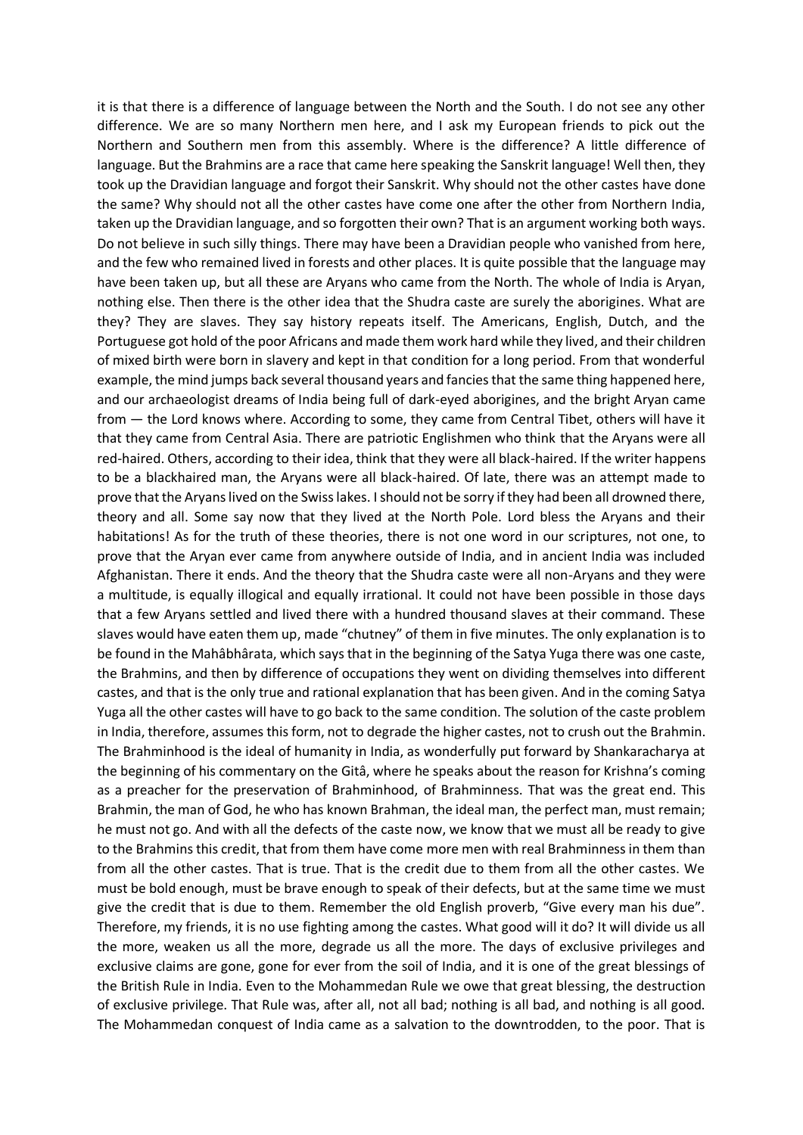it is that there is a difference of language between the North and the South. I do not see any other difference. We are so many Northern men here, and I ask my European friends to pick out the Northern and Southern men from this assembly. Where is the difference? A little difference of language. But the Brahmins are a race that came here speaking the Sanskrit language! Well then, they took up the Dravidian language and forgot their Sanskrit. Why should not the other castes have done the same? Why should not all the other castes have come one after the other from Northern India, taken up the Dravidian language, and so forgotten their own? That is an argument working both ways. Do not believe in such silly things. There may have been a Dravidian people who vanished from here, and the few who remained lived in forests and other places. It is quite possible that the language may have been taken up, but all these are Aryans who came from the North. The whole of India is Aryan, nothing else. Then there is the other idea that the Shudra caste are surely the aborigines. What are they? They are slaves. They say history repeats itself. The Americans, English, Dutch, and the Portuguese got hold of the poor Africans and made them work hard while they lived, and their children of mixed birth were born in slavery and kept in that condition for a long period. From that wonderful example, the mind jumps back several thousand years and fancies that the same thing happened here, and our archaeologist dreams of India being full of dark-eyed aborigines, and the bright Aryan came from — the Lord knows where. According to some, they came from Central Tibet, others will have it that they came from Central Asia. There are patriotic Englishmen who think that the Aryans were all red-haired. Others, according to their idea, think that they were all black-haired. If the writer happens to be a blackhaired man, the Aryans were all black-haired. Of late, there was an attempt made to prove that the Aryans lived on the Swiss lakes. I should not be sorry if they had been all drowned there, theory and all. Some say now that they lived at the North Pole. Lord bless the Aryans and their habitations! As for the truth of these theories, there is not one word in our scriptures, not one, to prove that the Aryan ever came from anywhere outside of India, and in ancient India was included Afghanistan. There it ends. And the theory that the Shudra caste were all non-Aryans and they were a multitude, is equally illogical and equally irrational. It could not have been possible in those days that a few Aryans settled and lived there with a hundred thousand slaves at their command. These slaves would have eaten them up, made "chutney" of them in five minutes. The only explanation is to be found in the Mahâbhârata, which says that in the beginning of the Satya Yuga there was one caste, the Brahmins, and then by difference of occupations they went on dividing themselves into different castes, and that is the only true and rational explanation that has been given. And in the coming Satya Yuga all the other castes will have to go back to the same condition. The solution of the caste problem in India, therefore, assumes this form, not to degrade the higher castes, not to crush out the Brahmin. The Brahminhood is the ideal of humanity in India, as wonderfully put forward by Shankaracharya at the beginning of his commentary on the Gitâ, where he speaks about the reason for Krishna's coming as a preacher for the preservation of Brahminhood, of Brahminness. That was the great end. This Brahmin, the man of God, he who has known Brahman, the ideal man, the perfect man, must remain; he must not go. And with all the defects of the caste now, we know that we must all be ready to give to the Brahmins this credit, that from them have come more men with real Brahminness in them than from all the other castes. That is true. That is the credit due to them from all the other castes. We must be bold enough, must be brave enough to speak of their defects, but at the same time we must give the credit that is due to them. Remember the old English proverb, "Give every man his due". Therefore, my friends, it is no use fighting among the castes. What good will it do? It will divide us all the more, weaken us all the more, degrade us all the more. The days of exclusive privileges and exclusive claims are gone, gone for ever from the soil of India, and it is one of the great blessings of the British Rule in India. Even to the Mohammedan Rule we owe that great blessing, the destruction of exclusive privilege. That Rule was, after all, not all bad; nothing is all bad, and nothing is all good. The Mohammedan conquest of India came as a salvation to the downtrodden, to the poor. That is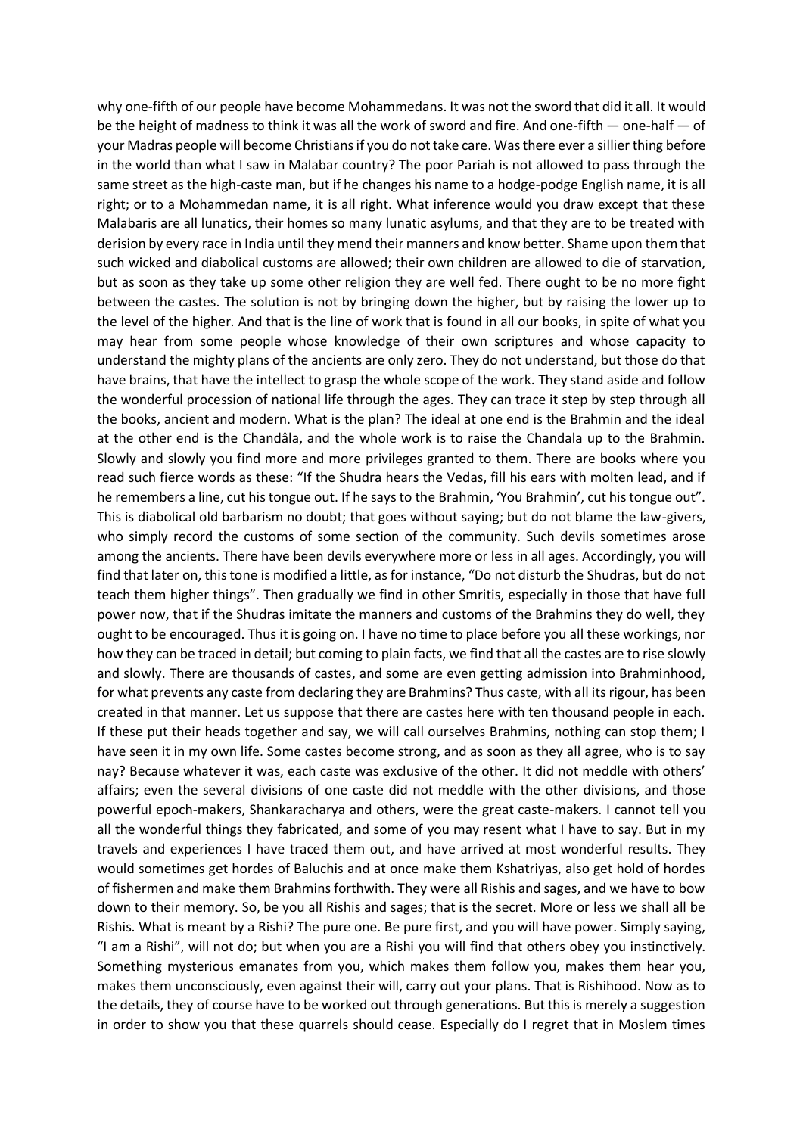why one-fifth of our people have become Mohammedans. It was not the sword that did it all. It would be the height of madness to think it was all the work of sword and fire. And one-fifth — one-half — of your Madras people will become Christians if you do not take care. Was there ever a sillier thing before in the world than what I saw in Malabar country? The poor Pariah is not allowed to pass through the same street as the high-caste man, but if he changes his name to a hodge-podge English name, it is all right; or to a Mohammedan name, it is all right. What inference would you draw except that these Malabaris are all lunatics, their homes so many lunatic asylums, and that they are to be treated with derision by every race in India until they mend their manners and know better. Shame upon them that such wicked and diabolical customs are allowed; their own children are allowed to die of starvation, but as soon as they take up some other religion they are well fed. There ought to be no more fight between the castes. The solution is not by bringing down the higher, but by raising the lower up to the level of the higher. And that is the line of work that is found in all our books, in spite of what you may hear from some people whose knowledge of their own scriptures and whose capacity to understand the mighty plans of the ancients are only zero. They do not understand, but those do that have brains, that have the intellect to grasp the whole scope of the work. They stand aside and follow the wonderful procession of national life through the ages. They can trace it step by step through all the books, ancient and modern. What is the plan? The ideal at one end is the Brahmin and the ideal at the other end is the Chandâla, and the whole work is to raise the Chandala up to the Brahmin. Slowly and slowly you find more and more privileges granted to them. There are books where you read such fierce words as these: "If the Shudra hears the Vedas, fill his ears with molten lead, and if he remembers a line, cut his tongue out. If he says to the Brahmin, 'You Brahmin', cut his tongue out". This is diabolical old barbarism no doubt; that goes without saying; but do not blame the law-givers, who simply record the customs of some section of the community. Such devils sometimes arose among the ancients. There have been devils everywhere more or less in all ages. Accordingly, you will find that later on, this tone is modified a little, as for instance, "Do not disturb the Shudras, but do not teach them higher things". Then gradually we find in other Smritis, especially in those that have full power now, that if the Shudras imitate the manners and customs of the Brahmins they do well, they ought to be encouraged. Thus it is going on. I have no time to place before you all these workings, nor how they can be traced in detail; but coming to plain facts, we find that all the castes are to rise slowly and slowly. There are thousands of castes, and some are even getting admission into Brahminhood, for what prevents any caste from declaring they are Brahmins? Thus caste, with all its rigour, has been created in that manner. Let us suppose that there are castes here with ten thousand people in each. If these put their heads together and say, we will call ourselves Brahmins, nothing can stop them; I have seen it in my own life. Some castes become strong, and as soon as they all agree, who is to say nay? Because whatever it was, each caste was exclusive of the other. It did not meddle with others' affairs; even the several divisions of one caste did not meddle with the other divisions, and those powerful epoch-makers, Shankaracharya and others, were the great caste-makers. I cannot tell you all the wonderful things they fabricated, and some of you may resent what I have to say. But in my travels and experiences I have traced them out, and have arrived at most wonderful results. They would sometimes get hordes of Baluchis and at once make them Kshatriyas, also get hold of hordes of fishermen and make them Brahmins forthwith. They were all Rishis and sages, and we have to bow down to their memory. So, be you all Rishis and sages; that is the secret. More or less we shall all be Rishis. What is meant by a Rishi? The pure one. Be pure first, and you will have power. Simply saying, "I am a Rishi", will not do; but when you are a Rishi you will find that others obey you instinctively. Something mysterious emanates from you, which makes them follow you, makes them hear you, makes them unconsciously, even against their will, carry out your plans. That is Rishihood. Now as to the details, they of course have to be worked out through generations. But this is merely a suggestion in order to show you that these quarrels should cease. Especially do I regret that in Moslem times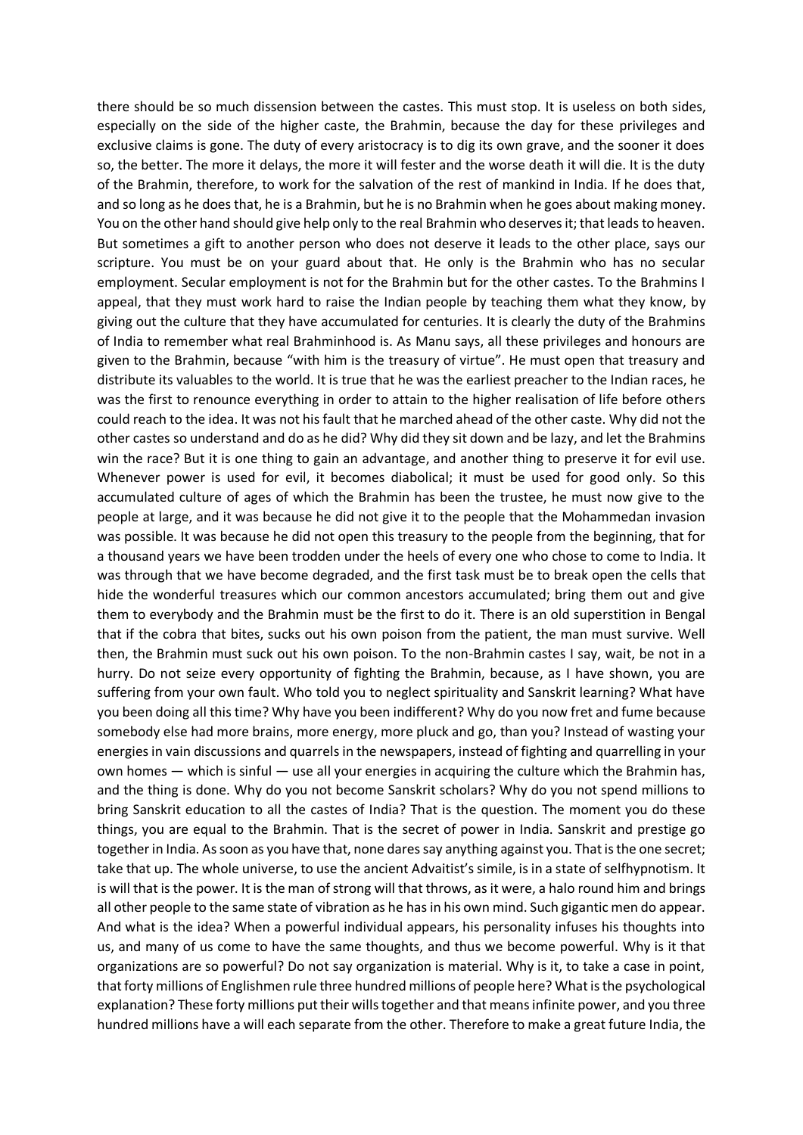there should be so much dissension between the castes. This must stop. It is useless on both sides, especially on the side of the higher caste, the Brahmin, because the day for these privileges and exclusive claims is gone. The duty of every aristocracy is to dig its own grave, and the sooner it does so, the better. The more it delays, the more it will fester and the worse death it will die. It is the duty of the Brahmin, therefore, to work for the salvation of the rest of mankind in India. If he does that, and so long as he does that, he is a Brahmin, but he is no Brahmin when he goes about making money. You on the other hand should give help only to the real Brahmin who deserves it; that leads to heaven. But sometimes a gift to another person who does not deserve it leads to the other place, says our scripture. You must be on your guard about that. He only is the Brahmin who has no secular employment. Secular employment is not for the Brahmin but for the other castes. To the Brahmins I appeal, that they must work hard to raise the Indian people by teaching them what they know, by giving out the culture that they have accumulated for centuries. It is clearly the duty of the Brahmins of India to remember what real Brahminhood is. As Manu says, all these privileges and honours are given to the Brahmin, because "with him is the treasury of virtue". He must open that treasury and distribute its valuables to the world. It is true that he was the earliest preacher to the Indian races, he was the first to renounce everything in order to attain to the higher realisation of life before others could reach to the idea. It was not his fault that he marched ahead of the other caste. Why did not the other castes so understand and do as he did? Why did they sit down and be lazy, and let the Brahmins win the race? But it is one thing to gain an advantage, and another thing to preserve it for evil use. Whenever power is used for evil, it becomes diabolical; it must be used for good only. So this accumulated culture of ages of which the Brahmin has been the trustee, he must now give to the people at large, and it was because he did not give it to the people that the Mohammedan invasion was possible. It was because he did not open this treasury to the people from the beginning, that for a thousand years we have been trodden under the heels of every one who chose to come to India. It was through that we have become degraded, and the first task must be to break open the cells that hide the wonderful treasures which our common ancestors accumulated; bring them out and give them to everybody and the Brahmin must be the first to do it. There is an old superstition in Bengal that if the cobra that bites, sucks out his own poison from the patient, the man must survive. Well then, the Brahmin must suck out his own poison. To the non-Brahmin castes I say, wait, be not in a hurry. Do not seize every opportunity of fighting the Brahmin, because, as I have shown, you are suffering from your own fault. Who told you to neglect spirituality and Sanskrit learning? What have you been doing all this time? Why have you been indifferent? Why do you now fret and fume because somebody else had more brains, more energy, more pluck and go, than you? Instead of wasting your energies in vain discussions and quarrels in the newspapers, instead of fighting and quarrelling in your own homes — which is sinful — use all your energies in acquiring the culture which the Brahmin has, and the thing is done. Why do you not become Sanskrit scholars? Why do you not spend millions to bring Sanskrit education to all the castes of India? That is the question. The moment you do these things, you are equal to the Brahmin. That is the secret of power in India. Sanskrit and prestige go together in India. As soon as you have that, none dares say anything against you. That is the one secret; take that up. The whole universe, to use the ancient Advaitist's simile, is in a state of selfhypnotism. It is will that is the power. It is the man of strong will that throws, as it were, a halo round him and brings all other people to the same state of vibration as he has in his own mind. Such gigantic men do appear. And what is the idea? When a powerful individual appears, his personality infuses his thoughts into us, and many of us come to have the same thoughts, and thus we become powerful. Why is it that organizations are so powerful? Do not say organization is material. Why is it, to take a case in point, that forty millions of Englishmen rule three hundred millions of people here? What is the psychological explanation? These forty millions put their wills together and that means infinite power, and you three hundred millions have a will each separate from the other. Therefore to make a great future India, the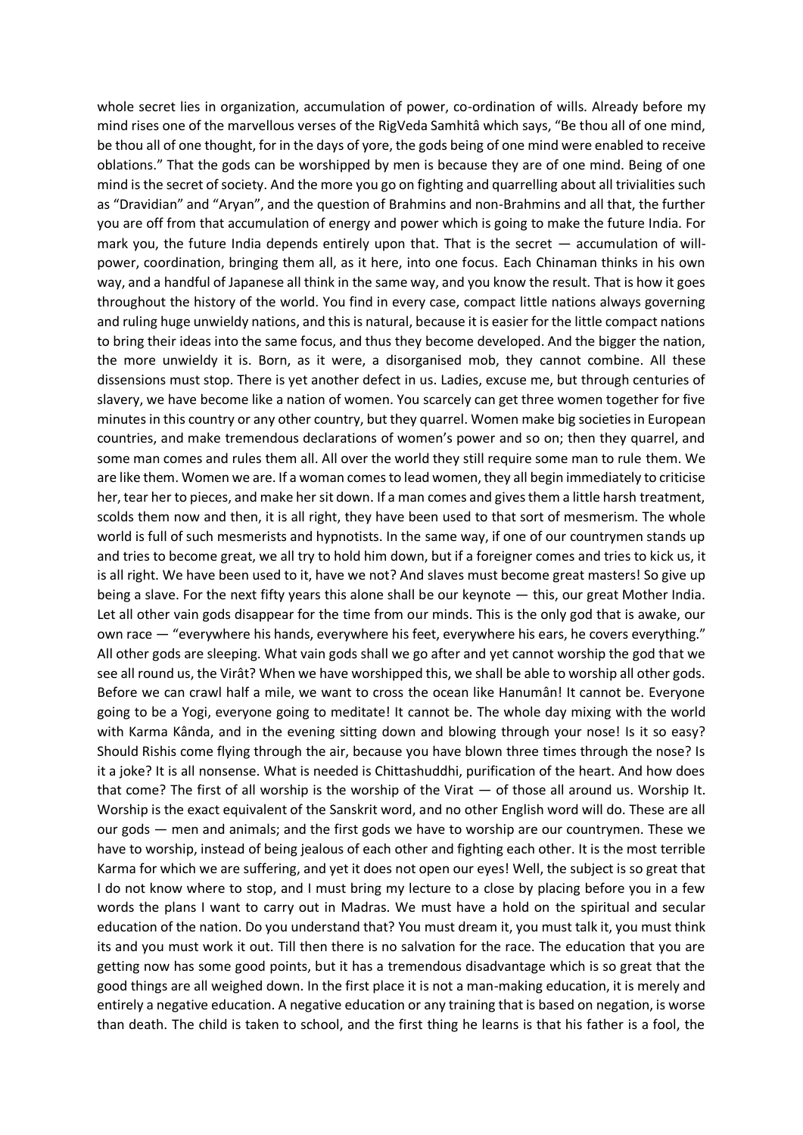whole secret lies in organization, accumulation of power, co-ordination of wills. Already before my mind rises one of the marvellous verses of the RigVeda Samhitâ which says, "Be thou all of one mind, be thou all of one thought, for in the days of yore, the gods being of one mind were enabled to receive oblations." That the gods can be worshipped by men is because they are of one mind. Being of one mind is the secret of society. And the more you go on fighting and quarrelling about all trivialities such as "Dravidian" and "Aryan", and the question of Brahmins and non-Brahmins and all that, the further you are off from that accumulation of energy and power which is going to make the future India. For mark you, the future India depends entirely upon that. That is the secret — accumulation of willpower, coordination, bringing them all, as it here, into one focus. Each Chinaman thinks in his own way, and a handful of Japanese all think in the same way, and you know the result. That is how it goes throughout the history of the world. You find in every case, compact little nations always governing and ruling huge unwieldy nations, and this is natural, because it is easier for the little compact nations to bring their ideas into the same focus, and thus they become developed. And the bigger the nation, the more unwieldy it is. Born, as it were, a disorganised mob, they cannot combine. All these dissensions must stop. There is yet another defect in us. Ladies, excuse me, but through centuries of slavery, we have become like a nation of women. You scarcely can get three women together for five minutes in this country or any other country, but they quarrel. Women make big societies in European countries, and make tremendous declarations of women's power and so on; then they quarrel, and some man comes and rules them all. All over the world they still require some man to rule them. We are like them. Women we are. If a woman comes to lead women, they all begin immediately to criticise her, tear her to pieces, and make her sit down. If a man comes and gives them a little harsh treatment, scolds them now and then, it is all right, they have been used to that sort of mesmerism. The whole world is full of such mesmerists and hypnotists. In the same way, if one of our countrymen stands up and tries to become great, we all try to hold him down, but if a foreigner comes and tries to kick us, it is all right. We have been used to it, have we not? And slaves must become great masters! So give up being a slave. For the next fifty years this alone shall be our keynote — this, our great Mother India. Let all other vain gods disappear for the time from our minds. This is the only god that is awake, our own race — "everywhere his hands, everywhere his feet, everywhere his ears, he covers everything." All other gods are sleeping. What vain gods shall we go after and yet cannot worship the god that we see all round us, the Virât? When we have worshipped this, we shall be able to worship all other gods. Before we can crawl half a mile, we want to cross the ocean like Hanumân! It cannot be. Everyone going to be a Yogi, everyone going to meditate! It cannot be. The whole day mixing with the world with Karma Kânda, and in the evening sitting down and blowing through your nose! Is it so easy? Should Rishis come flying through the air, because you have blown three times through the nose? Is it a joke? It is all nonsense. What is needed is Chittashuddhi, purification of the heart. And how does that come? The first of all worship is the worship of the Virat — of those all around us. Worship It. Worship is the exact equivalent of the Sanskrit word, and no other English word will do. These are all our gods — men and animals; and the first gods we have to worship are our countrymen. These we have to worship, instead of being jealous of each other and fighting each other. It is the most terrible Karma for which we are suffering, and yet it does not open our eyes! Well, the subject is so great that I do not know where to stop, and I must bring my lecture to a close by placing before you in a few words the plans I want to carry out in Madras. We must have a hold on the spiritual and secular education of the nation. Do you understand that? You must dream it, you must talk it, you must think its and you must work it out. Till then there is no salvation for the race. The education that you are getting now has some good points, but it has a tremendous disadvantage which is so great that the good things are all weighed down. In the first place it is not a man-making education, it is merely and entirely a negative education. A negative education or any training that is based on negation, is worse than death. The child is taken to school, and the first thing he learns is that his father is a fool, the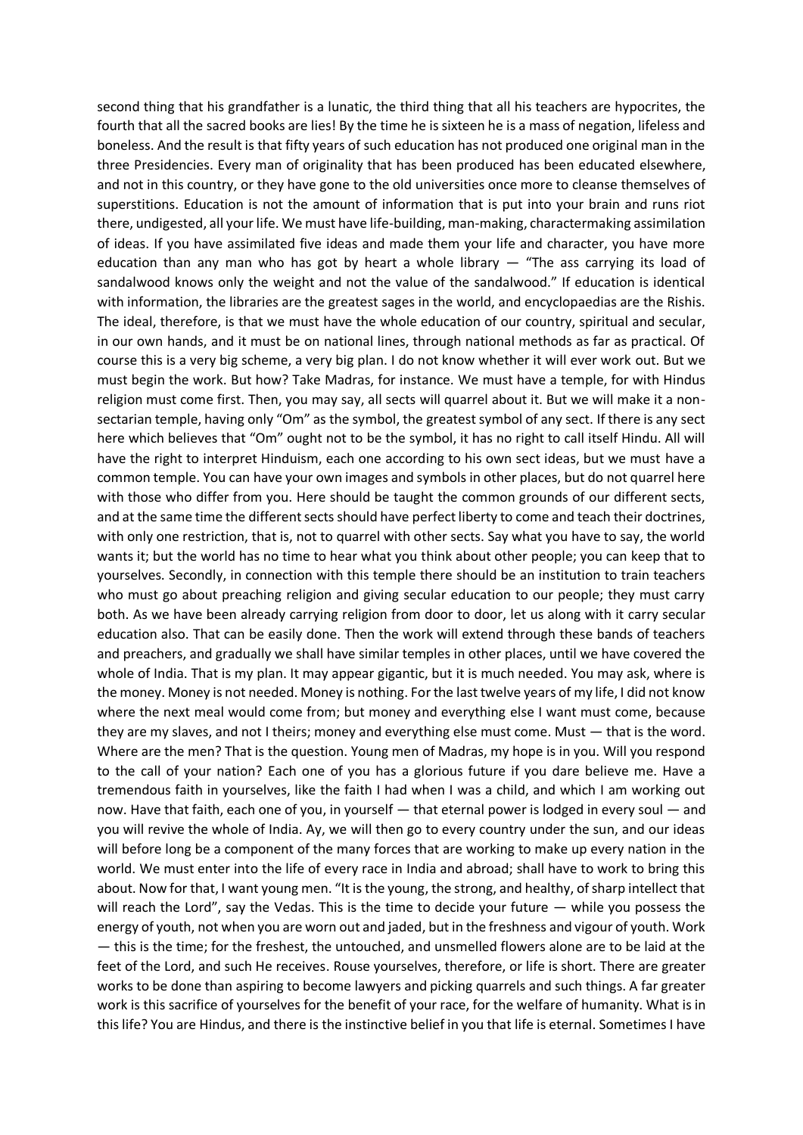second thing that his grandfather is a lunatic, the third thing that all his teachers are hypocrites, the fourth that all the sacred books are lies! By the time he is sixteen he is a mass of negation, lifeless and boneless. And the result is that fifty years of such education has not produced one original man in the three Presidencies. Every man of originality that has been produced has been educated elsewhere, and not in this country, or they have gone to the old universities once more to cleanse themselves of superstitions. Education is not the amount of information that is put into your brain and runs riot there, undigested, all your life. We must have life-building, man-making, charactermaking assimilation of ideas. If you have assimilated five ideas and made them your life and character, you have more education than any man who has got by heart a whole library  $-$  "The ass carrying its load of sandalwood knows only the weight and not the value of the sandalwood." If education is identical with information, the libraries are the greatest sages in the world, and encyclopaedias are the Rishis. The ideal, therefore, is that we must have the whole education of our country, spiritual and secular, in our own hands, and it must be on national lines, through national methods as far as practical. Of course this is a very big scheme, a very big plan. I do not know whether it will ever work out. But we must begin the work. But how? Take Madras, for instance. We must have a temple, for with Hindus religion must come first. Then, you may say, all sects will quarrel about it. But we will make it a nonsectarian temple, having only "Om" as the symbol, the greatest symbol of any sect. If there is any sect here which believes that "Om" ought not to be the symbol, it has no right to call itself Hindu. All will have the right to interpret Hinduism, each one according to his own sect ideas, but we must have a common temple. You can have your own images and symbols in other places, but do not quarrel here with those who differ from you. Here should be taught the common grounds of our different sects, and at the same time the different sects should have perfect liberty to come and teach their doctrines, with only one restriction, that is, not to quarrel with other sects. Say what you have to say, the world wants it; but the world has no time to hear what you think about other people; you can keep that to yourselves. Secondly, in connection with this temple there should be an institution to train teachers who must go about preaching religion and giving secular education to our people; they must carry both. As we have been already carrying religion from door to door, let us along with it carry secular education also. That can be easily done. Then the work will extend through these bands of teachers and preachers, and gradually we shall have similar temples in other places, until we have covered the whole of India. That is my plan. It may appear gigantic, but it is much needed. You may ask, where is the money. Money is not needed. Money is nothing. For the last twelve years of my life, I did not know where the next meal would come from; but money and everything else I want must come, because they are my slaves, and not I theirs; money and everything else must come. Must — that is the word. Where are the men? That is the question. Young men of Madras, my hope is in you. Will you respond to the call of your nation? Each one of you has a glorious future if you dare believe me. Have a tremendous faith in yourselves, like the faith I had when I was a child, and which I am working out now. Have that faith, each one of you, in yourself — that eternal power is lodged in every soul — and you will revive the whole of India. Ay, we will then go to every country under the sun, and our ideas will before long be a component of the many forces that are working to make up every nation in the world. We must enter into the life of every race in India and abroad; shall have to work to bring this about. Now for that, I want young men. "It is the young, the strong, and healthy, of sharp intellect that will reach the Lord", say the Vedas. This is the time to decide your future — while you possess the energy of youth, not when you are worn out and jaded, but in the freshness and vigour of youth. Work — this is the time; for the freshest, the untouched, and unsmelled flowers alone are to be laid at the feet of the Lord, and such He receives. Rouse yourselves, therefore, or life is short. There are greater works to be done than aspiring to become lawyers and picking quarrels and such things. A far greater work is this sacrifice of yourselves for the benefit of your race, for the welfare of humanity. What is in this life? You are Hindus, and there is the instinctive belief in you that life is eternal. Sometimes I have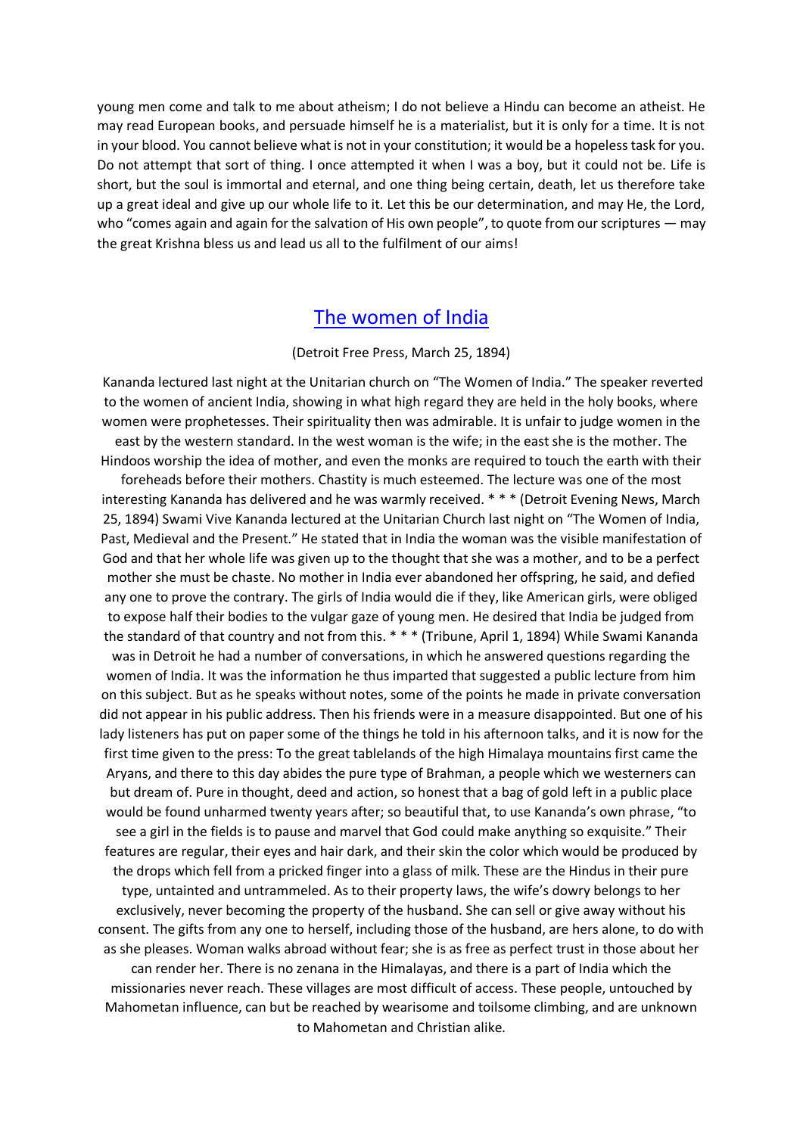young men come and talk to me about atheism; I do not believe a Hindu can become an atheist. He may read European books, and persuade himself he is a materialist, but it is only for a time. It is not in your blood. You cannot believe what is not in your constitution; it would be a hopeless task for you. Do not attempt that sort of thing. I once attempted it when I was a boy, but it could not be. Life is short, but the soul is immortal and eternal, and one thing being certain, death, let us therefore take up a great ideal and give up our whole life to it. Let this be our determination, and may He, the Lord, who "comes again and again for the salvation of His own people", to quote from our scriptures — may the great Krishna bless us and lead us all to the fulfilment of our aims!

## The women of India

#### (Detroit Free Press, March 25, 1894)

Kananda lectured last night at the Unitarian church on "The Women of India." The speaker reverted to the women of ancient India, showing in what high regard they are held in the holy books, where women were prophetesses. Their spirituality then was admirable. It is unfair to judge women in the east by the western standard. In the west woman is the wife; in the east she is the mother. The Hindoos worship the idea of mother, and even the monks are required to touch the earth with their

foreheads before their mothers. Chastity is much esteemed. The lecture was one of the most interesting Kananda has delivered and he was warmly received. \* \* \* (Detroit Evening News, March 25, 1894) Swami Vive Kananda lectured at the Unitarian Church last night on "The Women of India, Past, Medieval and the Present." He stated that in India the woman was the visible manifestation of God and that her whole life was given up to the thought that she was a mother, and to be a perfect mother she must be chaste. No mother in India ever abandoned her offspring, he said, and defied any one to prove the contrary. The girls of India would die if they, like American girls, were obliged to expose half their bodies to the vulgar gaze of young men. He desired that India be judged from the standard of that country and not from this. \* \* \* (Tribune, April 1, 1894) While Swami Kananda was in Detroit he had a number of conversations, in which he answered questions regarding the women of India. It was the information he thus imparted that suggested a public lecture from him on this subject. But as he speaks without notes, some of the points he made in private conversation did not appear in his public address. Then his friends were in a measure disappointed. But one of his lady listeners has put on paper some of the things he told in his afternoon talks, and it is now for the first time given to the press: To the great tablelands of the high Himalaya mountains first came the Aryans, and there to this day abides the pure type of Brahman, a people which we westerners can but dream of. Pure in thought, deed and action, so honest that a bag of gold left in a public place would be found unharmed twenty years after; so beautiful that, to use Kananda's own phrase, "to see a girl in the fields is to pause and marvel that God could make anything so exquisite." Their features are regular, their eyes and hair dark, and their skin the color which would be produced by the drops which fell from a pricked finger into a glass of milk. These are the Hindus in their pure type, untainted and untrammeled. As to their property laws, the wife's dowry belongs to her exclusively, never becoming the property of the husband. She can sell or give away without his consent. The gifts from any one to herself, including those of the husband, are hers alone, to do with as she pleases. Woman walks abroad without fear; she is as free as perfect trust in those about her can render her. There is no zenana in the Himalayas, and there is a part of India which the missionaries never reach. These villages are most difficult of access. These people, untouched by Mahometan influence, can but be reached by wearisome and toilsome climbing, and are unknown to Mahometan and Christian alike.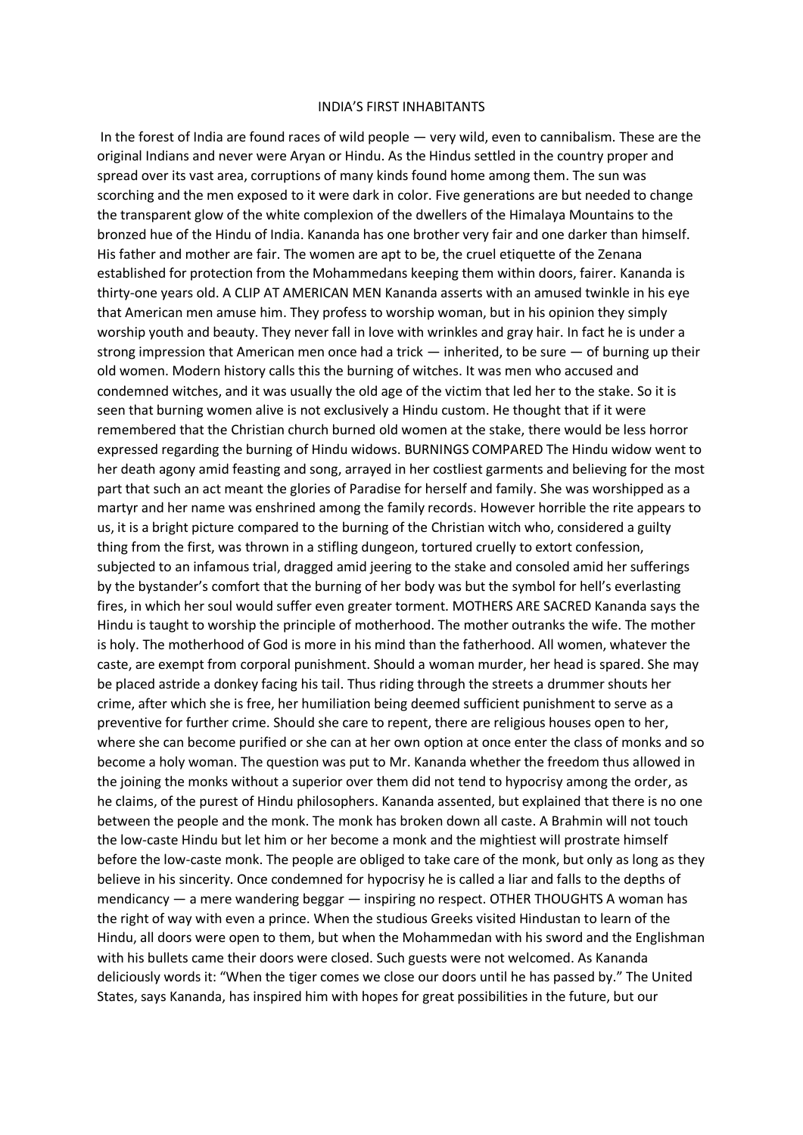#### INDIA'S FIRST INHABITANTS

In the forest of India are found races of wild people — very wild, even to cannibalism. These are the original Indians and never were Aryan or Hindu. As the Hindus settled in the country proper and spread over its vast area, corruptions of many kinds found home among them. The sun was scorching and the men exposed to it were dark in color. Five generations are but needed to change the transparent glow of the white complexion of the dwellers of the Himalaya Mountains to the bronzed hue of the Hindu of India. Kananda has one brother very fair and one darker than himself. His father and mother are fair. The women are apt to be, the cruel etiquette of the Zenana established for protection from the Mohammedans keeping them within doors, fairer. Kananda is thirty-one years old. A CLIP AT AMERICAN MEN Kananda asserts with an amused twinkle in his eye that American men amuse him. They profess to worship woman, but in his opinion they simply worship youth and beauty. They never fall in love with wrinkles and gray hair. In fact he is under a strong impression that American men once had a trick  $-$  inherited, to be sure  $-$  of burning up their old women. Modern history calls this the burning of witches. It was men who accused and condemned witches, and it was usually the old age of the victim that led her to the stake. So it is seen that burning women alive is not exclusively a Hindu custom. He thought that if it were remembered that the Christian church burned old women at the stake, there would be less horror expressed regarding the burning of Hindu widows. BURNINGS COMPARED The Hindu widow went to her death agony amid feasting and song, arrayed in her costliest garments and believing for the most part that such an act meant the glories of Paradise for herself and family. She was worshipped as a martyr and her name was enshrined among the family records. However horrible the rite appears to us, it is a bright picture compared to the burning of the Christian witch who, considered a guilty thing from the first, was thrown in a stifling dungeon, tortured cruelly to extort confession, subjected to an infamous trial, dragged amid jeering to the stake and consoled amid her sufferings by the bystander's comfort that the burning of her body was but the symbol for hell's everlasting fires, in which her soul would suffer even greater torment. MOTHERS ARE SACRED Kananda says the Hindu is taught to worship the principle of motherhood. The mother outranks the wife. The mother is holy. The motherhood of God is more in his mind than the fatherhood. All women, whatever the caste, are exempt from corporal punishment. Should a woman murder, her head is spared. She may be placed astride a donkey facing his tail. Thus riding through the streets a drummer shouts her crime, after which she is free, her humiliation being deemed sufficient punishment to serve as a preventive for further crime. Should she care to repent, there are religious houses open to her, where she can become purified or she can at her own option at once enter the class of monks and so become a holy woman. The question was put to Mr. Kananda whether the freedom thus allowed in the joining the monks without a superior over them did not tend to hypocrisy among the order, as he claims, of the purest of Hindu philosophers. Kananda assented, but explained that there is no one between the people and the monk. The monk has broken down all caste. A Brahmin will not touch the low-caste Hindu but let him or her become a monk and the mightiest will prostrate himself before the low-caste monk. The people are obliged to take care of the monk, but only as long as they believe in his sincerity. Once condemned for hypocrisy he is called a liar and falls to the depths of mendicancy — a mere wandering beggar — inspiring no respect. OTHER THOUGHTS A woman has the right of way with even a prince. When the studious Greeks visited Hindustan to learn of the Hindu, all doors were open to them, but when the Mohammedan with his sword and the Englishman with his bullets came their doors were closed. Such guests were not welcomed. As Kananda deliciously words it: "When the tiger comes we close our doors until he has passed by." The United States, says Kananda, has inspired him with hopes for great possibilities in the future, but our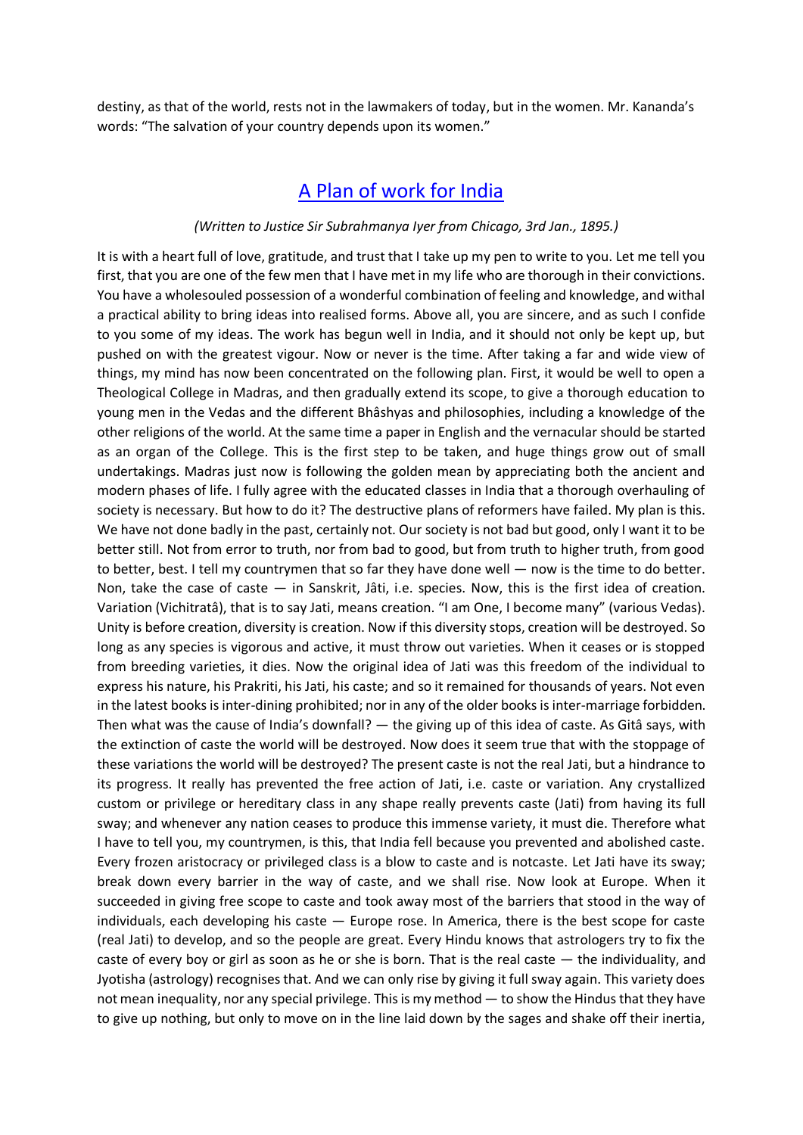destiny, as that of the world, rests not in the lawmakers of today, but in the women. Mr. Kananda's words: "The salvation of your country depends upon its women."

# A Plan of work for India

#### *(Written to Justice Sir Subrahmanya Iyer from Chicago, 3rd Jan., 1895.)*

It is with a heart full of love, gratitude, and trust that I take up my pen to write to you. Let me tell you first, that you are one of the few men that I have met in my life who are thorough in their convictions. You have a wholesouled possession of a wonderful combination of feeling and knowledge, and withal a practical ability to bring ideas into realised forms. Above all, you are sincere, and as such I confide to you some of my ideas. The work has begun well in India, and it should not only be kept up, but pushed on with the greatest vigour. Now or never is the time. After taking a far and wide view of things, my mind has now been concentrated on the following plan. First, it would be well to open a Theological College in Madras, and then gradually extend its scope, to give a thorough education to young men in the Vedas and the different Bhâshyas and philosophies, including a knowledge of the other religions of the world. At the same time a paper in English and the vernacular should be started as an organ of the College. This is the first step to be taken, and huge things grow out of small undertakings. Madras just now is following the golden mean by appreciating both the ancient and modern phases of life. I fully agree with the educated classes in India that a thorough overhauling of society is necessary. But how to do it? The destructive plans of reformers have failed. My plan is this. We have not done badly in the past, certainly not. Our society is not bad but good, only I want it to be better still. Not from error to truth, nor from bad to good, but from truth to higher truth, from good to better, best. I tell my countrymen that so far they have done well — now is the time to do better. Non, take the case of caste — in Sanskrit, Jâti, i.e. species. Now, this is the first idea of creation. Variation (Vichitratâ), that is to say Jati, means creation. "I am One, I become many" (various Vedas). Unity is before creation, diversity is creation. Now if this diversity stops, creation will be destroyed. So long as any species is vigorous and active, it must throw out varieties. When it ceases or is stopped from breeding varieties, it dies. Now the original idea of Jati was this freedom of the individual to express his nature, his Prakriti, his Jati, his caste; and so it remained for thousands of years. Not even in the latest books is inter-dining prohibited; nor in any of the older books is inter-marriage forbidden. Then what was the cause of India's downfall? — the giving up of this idea of caste. As Gitâ says, with the extinction of caste the world will be destroyed. Now does it seem true that with the stoppage of these variations the world will be destroyed? The present caste is not the real Jati, but a hindrance to its progress. It really has prevented the free action of Jati, i.e. caste or variation. Any crystallized custom or privilege or hereditary class in any shape really prevents caste (Jati) from having its full sway; and whenever any nation ceases to produce this immense variety, it must die. Therefore what I have to tell you, my countrymen, is this, that India fell because you prevented and abolished caste. Every frozen aristocracy or privileged class is a blow to caste and is notcaste. Let Jati have its sway; break down every barrier in the way of caste, and we shall rise. Now look at Europe. When it succeeded in giving free scope to caste and took away most of the barriers that stood in the way of individuals, each developing his caste — Europe rose. In America, there is the best scope for caste (real Jati) to develop, and so the people are great. Every Hindu knows that astrologers try to fix the caste of every boy or girl as soon as he or she is born. That is the real caste  $-$  the individuality, and Jyotisha (astrology) recognises that. And we can only rise by giving it full sway again. This variety does not mean inequality, nor any special privilege. This is my method — to show the Hindus that they have to give up nothing, but only to move on in the line laid down by the sages and shake off their inertia,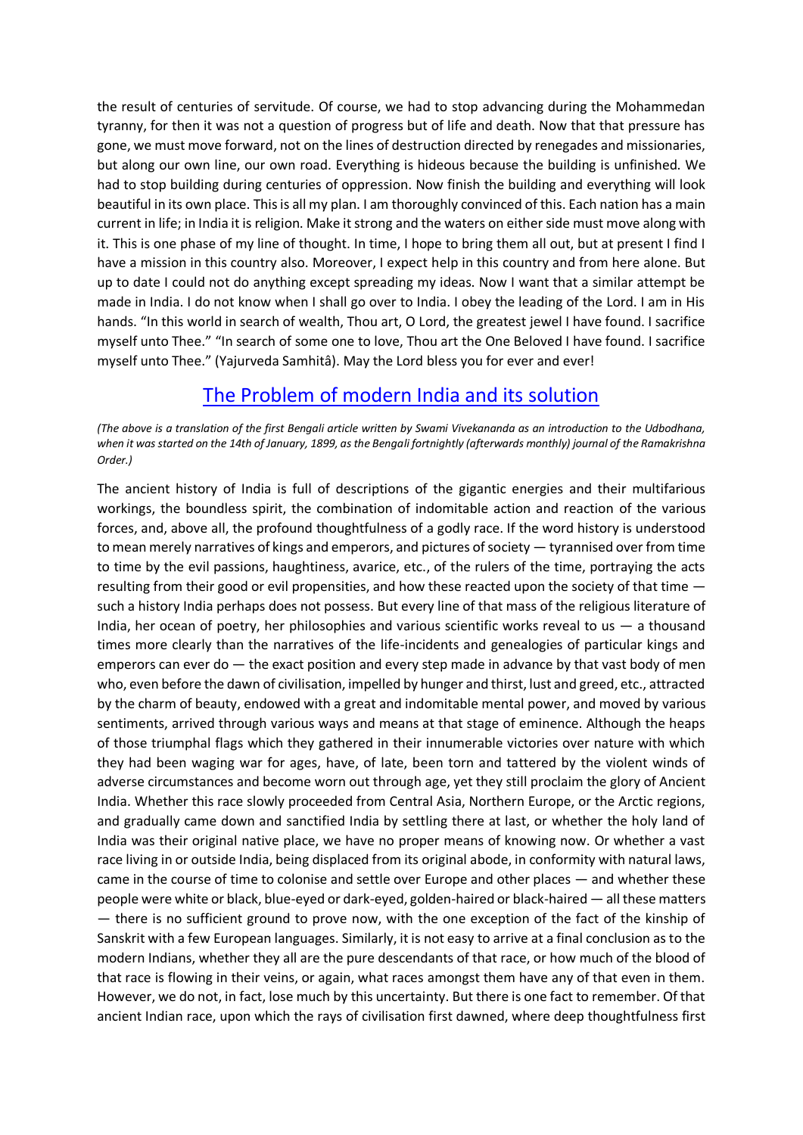the result of centuries of servitude. Of course, we had to stop advancing during the Mohammedan tyranny, for then it was not a question of progress but of life and death. Now that that pressure has gone, we must move forward, not on the lines of destruction directed by renegades and missionaries, but along our own line, our own road. Everything is hideous because the building is unfinished. We had to stop building during centuries of oppression. Now finish the building and everything will look beautiful in its own place. This is all my plan. I am thoroughly convinced of this. Each nation has a main current in life; in India it is religion. Make it strong and the waters on either side must move along with it. This is one phase of my line of thought. In time, I hope to bring them all out, but at present I find I have a mission in this country also. Moreover, I expect help in this country and from here alone. But up to date I could not do anything except spreading my ideas. Now I want that a similar attempt be made in India. I do not know when I shall go over to India. I obey the leading of the Lord. I am in His hands. "In this world in search of wealth, Thou art, O Lord, the greatest jewel I have found. I sacrifice myself unto Thee." "In search of some one to love, Thou art the One Beloved I have found. I sacrifice myself unto Thee." (Yajurveda Samhitâ). May the Lord bless you for ever and ever!

## The Problem of modern India and its solution

*(The above is a translation of the first Bengali article written by Swami Vivekananda as an introduction to the Udbodhana, when it was started on the 14th of January, 1899, as the Bengali fortnightly (afterwards monthly) journal of the Ramakrishna Order.)*

The ancient history of India is full of descriptions of the gigantic energies and their multifarious workings, the boundless spirit, the combination of indomitable action and reaction of the various forces, and, above all, the profound thoughtfulness of a godly race. If the word history is understood to mean merely narratives of kings and emperors, and pictures of society — tyrannised over from time to time by the evil passions, haughtiness, avarice, etc., of the rulers of the time, portraying the acts resulting from their good or evil propensities, and how these reacted upon the society of that time such a history India perhaps does not possess. But every line of that mass of the religious literature of India, her ocean of poetry, her philosophies and various scientific works reveal to us — a thousand times more clearly than the narratives of the life-incidents and genealogies of particular kings and emperors can ever do — the exact position and every step made in advance by that vast body of men who, even before the dawn of civilisation, impelled by hunger and thirst, lust and greed, etc., attracted by the charm of beauty, endowed with a great and indomitable mental power, and moved by various sentiments, arrived through various ways and means at that stage of eminence. Although the heaps of those triumphal flags which they gathered in their innumerable victories over nature with which they had been waging war for ages, have, of late, been torn and tattered by the violent winds of adverse circumstances and become worn out through age, yet they still proclaim the glory of Ancient India. Whether this race slowly proceeded from Central Asia, Northern Europe, or the Arctic regions, and gradually came down and sanctified India by settling there at last, or whether the holy land of India was their original native place, we have no proper means of knowing now. Or whether a vast race living in or outside India, being displaced from its original abode, in conformity with natural laws, came in the course of time to colonise and settle over Europe and other places — and whether these people were white or black, blue-eyed or dark-eyed, golden-haired or black-haired — all these matters — there is no sufficient ground to prove now, with the one exception of the fact of the kinship of Sanskrit with a few European languages. Similarly, it is not easy to arrive at a final conclusion as to the modern Indians, whether they all are the pure descendants of that race, or how much of the blood of that race is flowing in their veins, or again, what races amongst them have any of that even in them. However, we do not, in fact, lose much by this uncertainty. But there is one fact to remember. Of that ancient Indian race, upon which the rays of civilisation first dawned, where deep thoughtfulness first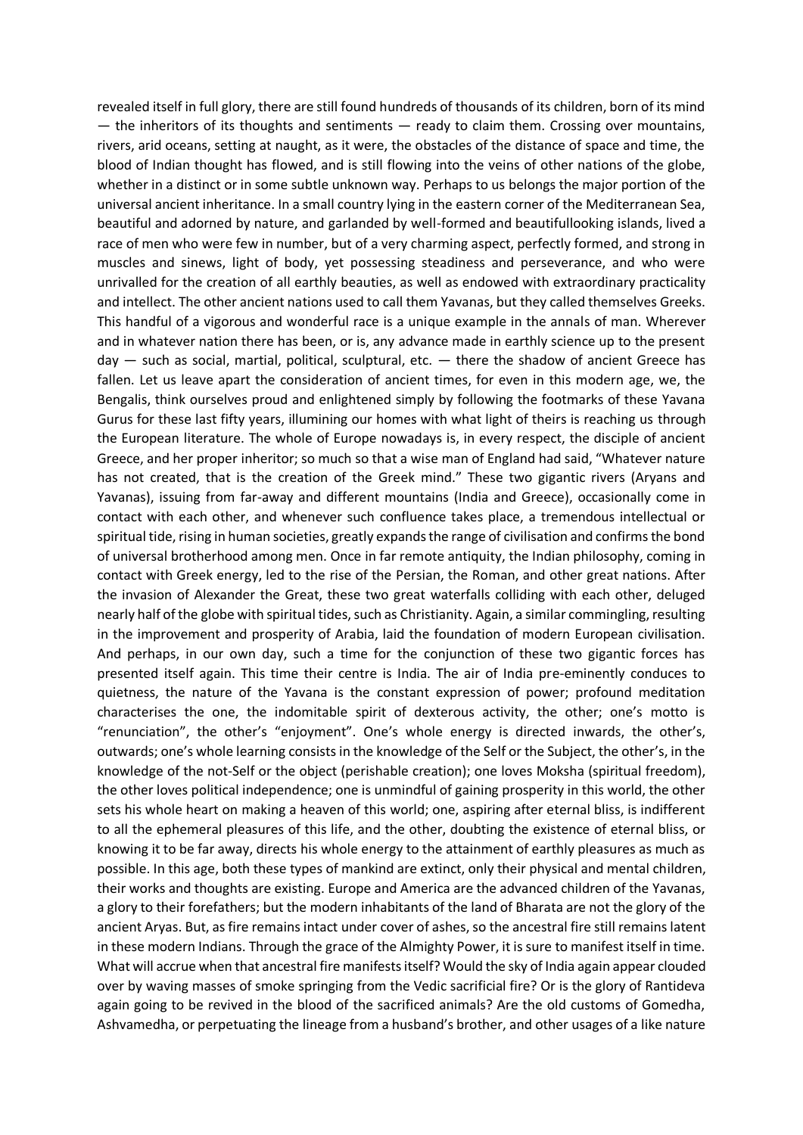revealed itself in full glory, there are still found hundreds of thousands of its children, born of its mind — the inheritors of its thoughts and sentiments — ready to claim them. Crossing over mountains, rivers, arid oceans, setting at naught, as it were, the obstacles of the distance of space and time, the blood of Indian thought has flowed, and is still flowing into the veins of other nations of the globe, whether in a distinct or in some subtle unknown way. Perhaps to us belongs the major portion of the universal ancient inheritance. In a small country lying in the eastern corner of the Mediterranean Sea, beautiful and adorned by nature, and garlanded by well-formed and beautifullooking islands, lived a race of men who were few in number, but of a very charming aspect, perfectly formed, and strong in muscles and sinews, light of body, yet possessing steadiness and perseverance, and who were unrivalled for the creation of all earthly beauties, as well as endowed with extraordinary practicality and intellect. The other ancient nations used to call them Yavanas, but they called themselves Greeks. This handful of a vigorous and wonderful race is a unique example in the annals of man. Wherever and in whatever nation there has been, or is, any advance made in earthly science up to the present day — such as social, martial, political, sculptural, etc. — there the shadow of ancient Greece has fallen. Let us leave apart the consideration of ancient times, for even in this modern age, we, the Bengalis, think ourselves proud and enlightened simply by following the footmarks of these Yavana Gurus for these last fifty years, illumining our homes with what light of theirs is reaching us through the European literature. The whole of Europe nowadays is, in every respect, the disciple of ancient Greece, and her proper inheritor; so much so that a wise man of England had said, "Whatever nature has not created, that is the creation of the Greek mind." These two gigantic rivers (Aryans and Yavanas), issuing from far-away and different mountains (India and Greece), occasionally come in contact with each other, and whenever such confluence takes place, a tremendous intellectual or spiritual tide, rising in human societies, greatly expands the range of civilisation and confirms the bond of universal brotherhood among men. Once in far remote antiquity, the Indian philosophy, coming in contact with Greek energy, led to the rise of the Persian, the Roman, and other great nations. After the invasion of Alexander the Great, these two great waterfalls colliding with each other, deluged nearly half of the globe with spiritual tides, such as Christianity. Again, a similar commingling, resulting in the improvement and prosperity of Arabia, laid the foundation of modern European civilisation. And perhaps, in our own day, such a time for the conjunction of these two gigantic forces has presented itself again. This time their centre is India. The air of India pre-eminently conduces to quietness, the nature of the Yavana is the constant expression of power; profound meditation characterises the one, the indomitable spirit of dexterous activity, the other; one's motto is "renunciation", the other's "enjoyment". One's whole energy is directed inwards, the other's, outwards; one's whole learning consists in the knowledge of the Self or the Subject, the other's, in the knowledge of the not-Self or the object (perishable creation); one loves Moksha (spiritual freedom), the other loves political independence; one is unmindful of gaining prosperity in this world, the other sets his whole heart on making a heaven of this world; one, aspiring after eternal bliss, is indifferent to all the ephemeral pleasures of this life, and the other, doubting the existence of eternal bliss, or knowing it to be far away, directs his whole energy to the attainment of earthly pleasures as much as possible. In this age, both these types of mankind are extinct, only their physical and mental children, their works and thoughts are existing. Europe and America are the advanced children of the Yavanas, a glory to their forefathers; but the modern inhabitants of the land of Bharata are not the glory of the ancient Aryas. But, as fire remains intact under cover of ashes, so the ancestral fire still remains latent in these modern Indians. Through the grace of the Almighty Power, it is sure to manifest itself in time. What will accrue when that ancestral fire manifests itself? Would the sky of India again appear clouded over by waving masses of smoke springing from the Vedic sacrificial fire? Or is the glory of Rantideva again going to be revived in the blood of the sacrificed animals? Are the old customs of Gomedha, Ashvamedha, or perpetuating the lineage from a husband's brother, and other usages of a like nature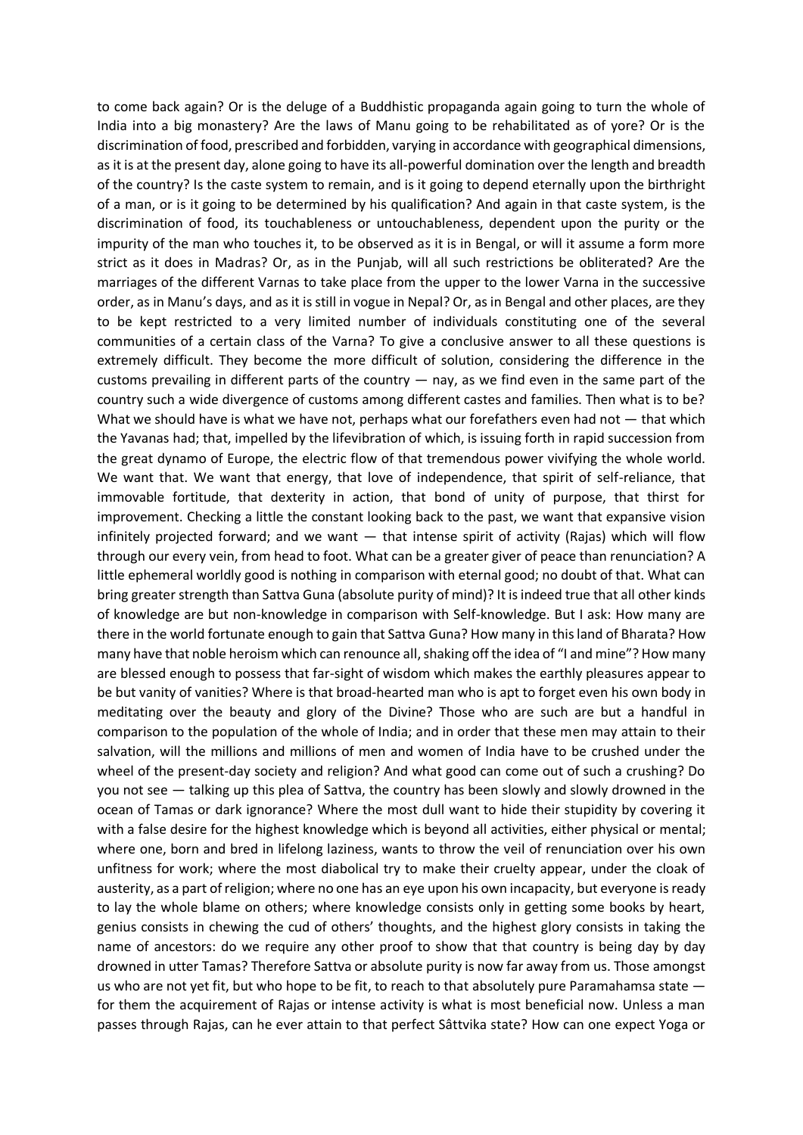to come back again? Or is the deluge of a Buddhistic propaganda again going to turn the whole of India into a big monastery? Are the laws of Manu going to be rehabilitated as of yore? Or is the discrimination of food, prescribed and forbidden, varying in accordance with geographical dimensions, as it is at the present day, alone going to have its all-powerful domination over the length and breadth of the country? Is the caste system to remain, and is it going to depend eternally upon the birthright of a man, or is it going to be determined by his qualification? And again in that caste system, is the discrimination of food, its touchableness or untouchableness, dependent upon the purity or the impurity of the man who touches it, to be observed as it is in Bengal, or will it assume a form more strict as it does in Madras? Or, as in the Punjab, will all such restrictions be obliterated? Are the marriages of the different Varnas to take place from the upper to the lower Varna in the successive order, as in Manu's days, and as it is still in vogue in Nepal? Or, as in Bengal and other places, are they to be kept restricted to a very limited number of individuals constituting one of the several communities of a certain class of the Varna? To give a conclusive answer to all these questions is extremely difficult. They become the more difficult of solution, considering the difference in the customs prevailing in different parts of the country — nay, as we find even in the same part of the country such a wide divergence of customs among different castes and families. Then what is to be? What we should have is what we have not, perhaps what our forefathers even had not  $-$  that which the Yavanas had; that, impelled by the lifevibration of which, is issuing forth in rapid succession from the great dynamo of Europe, the electric flow of that tremendous power vivifying the whole world. We want that. We want that energy, that love of independence, that spirit of self-reliance, that immovable fortitude, that dexterity in action, that bond of unity of purpose, that thirst for improvement. Checking a little the constant looking back to the past, we want that expansive vision infinitely projected forward; and we want  $-$  that intense spirit of activity (Rajas) which will flow through our every vein, from head to foot. What can be a greater giver of peace than renunciation? A little ephemeral worldly good is nothing in comparison with eternal good; no doubt of that. What can bring greater strength than Sattva Guna (absolute purity of mind)? It is indeed true that all other kinds of knowledge are but non-knowledge in comparison with Self-knowledge. But I ask: How many are there in the world fortunate enough to gain that Sattva Guna? How many in this land of Bharata? How many have that noble heroism which can renounce all, shaking off the idea of "I and mine"? How many are blessed enough to possess that far-sight of wisdom which makes the earthly pleasures appear to be but vanity of vanities? Where is that broad-hearted man who is apt to forget even his own body in meditating over the beauty and glory of the Divine? Those who are such are but a handful in comparison to the population of the whole of India; and in order that these men may attain to their salvation, will the millions and millions of men and women of India have to be crushed under the wheel of the present-day society and religion? And what good can come out of such a crushing? Do you not see — talking up this plea of Sattva, the country has been slowly and slowly drowned in the ocean of Tamas or dark ignorance? Where the most dull want to hide their stupidity by covering it with a false desire for the highest knowledge which is beyond all activities, either physical or mental; where one, born and bred in lifelong laziness, wants to throw the veil of renunciation over his own unfitness for work; where the most diabolical try to make their cruelty appear, under the cloak of austerity, as a part of religion; where no one has an eye upon his own incapacity, but everyone is ready to lay the whole blame on others; where knowledge consists only in getting some books by heart, genius consists in chewing the cud of others' thoughts, and the highest glory consists in taking the name of ancestors: do we require any other proof to show that that country is being day by day drowned in utter Tamas? Therefore Sattva or absolute purity is now far away from us. Those amongst us who are not yet fit, but who hope to be fit, to reach to that absolutely pure Paramahamsa state for them the acquirement of Rajas or intense activity is what is most beneficial now. Unless a man passes through Rajas, can he ever attain to that perfect Sâttvika state? How can one expect Yoga or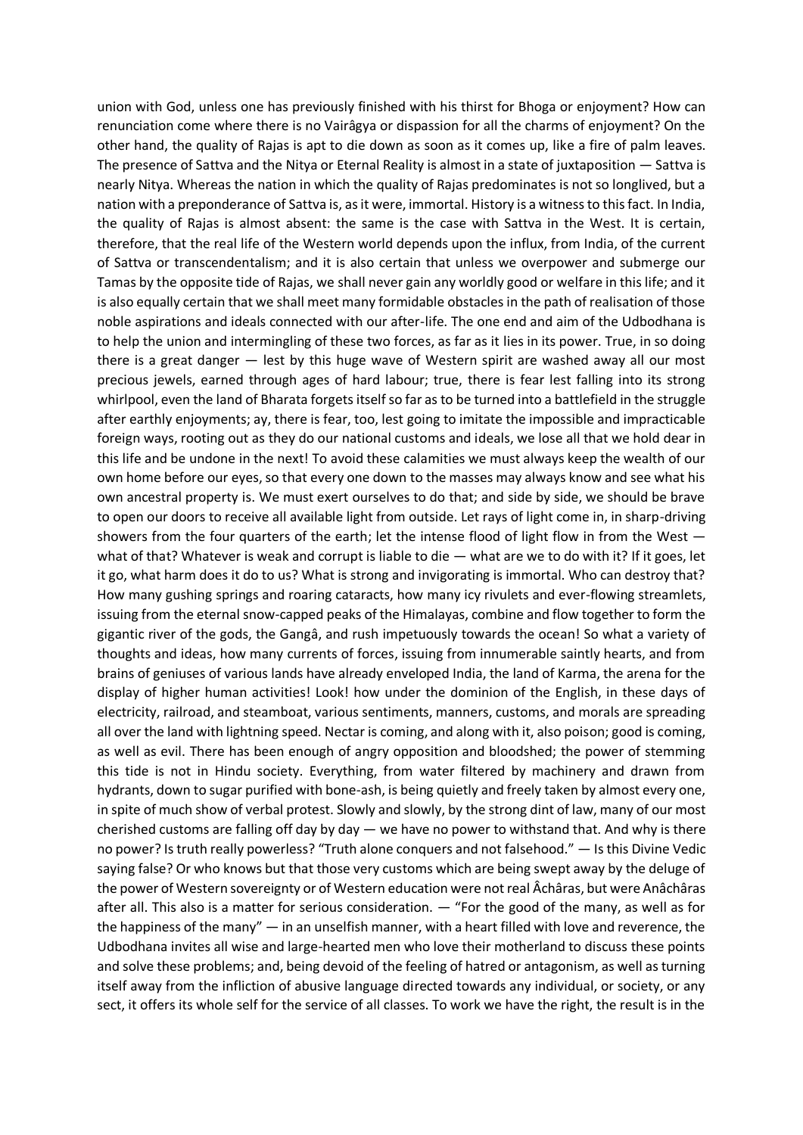union with God, unless one has previously finished with his thirst for Bhoga or enjoyment? How can renunciation come where there is no Vairâgya or dispassion for all the charms of enjoyment? On the other hand, the quality of Rajas is apt to die down as soon as it comes up, like a fire of palm leaves. The presence of Sattva and the Nitya or Eternal Reality is almost in a state of juxtaposition — Sattva is nearly Nitya. Whereas the nation in which the quality of Rajas predominates is not so longlived, but a nation with a preponderance of Sattva is, as it were, immortal. History is a witness to this fact. In India, the quality of Rajas is almost absent: the same is the case with Sattva in the West. It is certain, therefore, that the real life of the Western world depends upon the influx, from India, of the current of Sattva or transcendentalism; and it is also certain that unless we overpower and submerge our Tamas by the opposite tide of Rajas, we shall never gain any worldly good or welfare in this life; and it is also equally certain that we shall meet many formidable obstacles in the path of realisation of those noble aspirations and ideals connected with our after-life. The one end and aim of the Udbodhana is to help the union and intermingling of these two forces, as far as it lies in its power. True, in so doing there is a great danger — lest by this huge wave of Western spirit are washed away all our most precious jewels, earned through ages of hard labour; true, there is fear lest falling into its strong whirlpool, even the land of Bharata forgets itself so far as to be turned into a battlefield in the struggle after earthly enjoyments; ay, there is fear, too, lest going to imitate the impossible and impracticable foreign ways, rooting out as they do our national customs and ideals, we lose all that we hold dear in this life and be undone in the next! To avoid these calamities we must always keep the wealth of our own home before our eyes, so that every one down to the masses may always know and see what his own ancestral property is. We must exert ourselves to do that; and side by side, we should be brave to open our doors to receive all available light from outside. Let rays of light come in, in sharp-driving showers from the four quarters of the earth; let the intense flood of light flow in from the West what of that? Whatever is weak and corrupt is liable to die — what are we to do with it? If it goes, let it go, what harm does it do to us? What is strong and invigorating is immortal. Who can destroy that? How many gushing springs and roaring cataracts, how many icy rivulets and ever-flowing streamlets, issuing from the eternal snow-capped peaks of the Himalayas, combine and flow together to form the gigantic river of the gods, the Gangâ, and rush impetuously towards the ocean! So what a variety of thoughts and ideas, how many currents of forces, issuing from innumerable saintly hearts, and from brains of geniuses of various lands have already enveloped India, the land of Karma, the arena for the display of higher human activities! Look! how under the dominion of the English, in these days of electricity, railroad, and steamboat, various sentiments, manners, customs, and morals are spreading all over the land with lightning speed. Nectar is coming, and along with it, also poison; good is coming, as well as evil. There has been enough of angry opposition and bloodshed; the power of stemming this tide is not in Hindu society. Everything, from water filtered by machinery and drawn from hydrants, down to sugar purified with bone-ash, is being quietly and freely taken by almost every one, in spite of much show of verbal protest. Slowly and slowly, by the strong dint of law, many of our most cherished customs are falling off day by day  $-$  we have no power to withstand that. And why is there no power? Is truth really powerless? "Truth alone conquers and not falsehood." — Is this Divine Vedic saying false? Or who knows but that those very customs which are being swept away by the deluge of the power of Western sovereignty or of Western education were not real Âchâras, but were Anâchâras after all. This also is a matter for serious consideration. — "For the good of the many, as well as for the happiness of the many" — in an unselfish manner, with a heart filled with love and reverence, the Udbodhana invites all wise and large-hearted men who love their motherland to discuss these points and solve these problems; and, being devoid of the feeling of hatred or antagonism, as well as turning itself away from the infliction of abusive language directed towards any individual, or society, or any sect, it offers its whole self for the service of all classes. To work we have the right, the result is in the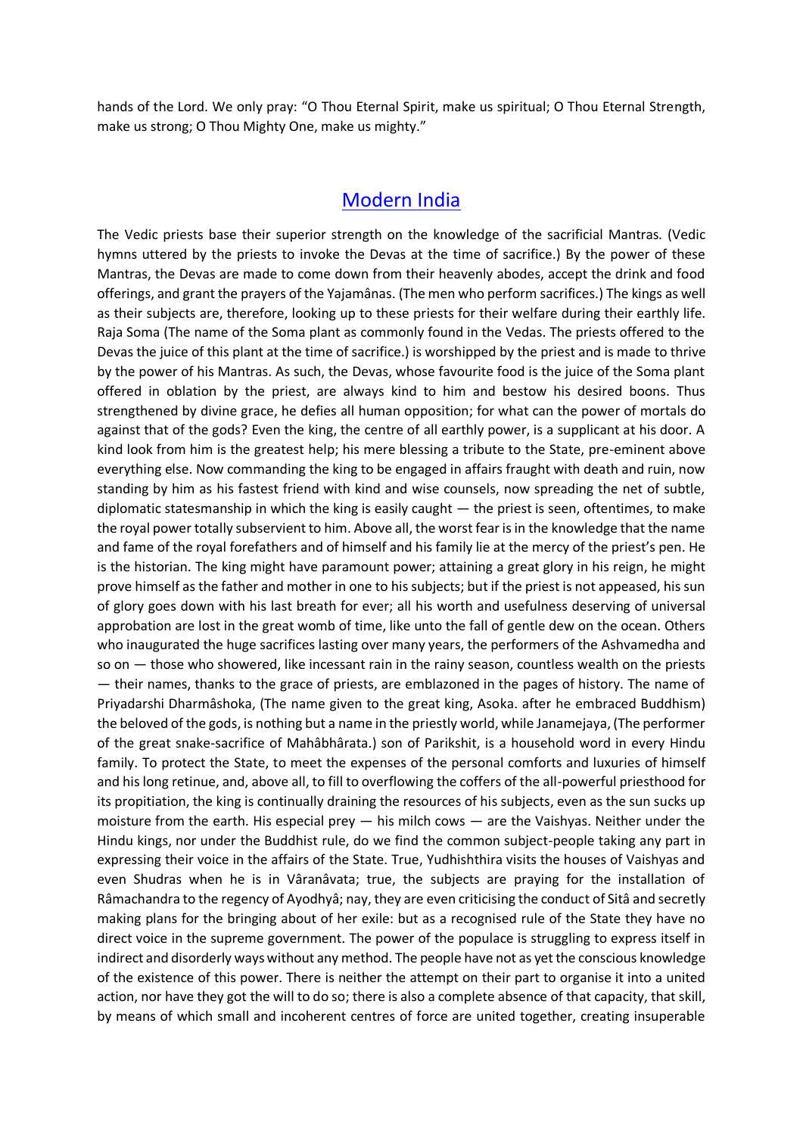hands of the Lord. We only pray: "O Thou Eternal Spirit, make us spiritual; O Thou Eternal Strength, make us strong; O Thou Mighty One, make us mighty."

# Modern India

The Vedic priests base their superior strength on the knowledge of the sacrificial Mantras. (Vedic hymns uttered by the priests to invoke the Devas at the time of sacrifice.) By the power of these Mantras, the Devas are made to come down from their heavenly abodes, accept the drink and food offerings, and grant the prayers of the Yajamânas. (The men who perform sacrifices.) The kings as well as their subjects are, therefore, looking up to these priests for their welfare during their earthly life. Raja Soma (The name of the Soma plant as commonly found in the Vedas. The priests offered to the Devas the juice of this plant at the time of sacrifice.) is worshipped by the priest and is made to thrive by the power of his Mantras. As such, the Devas, whose favourite food is the juice of the Soma plant offered in oblation by the priest, are always kind to him and bestow his desired boons. Thus strengthened by divine grace, he defies all human opposition; for what can the power of mortals do against that of the gods? Even the king, the centre of all earthly power, is a supplicant at his door. A kind look from him is the greatest help; his mere blessing a tribute to the State, pre-eminent above everything else. Now commanding the king to be engaged in affairs fraught with death and ruin, now standing by him as his fastest friend with kind and wise counsels, now spreading the net of subtle, diplomatic statesmanship in which the king is easily caught — the priest is seen, oftentimes, to make the royal power totally subservient to him. Above all, the worst fear is in the knowledge that the name and fame of the royal forefathers and of himself and his family lie at the mercy of the priest's pen. He is the historian. The king might have paramount power; attaining a great glory in his reign, he might prove himself as the father and mother in one to his subjects; but if the priest is not appeased, his sun of glory goes down with his last breath for ever; all his worth and usefulness deserving of universal approbation are lost in the great womb of time, like unto the fall of gentle dew on the ocean. Others who inaugurated the huge sacrifices lasting over many years, the performers of the Ashvamedha and so on — those who showered, like incessant rain in the rainy season, countless wealth on the priests — their names, thanks to the grace of priests, are emblazoned in the pages of history. The name of Priyadarshi Dharmâshoka, (The name given to the great king, Asoka. after he embraced Buddhism) the beloved of the gods, is nothing but a name in the priestly world, while Janamejaya, (The performer of the great snake-sacrifice of Mahâbhârata.) son of Parikshit, is a household word in every Hindu family. To protect the State, to meet the expenses of the personal comforts and luxuries of himself and his long retinue, and, above all, to fill to overflowing the coffers of the all-powerful priesthood for its propitiation, the king is continually draining the resources of his subjects, even as the sun sucks up moisture from the earth. His especial prey — his milch cows — are the Vaishyas. Neither under the Hindu kings, nor under the Buddhist rule, do we find the common subject-people taking any part in expressing their voice in the affairs of the State. True, Yudhishthira visits the houses of Vaishyas and even Shudras when he is in Vâranâvata; true, the subjects are praying for the installation of Râmachandra to the regency of Ayodhyâ; nay, they are even criticising the conduct of Sitâ and secretly making plans for the bringing about of her exile: but as a recognised rule of the State they have no direct voice in the supreme government. The power of the populace is struggling to express itself in indirect and disorderly ways without any method. The people have not as yet the conscious knowledge of the existence of this power. There is neither the attempt on their part to organise it into a united action, nor have they got the will to do so; there is also a complete absence of that capacity, that skill, by means of which small and incoherent centres of force are united together, creating insuperable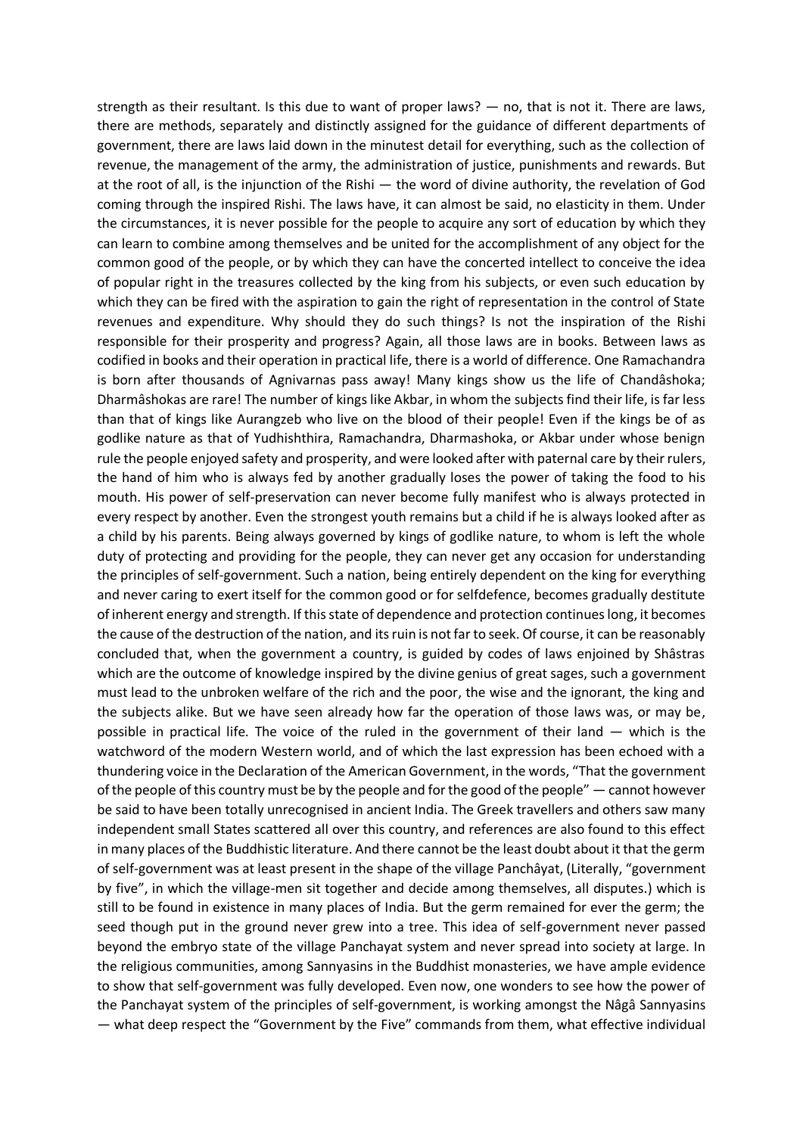strength as their resultant. Is this due to want of proper laws? — no, that is not it. There are laws, there are methods, separately and distinctly assigned for the guidance of different departments of government, there are laws laid down in the minutest detail for everything, such as the collection of revenue, the management of the army, the administration of justice, punishments and rewards. But at the root of all, is the injunction of the Rishi — the word of divine authority, the revelation of God coming through the inspired Rishi. The laws have, it can almost be said, no elasticity in them. Under the circumstances, it is never possible for the people to acquire any sort of education by which they can learn to combine among themselves and be united for the accomplishment of any object for the common good of the people, or by which they can have the concerted intellect to conceive the idea of popular right in the treasures collected by the king from his subjects, or even such education by which they can be fired with the aspiration to gain the right of representation in the control of State revenues and expenditure. Why should they do such things? Is not the inspiration of the Rishi responsible for their prosperity and progress? Again, all those laws are in books. Between laws as codified in books and their operation in practical life, there is a world of difference. One Ramachandra is born after thousands of Agnivarnas pass away! Many kings show us the life of Chandâshoka; Dharmâshokas are rare! The number of kings like Akbar, in whom the subjects find their life, is far less than that of kings like Aurangzeb who live on the blood of their people! Even if the kings be of as godlike nature as that of Yudhishthira, Ramachandra, Dharmashoka, or Akbar under whose benign rule the people enjoyed safety and prosperity, and were looked after with paternal care by their rulers, the hand of him who is always fed by another gradually loses the power of taking the food to his mouth. His power of self-preservation can never become fully manifest who is always protected in every respect by another. Even the strongest youth remains but a child if he is always looked after as a child by his parents. Being always governed by kings of godlike nature, to whom is left the whole duty of protecting and providing for the people, they can never get any occasion for understanding the principles of self-government. Such a nation, being entirely dependent on the king for everything and never caring to exert itself for the common good or for selfdefence, becomes gradually destitute of inherent energy and strength. If this state of dependence and protection continues long, it becomes the cause of the destruction of the nation, and its ruin is not far to seek. Of course, it can be reasonably concluded that, when the government a country, is guided by codes of laws enjoined by Shâstras which are the outcome of knowledge inspired by the divine genius of great sages, such a government must lead to the unbroken welfare of the rich and the poor, the wise and the ignorant, the king and the subjects alike. But we have seen already how far the operation of those laws was, or may be, possible in practical life. The voice of the ruled in the government of their land — which is the watchword of the modern Western world, and of which the last expression has been echoed with a thundering voice in the Declaration of the American Government, in the words, "That the government of the people of this country must be by the people and for the good of the people" — cannot however be said to have been totally unrecognised in ancient India. The Greek travellers and others saw many independent small States scattered all over this country, and references are also found to this effect in many places of the Buddhistic literature. And there cannot be the least doubt about it that the germ of self-government was at least present in the shape of the village Panchâyat, (Literally, "government by five", in which the village-men sit together and decide among themselves, all disputes.) which is still to be found in existence in many places of India. But the germ remained for ever the germ; the seed though put in the ground never grew into a tree. This idea of self-government never passed beyond the embryo state of the village Panchayat system and never spread into society at large. In the religious communities, among Sannyasins in the Buddhist monasteries, we have ample evidence to show that self-government was fully developed. Even now, one wonders to see how the power of the Panchayat system of the principles of self-government, is working amongst the Nâgâ Sannyasins — what deep respect the "Government by the Five" commands from them, what effective individual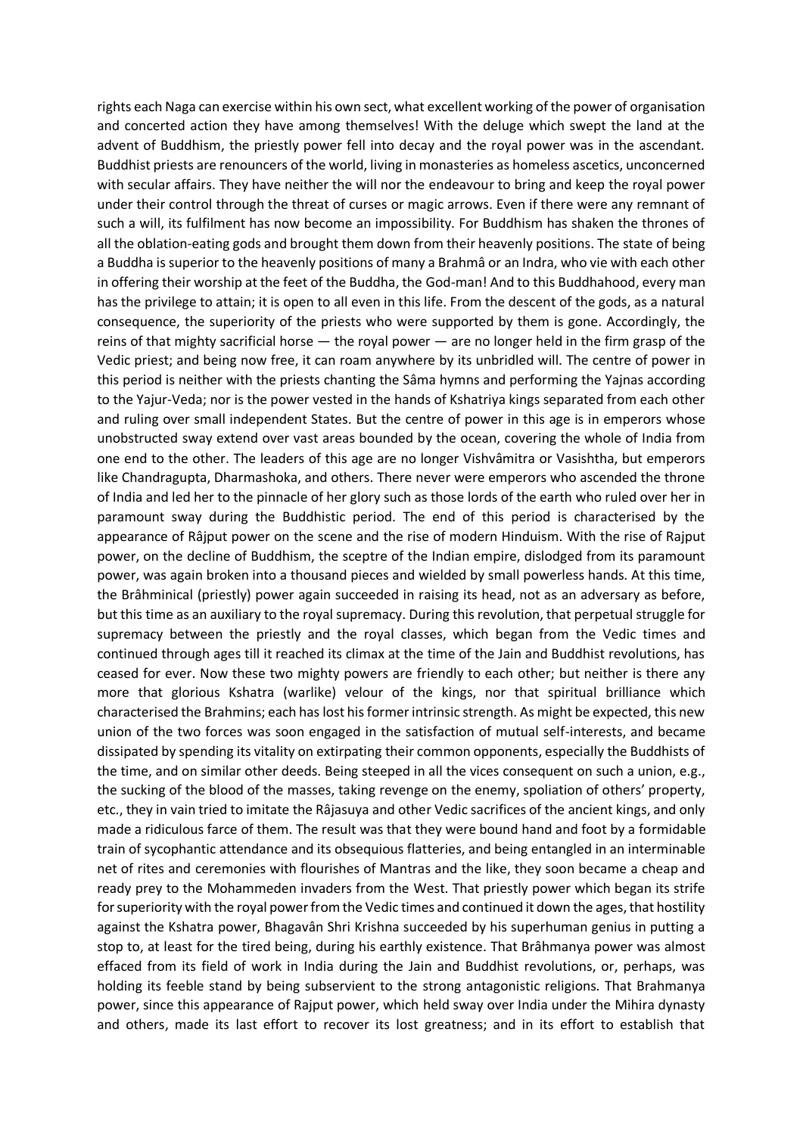rights each Naga can exercise within his own sect, what excellent working of the power of organisation and concerted action they have among themselves! With the deluge which swept the land at the advent of Buddhism, the priestly power fell into decay and the royal power was in the ascendant. Buddhist priests are renouncers of the world, living in monasteries as homeless ascetics, unconcerned with secular affairs. They have neither the will nor the endeavour to bring and keep the royal power under their control through the threat of curses or magic arrows. Even if there were any remnant of such a will, its fulfilment has now become an impossibility. For Buddhism has shaken the thrones of all the oblation-eating gods and brought them down from their heavenly positions. The state of being a Buddha is superior to the heavenly positions of many a Brahmâ or an Indra, who vie with each other in offering their worship at the feet of the Buddha, the God-man! And to this Buddhahood, every man has the privilege to attain; it is open to all even in this life. From the descent of the gods, as a natural consequence, the superiority of the priests who were supported by them is gone. Accordingly, the reins of that mighty sacrificial horse — the royal power — are no longer held in the firm grasp of the Vedic priest; and being now free, it can roam anywhere by its unbridled will. The centre of power in this period is neither with the priests chanting the Sâma hymns and performing the Yajnas according to the Yajur-Veda; nor is the power vested in the hands of Kshatriya kings separated from each other and ruling over small independent States. But the centre of power in this age is in emperors whose unobstructed sway extend over vast areas bounded by the ocean, covering the whole of India from one end to the other. The leaders of this age are no longer Vishvâmitra or Vasishtha, but emperors like Chandragupta, Dharmashoka, and others. There never were emperors who ascended the throne of India and led her to the pinnacle of her glory such as those lords of the earth who ruled over her in paramount sway during the Buddhistic period. The end of this period is characterised by the appearance of Râjput power on the scene and the rise of modern Hinduism. With the rise of Rajput power, on the decline of Buddhism, the sceptre of the Indian empire, dislodged from its paramount power, was again broken into a thousand pieces and wielded by small powerless hands. At this time, the Brâhminical (priestly) power again succeeded in raising its head, not as an adversary as before, but this time as an auxiliary to the royal supremacy. During this revolution, that perpetual struggle for supremacy between the priestly and the royal classes, which began from the Vedic times and continued through ages till it reached its climax at the time of the Jain and Buddhist revolutions, has ceased for ever. Now these two mighty powers are friendly to each other; but neither is there any more that glorious Kshatra (warlike) velour of the kings, nor that spiritual brilliance which characterised the Brahmins; each has lost his former intrinsic strength. As might be expected, this new union of the two forces was soon engaged in the satisfaction of mutual self-interests, and became dissipated by spending its vitality on extirpating their common opponents, especially the Buddhists of the time, and on similar other deeds. Being steeped in all the vices consequent on such a union, e.g., the sucking of the blood of the masses, taking revenge on the enemy, spoliation of others' property, etc., they in vain tried to imitate the Râjasuya and other Vedic sacrifices of the ancient kings, and only made a ridiculous farce of them. The result was that they were bound hand and foot by a formidable train of sycophantic attendance and its obsequious flatteries, and being entangled in an interminable net of rites and ceremonies with flourishes of Mantras and the like, they soon became a cheap and ready prey to the Mohammeden invaders from the West. That priestly power which began its strife for superiority with the royal power from the Vedic times and continued it down the ages, that hostility against the Kshatra power, Bhagavân Shri Krishna succeeded by his superhuman genius in putting a stop to, at least for the tired being, during his earthly existence. That Brâhmanya power was almost effaced from its field of work in India during the Jain and Buddhist revolutions, or, perhaps, was holding its feeble stand by being subservient to the strong antagonistic religions. That Brahmanya power, since this appearance of Rajput power, which held sway over India under the Mihira dynasty and others, made its last effort to recover its lost greatness; and in its effort to establish that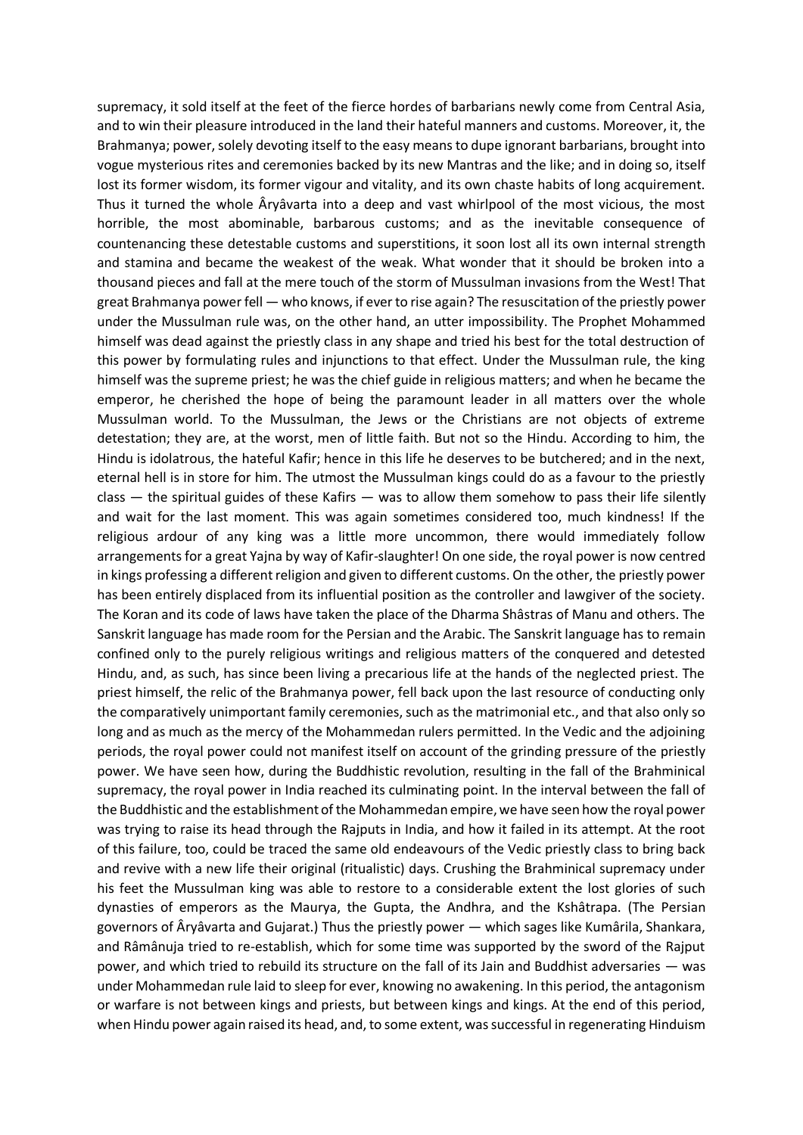supremacy, it sold itself at the feet of the fierce hordes of barbarians newly come from Central Asia, and to win their pleasure introduced in the land their hateful manners and customs. Moreover, it, the Brahmanya; power, solely devoting itself to the easy means to dupe ignorant barbarians, brought into vogue mysterious rites and ceremonies backed by its new Mantras and the like; and in doing so, itself lost its former wisdom, its former vigour and vitality, and its own chaste habits of long acquirement. Thus it turned the whole Âryâvarta into a deep and vast whirlpool of the most vicious, the most horrible, the most abominable, barbarous customs; and as the inevitable consequence of countenancing these detestable customs and superstitions, it soon lost all its own internal strength and stamina and became the weakest of the weak. What wonder that it should be broken into a thousand pieces and fall at the mere touch of the storm of Mussulman invasions from the West! That great Brahmanya power fell — who knows, if ever to rise again? The resuscitation of the priestly power under the Mussulman rule was, on the other hand, an utter impossibility. The Prophet Mohammed himself was dead against the priestly class in any shape and tried his best for the total destruction of this power by formulating rules and injunctions to that effect. Under the Mussulman rule, the king himself was the supreme priest; he was the chief guide in religious matters; and when he became the emperor, he cherished the hope of being the paramount leader in all matters over the whole Mussulman world. To the Mussulman, the Jews or the Christians are not objects of extreme detestation; they are, at the worst, men of little faith. But not so the Hindu. According to him, the Hindu is idolatrous, the hateful Kafir; hence in this life he deserves to be butchered; and in the next, eternal hell is in store for him. The utmost the Mussulman kings could do as a favour to the priestly class — the spiritual guides of these Kafirs — was to allow them somehow to pass their life silently and wait for the last moment. This was again sometimes considered too, much kindness! If the religious ardour of any king was a little more uncommon, there would immediately follow arrangements for a great Yajna by way of Kafir-slaughter! On one side, the royal power is now centred in kings professing a different religion and given to different customs. On the other, the priestly power has been entirely displaced from its influential position as the controller and lawgiver of the society. The Koran and its code of laws have taken the place of the Dharma Shâstras of Manu and others. The Sanskrit language has made room for the Persian and the Arabic. The Sanskrit language has to remain confined only to the purely religious writings and religious matters of the conquered and detested Hindu, and, as such, has since been living a precarious life at the hands of the neglected priest. The priest himself, the relic of the Brahmanya power, fell back upon the last resource of conducting only the comparatively unimportant family ceremonies, such as the matrimonial etc., and that also only so long and as much as the mercy of the Mohammedan rulers permitted. In the Vedic and the adjoining periods, the royal power could not manifest itself on account of the grinding pressure of the priestly power. We have seen how, during the Buddhistic revolution, resulting in the fall of the Brahminical supremacy, the royal power in India reached its culminating point. In the interval between the fall of the Buddhistic and the establishment of the Mohammedan empire, we have seen how the royal power was trying to raise its head through the Rajputs in India, and how it failed in its attempt. At the root of this failure, too, could be traced the same old endeavours of the Vedic priestly class to bring back and revive with a new life their original (ritualistic) days. Crushing the Brahminical supremacy under his feet the Mussulman king was able to restore to a considerable extent the lost glories of such dynasties of emperors as the Maurya, the Gupta, the Andhra, and the Kshâtrapa. (The Persian governors of Âryâvarta and Gujarat.) Thus the priestly power — which sages like Kumârila, Shankara, and Râmânuja tried to re-establish, which for some time was supported by the sword of the Rajput power, and which tried to rebuild its structure on the fall of its Jain and Buddhist adversaries — was under Mohammedan rule laid to sleep for ever, knowing no awakening. In this period, the antagonism or warfare is not between kings and priests, but between kings and kings. At the end of this period, when Hindu power again raised its head, and, to some extent, was successful in regenerating Hinduism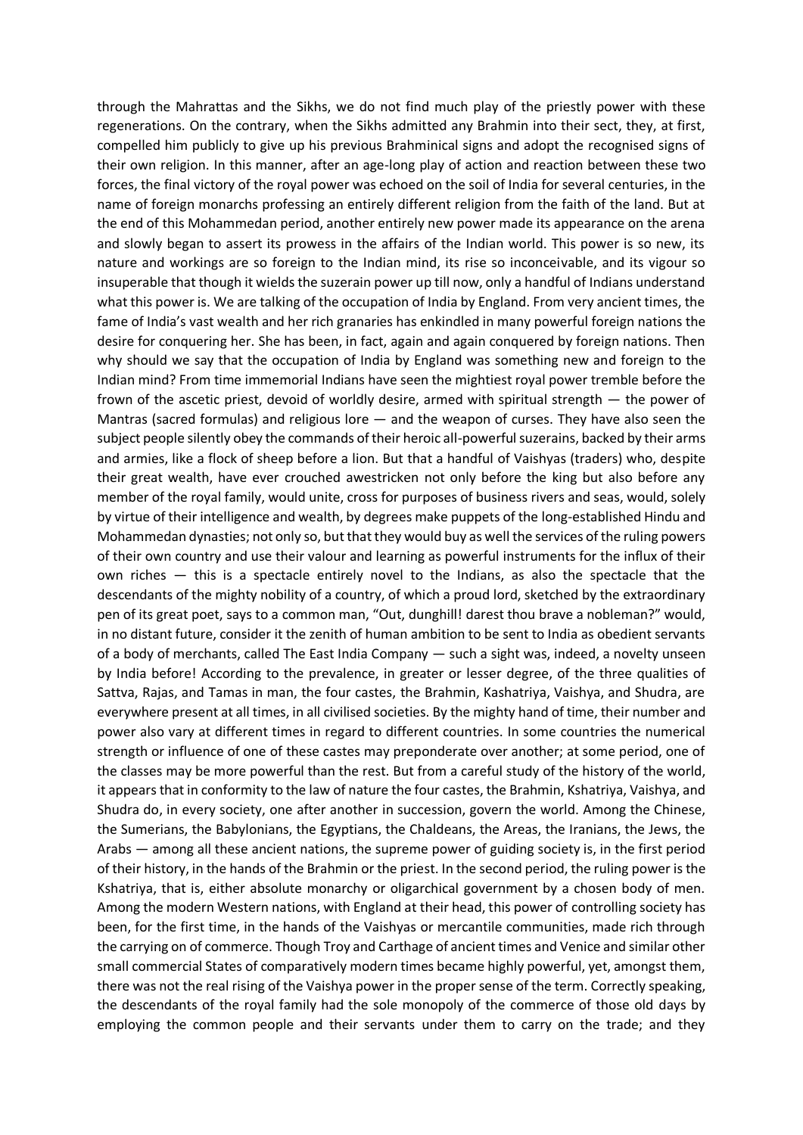through the Mahrattas and the Sikhs, we do not find much play of the priestly power with these regenerations. On the contrary, when the Sikhs admitted any Brahmin into their sect, they, at first, compelled him publicly to give up his previous Brahminical signs and adopt the recognised signs of their own religion. In this manner, after an age-long play of action and reaction between these two forces, the final victory of the royal power was echoed on the soil of India for several centuries, in the name of foreign monarchs professing an entirely different religion from the faith of the land. But at the end of this Mohammedan period, another entirely new power made its appearance on the arena and slowly began to assert its prowess in the affairs of the Indian world. This power is so new, its nature and workings are so foreign to the Indian mind, its rise so inconceivable, and its vigour so insuperable that though it wields the suzerain power up till now, only a handful of Indians understand what this power is. We are talking of the occupation of India by England. From very ancient times, the fame of India's vast wealth and her rich granaries has enkindled in many powerful foreign nations the desire for conquering her. She has been, in fact, again and again conquered by foreign nations. Then why should we say that the occupation of India by England was something new and foreign to the Indian mind? From time immemorial Indians have seen the mightiest royal power tremble before the frown of the ascetic priest, devoid of worldly desire, armed with spiritual strength — the power of Mantras (sacred formulas) and religious lore — and the weapon of curses. They have also seen the subject people silently obey the commands of their heroic all-powerful suzerains, backed by their arms and armies, like a flock of sheep before a lion. But that a handful of Vaishyas (traders) who, despite their great wealth, have ever crouched awestricken not only before the king but also before any member of the royal family, would unite, cross for purposes of business rivers and seas, would, solely by virtue of their intelligence and wealth, by degrees make puppets of the long-established Hindu and Mohammedan dynasties; not only so, but that they would buy as well the services of the ruling powers of their own country and use their valour and learning as powerful instruments for the influx of their own riches — this is a spectacle entirely novel to the Indians, as also the spectacle that the descendants of the mighty nobility of a country, of which a proud lord, sketched by the extraordinary pen of its great poet, says to a common man, "Out, dunghill! darest thou brave a nobleman?" would, in no distant future, consider it the zenith of human ambition to be sent to India as obedient servants of a body of merchants, called The East India Company — such a sight was, indeed, a novelty unseen by India before! According to the prevalence, in greater or lesser degree, of the three qualities of Sattva, Rajas, and Tamas in man, the four castes, the Brahmin, Kashatriya, Vaishya, and Shudra, are everywhere present at all times, in all civilised societies. By the mighty hand of time, their number and power also vary at different times in regard to different countries. In some countries the numerical strength or influence of one of these castes may preponderate over another; at some period, one of the classes may be more powerful than the rest. But from a careful study of the history of the world, it appears that in conformity to the law of nature the four castes, the Brahmin, Kshatriya, Vaishya, and Shudra do, in every society, one after another in succession, govern the world. Among the Chinese, the Sumerians, the Babylonians, the Egyptians, the Chaldeans, the Areas, the Iranians, the Jews, the Arabs — among all these ancient nations, the supreme power of guiding society is, in the first period of their history, in the hands of the Brahmin or the priest. In the second period, the ruling power is the Kshatriya, that is, either absolute monarchy or oligarchical government by a chosen body of men. Among the modern Western nations, with England at their head, this power of controlling society has been, for the first time, in the hands of the Vaishyas or mercantile communities, made rich through the carrying on of commerce. Though Troy and Carthage of ancient times and Venice and similar other small commercial States of comparatively modern times became highly powerful, yet, amongst them, there was not the real rising of the Vaishya power in the proper sense of the term. Correctly speaking, the descendants of the royal family had the sole monopoly of the commerce of those old days by employing the common people and their servants under them to carry on the trade; and they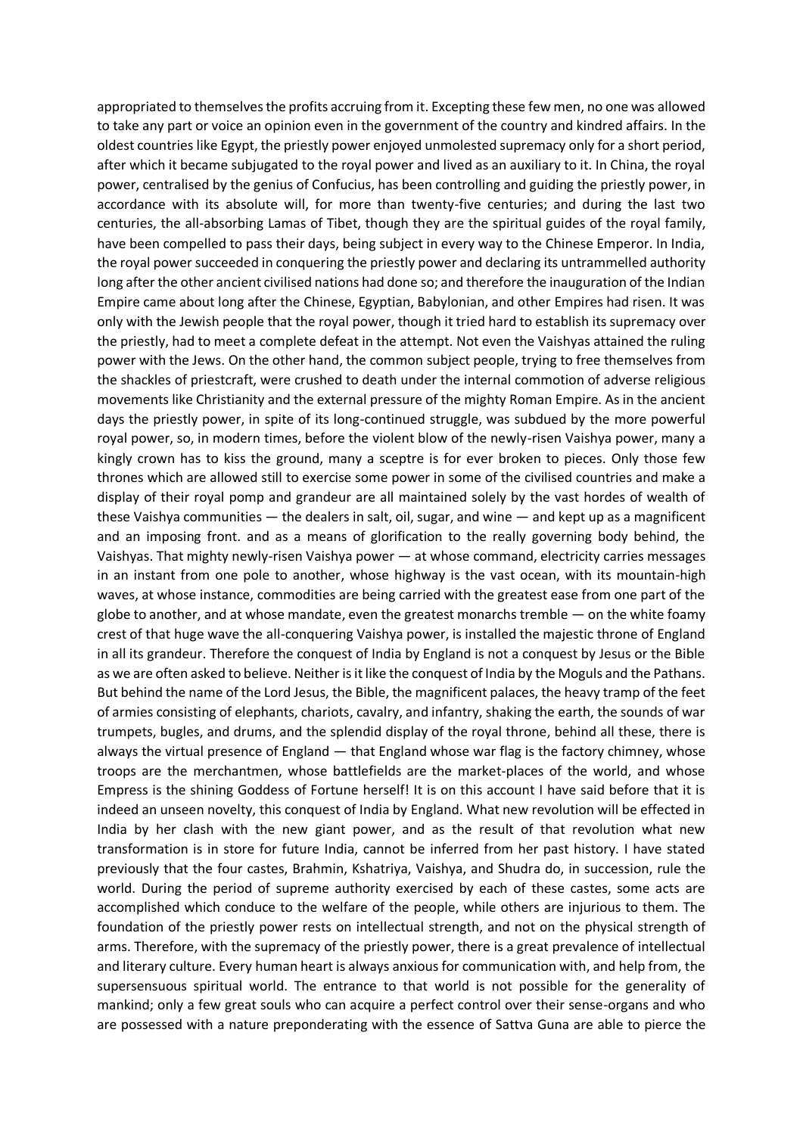appropriated to themselves the profits accruing from it. Excepting these few men, no one was allowed to take any part or voice an opinion even in the government of the country and kindred affairs. In the oldest countries like Egypt, the priestly power enjoyed unmolested supremacy only for a short period, after which it became subjugated to the royal power and lived as an auxiliary to it. In China, the royal power, centralised by the genius of Confucius, has been controlling and guiding the priestly power, in accordance with its absolute will, for more than twenty-five centuries; and during the last two centuries, the all-absorbing Lamas of Tibet, though they are the spiritual guides of the royal family, have been compelled to pass their days, being subject in every way to the Chinese Emperor. In India, the royal power succeeded in conquering the priestly power and declaring its untrammelled authority long after the other ancient civilised nations had done so; and therefore the inauguration of the Indian Empire came about long after the Chinese, Egyptian, Babylonian, and other Empires had risen. It was only with the Jewish people that the royal power, though it tried hard to establish its supremacy over the priestly, had to meet a complete defeat in the attempt. Not even the Vaishyas attained the ruling power with the Jews. On the other hand, the common subject people, trying to free themselves from the shackles of priestcraft, were crushed to death under the internal commotion of adverse religious movements like Christianity and the external pressure of the mighty Roman Empire. As in the ancient days the priestly power, in spite of its long-continued struggle, was subdued by the more powerful royal power, so, in modern times, before the violent blow of the newly-risen Vaishya power, many a kingly crown has to kiss the ground, many a sceptre is for ever broken to pieces. Only those few thrones which are allowed still to exercise some power in some of the civilised countries and make a display of their royal pomp and grandeur are all maintained solely by the vast hordes of wealth of these Vaishya communities — the dealers in salt, oil, sugar, and wine — and kept up as a magnificent and an imposing front. and as a means of glorification to the really governing body behind, the Vaishyas. That mighty newly-risen Vaishya power — at whose command, electricity carries messages in an instant from one pole to another, whose highway is the vast ocean, with its mountain-high waves, at whose instance, commodities are being carried with the greatest ease from one part of the globe to another, and at whose mandate, even the greatest monarchs tremble — on the white foamy crest of that huge wave the all-conquering Vaishya power, is installed the majestic throne of England in all its grandeur. Therefore the conquest of India by England is not a conquest by Jesus or the Bible as we are often asked to believe. Neither is it like the conquest of India by the Moguls and the Pathans. But behind the name of the Lord Jesus, the Bible, the magnificent palaces, the heavy tramp of the feet of armies consisting of elephants, chariots, cavalry, and infantry, shaking the earth, the sounds of war trumpets, bugles, and drums, and the splendid display of the royal throne, behind all these, there is always the virtual presence of England — that England whose war flag is the factory chimney, whose troops are the merchantmen, whose battlefields are the market-places of the world, and whose Empress is the shining Goddess of Fortune herself! It is on this account I have said before that it is indeed an unseen novelty, this conquest of India by England. What new revolution will be effected in India by her clash with the new giant power, and as the result of that revolution what new transformation is in store for future India, cannot be inferred from her past history. I have stated previously that the four castes, Brahmin, Kshatriya, Vaishya, and Shudra do, in succession, rule the world. During the period of supreme authority exercised by each of these castes, some acts are accomplished which conduce to the welfare of the people, while others are injurious to them. The foundation of the priestly power rests on intellectual strength, and not on the physical strength of arms. Therefore, with the supremacy of the priestly power, there is a great prevalence of intellectual and literary culture. Every human heart is always anxious for communication with, and help from, the supersensuous spiritual world. The entrance to that world is not possible for the generality of mankind; only a few great souls who can acquire a perfect control over their sense-organs and who are possessed with a nature preponderating with the essence of Sattva Guna are able to pierce the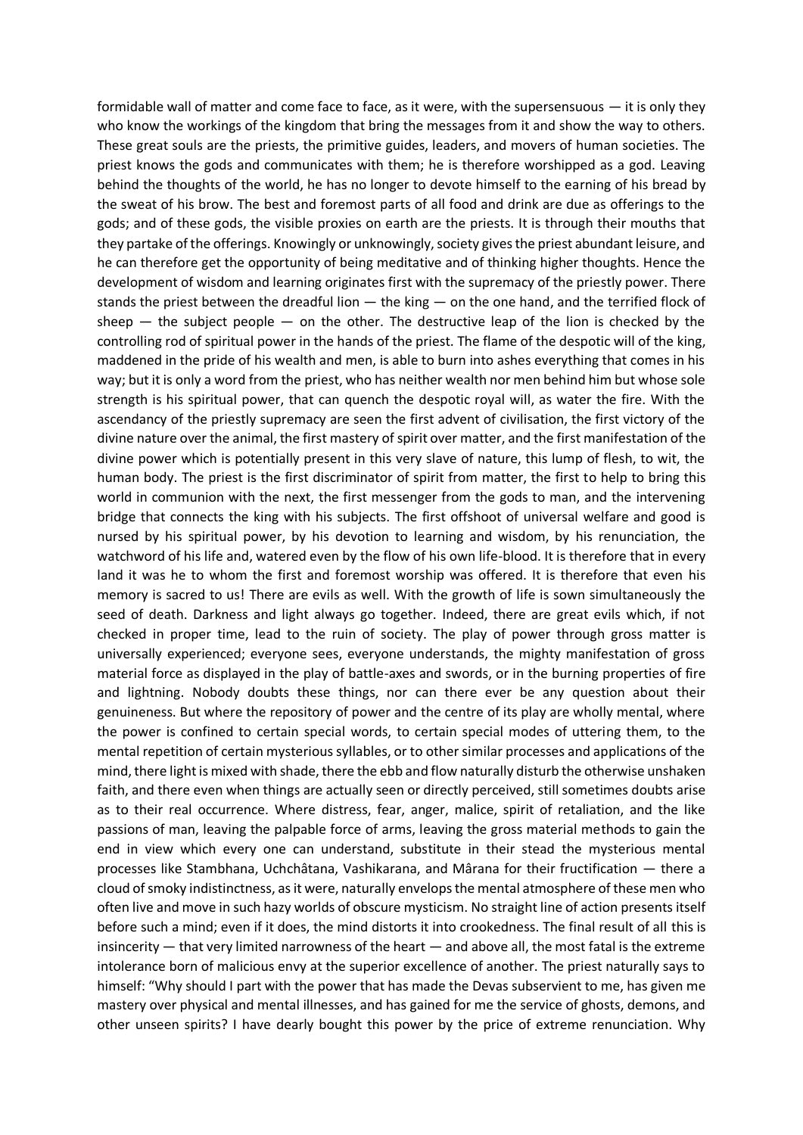formidable wall of matter and come face to face, as it were, with the supersensuous — it is only they who know the workings of the kingdom that bring the messages from it and show the way to others. These great souls are the priests, the primitive guides, leaders, and movers of human societies. The priest knows the gods and communicates with them; he is therefore worshipped as a god. Leaving behind the thoughts of the world, he has no longer to devote himself to the earning of his bread by the sweat of his brow. The best and foremost parts of all food and drink are due as offerings to the gods; and of these gods, the visible proxies on earth are the priests. It is through their mouths that they partake of the offerings. Knowingly or unknowingly, society gives the priest abundant leisure, and he can therefore get the opportunity of being meditative and of thinking higher thoughts. Hence the development of wisdom and learning originates first with the supremacy of the priestly power. There stands the priest between the dreadful lion — the king — on the one hand, and the terrified flock of sheep  $-$  the subject people  $-$  on the other. The destructive leap of the lion is checked by the controlling rod of spiritual power in the hands of the priest. The flame of the despotic will of the king, maddened in the pride of his wealth and men, is able to burn into ashes everything that comes in his way; but it is only a word from the priest, who has neither wealth nor men behind him but whose sole strength is his spiritual power, that can quench the despotic royal will, as water the fire. With the ascendancy of the priestly supremacy are seen the first advent of civilisation, the first victory of the divine nature over the animal, the first mastery of spirit over matter, and the first manifestation of the divine power which is potentially present in this very slave of nature, this lump of flesh, to wit, the human body. The priest is the first discriminator of spirit from matter, the first to help to bring this world in communion with the next, the first messenger from the gods to man, and the intervening bridge that connects the king with his subjects. The first offshoot of universal welfare and good is nursed by his spiritual power, by his devotion to learning and wisdom, by his renunciation, the watchword of his life and, watered even by the flow of his own life-blood. It is therefore that in every land it was he to whom the first and foremost worship was offered. It is therefore that even his memory is sacred to us! There are evils as well. With the growth of life is sown simultaneously the seed of death. Darkness and light always go together. Indeed, there are great evils which, if not checked in proper time, lead to the ruin of society. The play of power through gross matter is universally experienced; everyone sees, everyone understands, the mighty manifestation of gross material force as displayed in the play of battle-axes and swords, or in the burning properties of fire and lightning. Nobody doubts these things, nor can there ever be any question about their genuineness. But where the repository of power and the centre of its play are wholly mental, where the power is confined to certain special words, to certain special modes of uttering them, to the mental repetition of certain mysterious syllables, or to other similar processes and applications of the mind, there light is mixed with shade, there the ebb and flow naturally disturb the otherwise unshaken faith, and there even when things are actually seen or directly perceived, still sometimes doubts arise as to their real occurrence. Where distress, fear, anger, malice, spirit of retaliation, and the like passions of man, leaving the palpable force of arms, leaving the gross material methods to gain the end in view which every one can understand, substitute in their stead the mysterious mental processes like Stambhana, Uchchâtana, Vashikarana, and Mârana for their fructification — there a cloud of smoky indistinctness, as it were, naturally envelops the mental atmosphere of these men who often live and move in such hazy worlds of obscure mysticism. No straight line of action presents itself before such a mind; even if it does, the mind distorts it into crookedness. The final result of all this is insincerity — that very limited narrowness of the heart — and above all, the most fatal is the extreme intolerance born of malicious envy at the superior excellence of another. The priest naturally says to himself: "Why should I part with the power that has made the Devas subservient to me, has given me mastery over physical and mental illnesses, and has gained for me the service of ghosts, demons, and other unseen spirits? I have dearly bought this power by the price of extreme renunciation. Why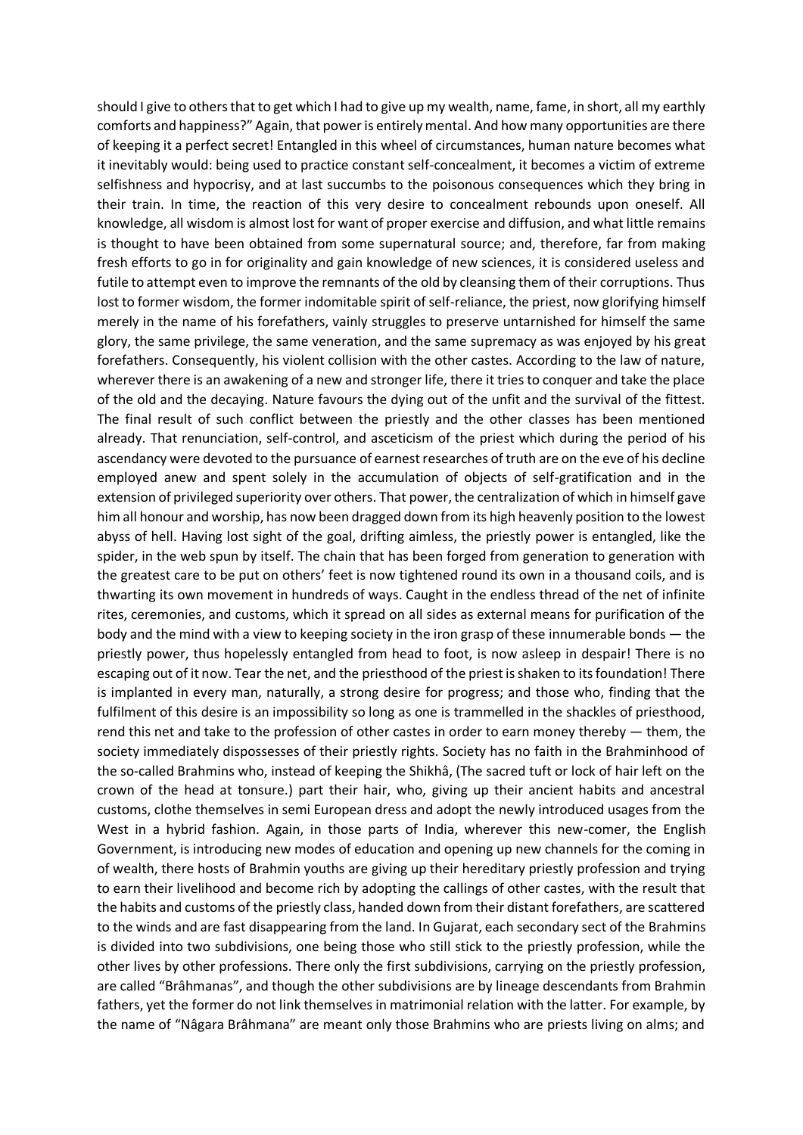should I give to others that to get which I had to give up my wealth, name, fame, in short, all my earthly comforts and happiness?" Again, that power is entirely mental. And how many opportunities are there of keeping it a perfect secret! Entangled in this wheel of circumstances, human nature becomes what it inevitably would: being used to practice constant self-concealment, it becomes a victim of extreme selfishness and hypocrisy, and at last succumbs to the poisonous consequences which they bring in their train. In time, the reaction of this very desire to concealment rebounds upon oneself. All knowledge, all wisdom is almost lost for want of proper exercise and diffusion, and what little remains is thought to have been obtained from some supernatural source; and, therefore, far from making fresh efforts to go in for originality and gain knowledge of new sciences, it is considered useless and futile to attempt even to improve the remnants of the old by cleansing them of their corruptions. Thus lost to former wisdom, the former indomitable spirit of self-reliance, the priest, now glorifying himself merely in the name of his forefathers, vainly struggles to preserve untarnished for himself the same glory, the same privilege, the same veneration, and the same supremacy as was enjoyed by his great forefathers. Consequently, his violent collision with the other castes. According to the law of nature, wherever there is an awakening of a new and stronger life, there it tries to conquer and take the place of the old and the decaying. Nature favours the dying out of the unfit and the survival of the fittest. The final result of such conflict between the priestly and the other classes has been mentioned already. That renunciation, self-control, and asceticism of the priest which during the period of his ascendancy were devoted to the pursuance of earnest researches of truth are on the eve of his decline employed anew and spent solely in the accumulation of objects of self-gratification and in the extension of privileged superiority over others. That power, the centralization of which in himself gave him all honour and worship, has now been dragged down from its high heavenly position to the lowest abyss of hell. Having lost sight of the goal, drifting aimless, the priestly power is entangled, like the spider, in the web spun by itself. The chain that has been forged from generation to generation with the greatest care to be put on others' feet is now tightened round its own in a thousand coils, and is thwarting its own movement in hundreds of ways. Caught in the endless thread of the net of infinite rites, ceremonies, and customs, which it spread on all sides as external means for purification of the body and the mind with a view to keeping society in the iron grasp of these innumerable bonds — the priestly power, thus hopelessly entangled from head to foot, is now asleep in despair! There is no escaping out of it now. Tear the net, and the priesthood of the priest is shaken to its foundation! There is implanted in every man, naturally, a strong desire for progress; and those who, finding that the fulfilment of this desire is an impossibility so long as one is trammelled in the shackles of priesthood, rend this net and take to the profession of other castes in order to earn money thereby  $-$  them, the society immediately dispossesses of their priestly rights. Society has no faith in the Brahminhood of the so-called Brahmins who, instead of keeping the Shikhâ, (The sacred tuft or lock of hair left on the crown of the head at tonsure.) part their hair, who, giving up their ancient habits and ancestral customs, clothe themselves in semi European dress and adopt the newly introduced usages from the West in a hybrid fashion. Again, in those parts of India, wherever this new-comer, the English Government, is introducing new modes of education and opening up new channels for the coming in of wealth, there hosts of Brahmin youths are giving up their hereditary priestly profession and trying to earn their livelihood and become rich by adopting the callings of other castes, with the result that the habits and customs of the priestly class, handed down from their distant forefathers, are scattered to the winds and are fast disappearing from the land. In Gujarat, each secondary sect of the Brahmins is divided into two subdivisions, one being those who still stick to the priestly profession, while the other lives by other professions. There only the first subdivisions, carrying on the priestly profession, are called "Brâhmanas", and though the other subdivisions are by lineage descendants from Brahmin fathers, yet the former do not link themselves in matrimonial relation with the latter. For example, by the name of "Nâgara Brâhmana" are meant only those Brahmins who are priests living on alms; and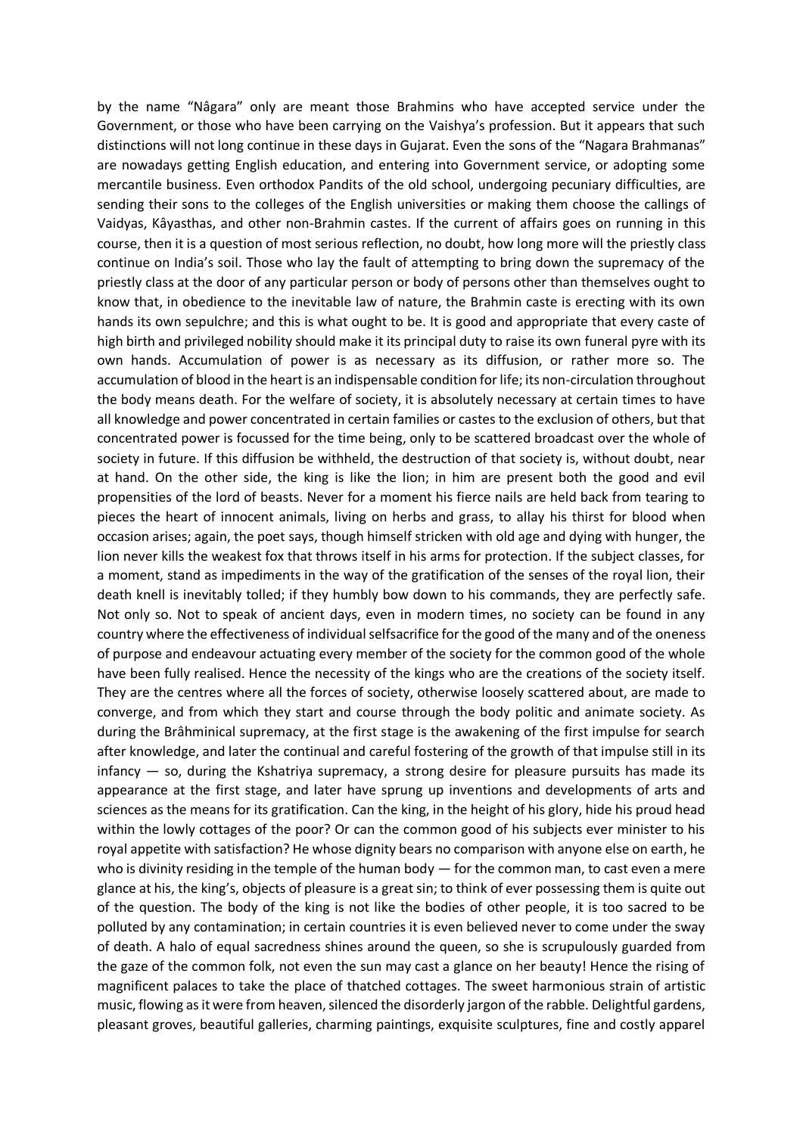by the name "Nâgara" only are meant those Brahmins who have accepted service under the Government, or those who have been carrying on the Vaishya's profession. But it appears that such distinctions will not long continue in these days in Gujarat. Even the sons of the "Nagara Brahmanas" are nowadays getting English education, and entering into Government service, or adopting some mercantile business. Even orthodox Pandits of the old school, undergoing pecuniary difficulties, are sending their sons to the colleges of the English universities or making them choose the callings of Vaidyas, Kâyasthas, and other non-Brahmin castes. If the current of affairs goes on running in this course, then it is a question of most serious reflection, no doubt, how long more will the priestly class continue on India's soil. Those who lay the fault of attempting to bring down the supremacy of the priestly class at the door of any particular person or body of persons other than themselves ought to know that, in obedience to the inevitable law of nature, the Brahmin caste is erecting with its own hands its own sepulchre; and this is what ought to be. It is good and appropriate that every caste of high birth and privileged nobility should make it its principal duty to raise its own funeral pyre with its own hands. Accumulation of power is as necessary as its diffusion, or rather more so. The accumulation of blood in the heart is an indispensable condition for life; its non-circulation throughout the body means death. For the welfare of society, it is absolutely necessary at certain times to have all knowledge and power concentrated in certain families or castes to the exclusion of others, but that concentrated power is focussed for the time being, only to be scattered broadcast over the whole of society in future. If this diffusion be withheld, the destruction of that society is, without doubt, near at hand. On the other side, the king is like the lion; in him are present both the good and evil propensities of the lord of beasts. Never for a moment his fierce nails are held back from tearing to pieces the heart of innocent animals, living on herbs and grass, to allay his thirst for blood when occasion arises; again, the poet says, though himself stricken with old age and dying with hunger, the lion never kills the weakest fox that throws itself in his arms for protection. If the subject classes, for a moment, stand as impediments in the way of the gratification of the senses of the royal lion, their death knell is inevitably tolled; if they humbly bow down to his commands, they are perfectly safe. Not only so. Not to speak of ancient days, even in modern times, no society can be found in any country where the effectiveness of individual selfsacrifice for the good of the many and of the oneness of purpose and endeavour actuating every member of the society for the common good of the whole have been fully realised. Hence the necessity of the kings who are the creations of the society itself. They are the centres where all the forces of society, otherwise loosely scattered about, are made to converge, and from which they start and course through the body politic and animate society. As during the Brâhminical supremacy, at the first stage is the awakening of the first impulse for search after knowledge, and later the continual and careful fostering of the growth of that impulse still in its infancy  $-$  so, during the Kshatriya supremacy, a strong desire for pleasure pursuits has made its appearance at the first stage, and later have sprung up inventions and developments of arts and sciences as the means for its gratification. Can the king, in the height of his glory, hide his proud head within the lowly cottages of the poor? Or can the common good of his subjects ever minister to his royal appetite with satisfaction? He whose dignity bears no comparison with anyone else on earth, he who is divinity residing in the temple of the human body — for the common man, to cast even a mere glance at his, the king's, objects of pleasure is a great sin; to think of ever possessing them is quite out of the question. The body of the king is not like the bodies of other people, it is too sacred to be polluted by any contamination; in certain countries it is even believed never to come under the sway of death. A halo of equal sacredness shines around the queen, so she is scrupulously guarded from the gaze of the common folk, not even the sun may cast a glance on her beauty! Hence the rising of magnificent palaces to take the place of thatched cottages. The sweet harmonious strain of artistic music, flowing as it were from heaven, silenced the disorderly jargon of the rabble. Delightful gardens, pleasant groves, beautiful galleries, charming paintings, exquisite sculptures, fine and costly apparel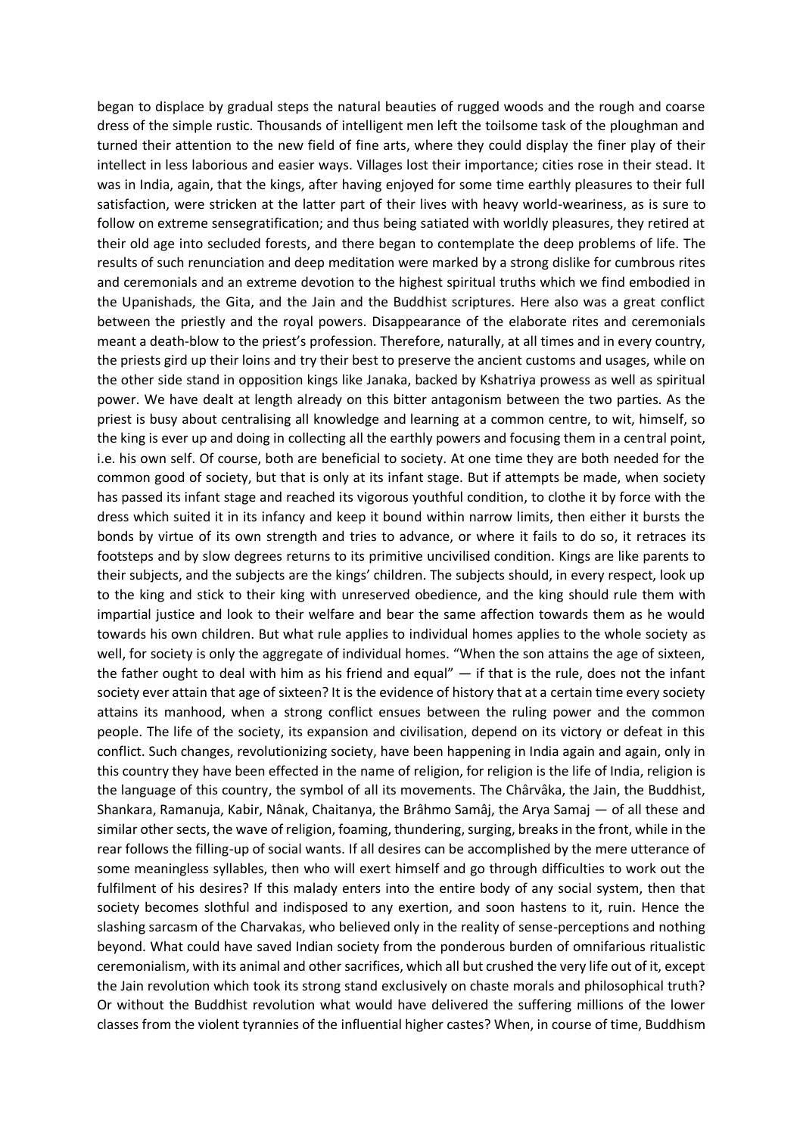began to displace by gradual steps the natural beauties of rugged woods and the rough and coarse dress of the simple rustic. Thousands of intelligent men left the toilsome task of the ploughman and turned their attention to the new field of fine arts, where they could display the finer play of their intellect in less laborious and easier ways. Villages lost their importance; cities rose in their stead. It was in India, again, that the kings, after having enjoyed for some time earthly pleasures to their full satisfaction, were stricken at the latter part of their lives with heavy world-weariness, as is sure to follow on extreme sensegratification; and thus being satiated with worldly pleasures, they retired at their old age into secluded forests, and there began to contemplate the deep problems of life. The results of such renunciation and deep meditation were marked by a strong dislike for cumbrous rites and ceremonials and an extreme devotion to the highest spiritual truths which we find embodied in the Upanishads, the Gita, and the Jain and the Buddhist scriptures. Here also was a great conflict between the priestly and the royal powers. Disappearance of the elaborate rites and ceremonials meant a death-blow to the priest's profession. Therefore, naturally, at all times and in every country, the priests gird up their loins and try their best to preserve the ancient customs and usages, while on the other side stand in opposition kings like Janaka, backed by Kshatriya prowess as well as spiritual power. We have dealt at length already on this bitter antagonism between the two parties. As the priest is busy about centralising all knowledge and learning at a common centre, to wit, himself, so the king is ever up and doing in collecting all the earthly powers and focusing them in a central point, i.e. his own self. Of course, both are beneficial to society. At one time they are both needed for the common good of society, but that is only at its infant stage. But if attempts be made, when society has passed its infant stage and reached its vigorous youthful condition, to clothe it by force with the dress which suited it in its infancy and keep it bound within narrow limits, then either it bursts the bonds by virtue of its own strength and tries to advance, or where it fails to do so, it retraces its footsteps and by slow degrees returns to its primitive uncivilised condition. Kings are like parents to their subjects, and the subjects are the kings' children. The subjects should, in every respect, look up to the king and stick to their king with unreserved obedience, and the king should rule them with impartial justice and look to their welfare and bear the same affection towards them as he would towards his own children. But what rule applies to individual homes applies to the whole society as well, for society is only the aggregate of individual homes. "When the son attains the age of sixteen, the father ought to deal with him as his friend and equal" — if that is the rule, does not the infant society ever attain that age of sixteen? It is the evidence of history that at a certain time every society attains its manhood, when a strong conflict ensues between the ruling power and the common people. The life of the society, its expansion and civilisation, depend on its victory or defeat in this conflict. Such changes, revolutionizing society, have been happening in India again and again, only in this country they have been effected in the name of religion, for religion is the life of India, religion is the language of this country, the symbol of all its movements. The Chârvâka, the Jain, the Buddhist, Shankara, Ramanuja, Kabir, Nânak, Chaitanya, the Brâhmo Samâj, the Arya Samaj — of all these and similar other sects, the wave of religion, foaming, thundering, surging, breaks in the front, while in the rear follows the filling-up of social wants. If all desires can be accomplished by the mere utterance of some meaningless syllables, then who will exert himself and go through difficulties to work out the fulfilment of his desires? If this malady enters into the entire body of any social system, then that society becomes slothful and indisposed to any exertion, and soon hastens to it, ruin. Hence the slashing sarcasm of the Charvakas, who believed only in the reality of sense-perceptions and nothing beyond. What could have saved Indian society from the ponderous burden of omnifarious ritualistic ceremonialism, with its animal and other sacrifices, which all but crushed the very life out of it, except the Jain revolution which took its strong stand exclusively on chaste morals and philosophical truth? Or without the Buddhist revolution what would have delivered the suffering millions of the lower classes from the violent tyrannies of the influential higher castes? When, in course of time, Buddhism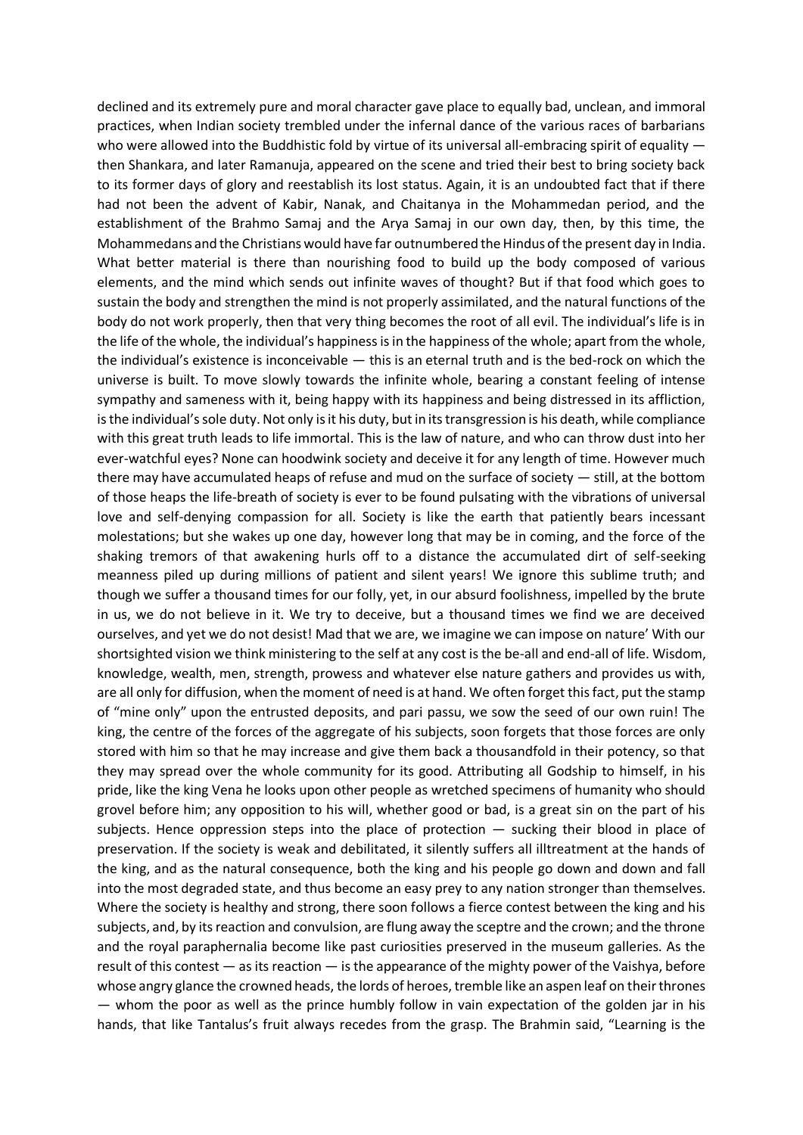declined and its extremely pure and moral character gave place to equally bad, unclean, and immoral practices, when Indian society trembled under the infernal dance of the various races of barbarians who were allowed into the Buddhistic fold by virtue of its universal all-embracing spirit of equality  $$ then Shankara, and later Ramanuja, appeared on the scene and tried their best to bring society back to its former days of glory and reestablish its lost status. Again, it is an undoubted fact that if there had not been the advent of Kabir, Nanak, and Chaitanya in the Mohammedan period, and the establishment of the Brahmo Samaj and the Arya Samaj in our own day, then, by this time, the Mohammedans and the Christians would have far outnumbered the Hindus of the present day in India. What better material is there than nourishing food to build up the body composed of various elements, and the mind which sends out infinite waves of thought? But if that food which goes to sustain the body and strengthen the mind is not properly assimilated, and the natural functions of the body do not work properly, then that very thing becomes the root of all evil. The individual's life is in the life of the whole, the individual's happiness is in the happiness of the whole; apart from the whole, the individual's existence is inconceivable — this is an eternal truth and is the bed-rock on which the universe is built. To move slowly towards the infinite whole, bearing a constant feeling of intense sympathy and sameness with it, being happy with its happiness and being distressed in its affliction, is the individual's sole duty. Not only is it his duty, but in its transgression is his death, while compliance with this great truth leads to life immortal. This is the law of nature, and who can throw dust into her ever-watchful eyes? None can hoodwink society and deceive it for any length of time. However much there may have accumulated heaps of refuse and mud on the surface of society — still, at the bottom of those heaps the life-breath of society is ever to be found pulsating with the vibrations of universal love and self-denying compassion for all. Society is like the earth that patiently bears incessant molestations; but she wakes up one day, however long that may be in coming, and the force of the shaking tremors of that awakening hurls off to a distance the accumulated dirt of self-seeking meanness piled up during millions of patient and silent years! We ignore this sublime truth; and though we suffer a thousand times for our folly, yet, in our absurd foolishness, impelled by the brute in us, we do not believe in it. We try to deceive, but a thousand times we find we are deceived ourselves, and yet we do not desist! Mad that we are, we imagine we can impose on nature' With our shortsighted vision we think ministering to the self at any cost is the be-all and end-all of life. Wisdom, knowledge, wealth, men, strength, prowess and whatever else nature gathers and provides us with, are all only for diffusion, when the moment of need is at hand. We often forget this fact, put the stamp of "mine only" upon the entrusted deposits, and pari passu, we sow the seed of our own ruin! The king, the centre of the forces of the aggregate of his subjects, soon forgets that those forces are only stored with him so that he may increase and give them back a thousandfold in their potency, so that they may spread over the whole community for its good. Attributing all Godship to himself, in his pride, like the king Vena he looks upon other people as wretched specimens of humanity who should grovel before him; any opposition to his will, whether good or bad, is a great sin on the part of his subjects. Hence oppression steps into the place of protection — sucking their blood in place of preservation. If the society is weak and debilitated, it silently suffers all illtreatment at the hands of the king, and as the natural consequence, both the king and his people go down and down and fall into the most degraded state, and thus become an easy prey to any nation stronger than themselves. Where the society is healthy and strong, there soon follows a fierce contest between the king and his subjects, and, by its reaction and convulsion, are flung away the sceptre and the crown; and the throne and the royal paraphernalia become like past curiosities preserved in the museum galleries. As the result of this contest — as its reaction — is the appearance of the mighty power of the Vaishya, before whose angry glance the crowned heads, the lords of heroes, tremble like an aspen leaf on their thrones — whom the poor as well as the prince humbly follow in vain expectation of the golden jar in his hands, that like Tantalus's fruit always recedes from the grasp. The Brahmin said, "Learning is the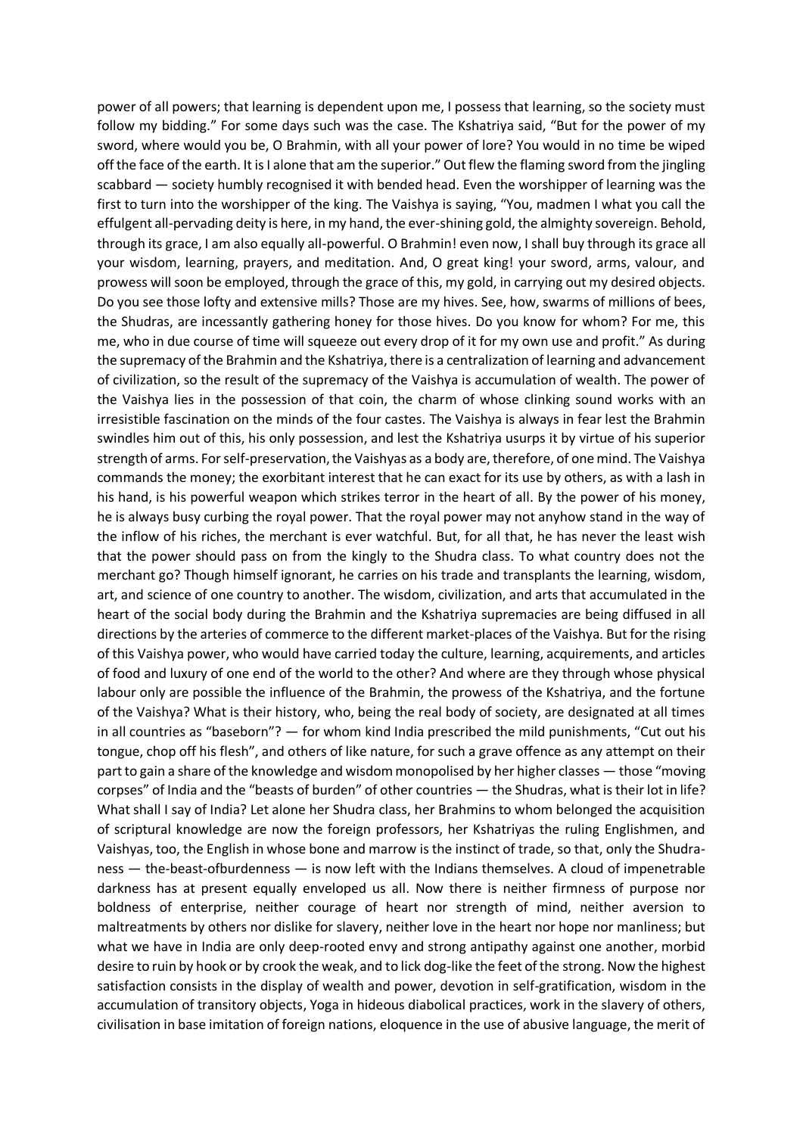power of all powers; that learning is dependent upon me, I possess that learning, so the society must follow my bidding." For some days such was the case. The Kshatriya said, "But for the power of my sword, where would you be, O Brahmin, with all your power of lore? You would in no time be wiped off the face of the earth. It is I alone that am the superior." Out flew the flaming sword from the jingling scabbard — society humbly recognised it with bended head. Even the worshipper of learning was the first to turn into the worshipper of the king. The Vaishya is saying, "You, madmen I what you call the effulgent all-pervading deity is here, in my hand, the ever-shining gold, the almighty sovereign. Behold, through its grace, I am also equally all-powerful. O Brahmin! even now, I shall buy through its grace all your wisdom, learning, prayers, and meditation. And, O great king! your sword, arms, valour, and prowess will soon be employed, through the grace of this, my gold, in carrying out my desired objects. Do you see those lofty and extensive mills? Those are my hives. See, how, swarms of millions of bees, the Shudras, are incessantly gathering honey for those hives. Do you know for whom? For me, this me, who in due course of time will squeeze out every drop of it for my own use and profit." As during the supremacy of the Brahmin and the Kshatriya, there is a centralization of learning and advancement of civilization, so the result of the supremacy of the Vaishya is accumulation of wealth. The power of the Vaishya lies in the possession of that coin, the charm of whose clinking sound works with an irresistible fascination on the minds of the four castes. The Vaishya is always in fear lest the Brahmin swindles him out of this, his only possession, and lest the Kshatriya usurps it by virtue of his superior strength of arms. For self-preservation, the Vaishyas as a body are, therefore, of one mind. The Vaishya commands the money; the exorbitant interest that he can exact for its use by others, as with a lash in his hand, is his powerful weapon which strikes terror in the heart of all. By the power of his money, he is always busy curbing the royal power. That the royal power may not anyhow stand in the way of the inflow of his riches, the merchant is ever watchful. But, for all that, he has never the least wish that the power should pass on from the kingly to the Shudra class. To what country does not the merchant go? Though himself ignorant, he carries on his trade and transplants the learning, wisdom, art, and science of one country to another. The wisdom, civilization, and arts that accumulated in the heart of the social body during the Brahmin and the Kshatriya supremacies are being diffused in all directions by the arteries of commerce to the different market-places of the Vaishya. But for the rising of this Vaishya power, who would have carried today the culture, learning, acquirements, and articles of food and luxury of one end of the world to the other? And where are they through whose physical labour only are possible the influence of the Brahmin, the prowess of the Kshatriya, and the fortune of the Vaishya? What is their history, who, being the real body of society, are designated at all times in all countries as "baseborn"? — for whom kind India prescribed the mild punishments, "Cut out his tongue, chop off his flesh", and others of like nature, for such a grave offence as any attempt on their part to gain a share of the knowledge and wisdom monopolised by her higher classes — those "moving corpses" of India and the "beasts of burden" of other countries — the Shudras, what is their lot in life? What shall I say of India? Let alone her Shudra class, her Brahmins to whom belonged the acquisition of scriptural knowledge are now the foreign professors, her Kshatriyas the ruling Englishmen, and Vaishyas, too, the English in whose bone and marrow is the instinct of trade, so that, only the Shudraness — the-beast-ofburdenness — is now left with the Indians themselves. A cloud of impenetrable darkness has at present equally enveloped us all. Now there is neither firmness of purpose nor boldness of enterprise, neither courage of heart nor strength of mind, neither aversion to maltreatments by others nor dislike for slavery, neither love in the heart nor hope nor manliness; but what we have in India are only deep-rooted envy and strong antipathy against one another, morbid desire to ruin by hook or by crook the weak, and to lick dog-like the feet of the strong. Now the highest satisfaction consists in the display of wealth and power, devotion in self-gratification, wisdom in the accumulation of transitory objects, Yoga in hideous diabolical practices, work in the slavery of others, civilisation in base imitation of foreign nations, eloquence in the use of abusive language, the merit of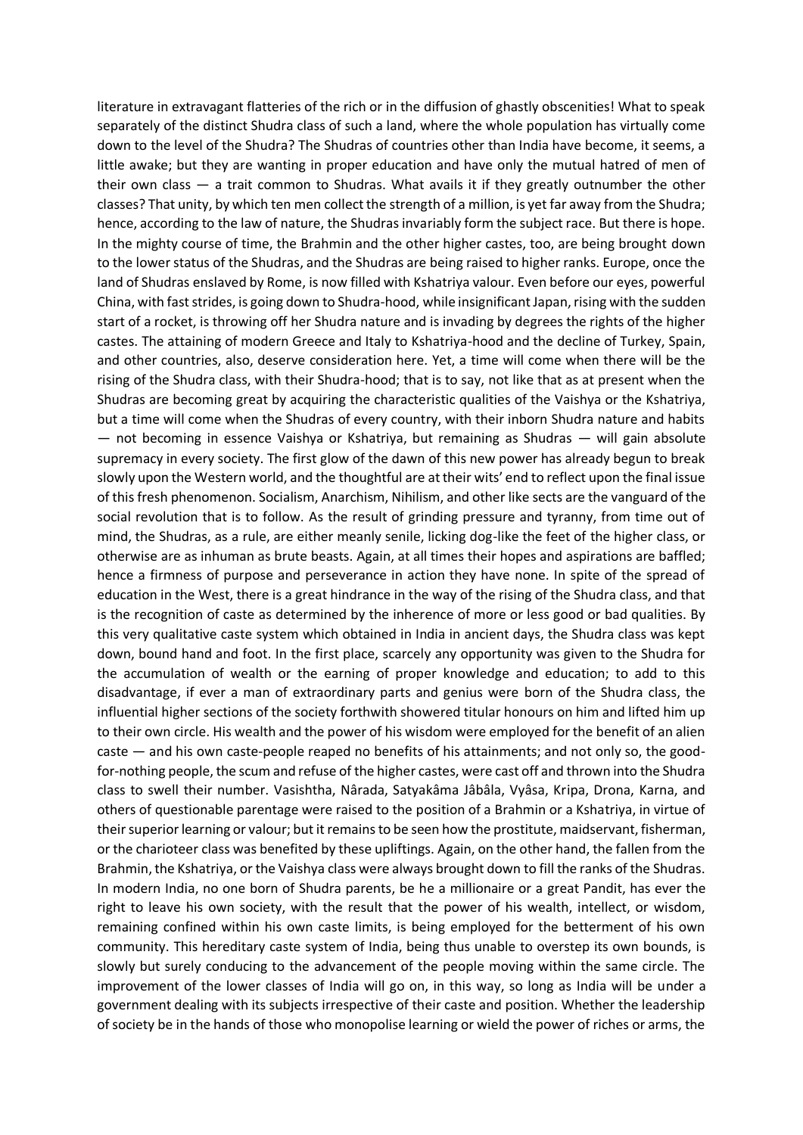literature in extravagant flatteries of the rich or in the diffusion of ghastly obscenities! What to speak separately of the distinct Shudra class of such a land, where the whole population has virtually come down to the level of the Shudra? The Shudras of countries other than India have become, it seems, a little awake; but they are wanting in proper education and have only the mutual hatred of men of their own class  $-$  a trait common to Shudras. What avails it if they greatly outnumber the other classes? That unity, by which ten men collect the strength of a million, is yet far away from the Shudra; hence, according to the law of nature, the Shudras invariably form the subject race. But there is hope. In the mighty course of time, the Brahmin and the other higher castes, too, are being brought down to the lower status of the Shudras, and the Shudras are being raised to higher ranks. Europe, once the land of Shudras enslaved by Rome, is now filled with Kshatriya valour. Even before our eyes, powerful China, with fast strides, is going down to Shudra-hood, while insignificant Japan, rising with the sudden start of a rocket, is throwing off her Shudra nature and is invading by degrees the rights of the higher castes. The attaining of modern Greece and Italy to Kshatriya-hood and the decline of Turkey, Spain, and other countries, also, deserve consideration here. Yet, a time will come when there will be the rising of the Shudra class, with their Shudra-hood; that is to say, not like that as at present when the Shudras are becoming great by acquiring the characteristic qualities of the Vaishya or the Kshatriya, but a time will come when the Shudras of every country, with their inborn Shudra nature and habits — not becoming in essence Vaishya or Kshatriya, but remaining as Shudras — will gain absolute supremacy in every society. The first glow of the dawn of this new power has already begun to break slowly upon the Western world, and the thoughtful are at their wits' end to reflect upon the final issue of this fresh phenomenon. Socialism, Anarchism, Nihilism, and other like sects are the vanguard of the social revolution that is to follow. As the result of grinding pressure and tyranny, from time out of mind, the Shudras, as a rule, are either meanly senile, licking dog-like the feet of the higher class, or otherwise are as inhuman as brute beasts. Again, at all times their hopes and aspirations are baffled; hence a firmness of purpose and perseverance in action they have none. In spite of the spread of education in the West, there is a great hindrance in the way of the rising of the Shudra class, and that is the recognition of caste as determined by the inherence of more or less good or bad qualities. By this very qualitative caste system which obtained in India in ancient days, the Shudra class was kept down, bound hand and foot. In the first place, scarcely any opportunity was given to the Shudra for the accumulation of wealth or the earning of proper knowledge and education; to add to this disadvantage, if ever a man of extraordinary parts and genius were born of the Shudra class, the influential higher sections of the society forthwith showered titular honours on him and lifted him up to their own circle. His wealth and the power of his wisdom were employed for the benefit of an alien caste — and his own caste-people reaped no benefits of his attainments; and not only so, the goodfor-nothing people, the scum and refuse of the higher castes, were cast off and thrown into the Shudra class to swell their number. Vasishtha, Nârada, Satyakâma Jâbâla, Vyâsa, Kripa, Drona, Karna, and others of questionable parentage were raised to the position of a Brahmin or a Kshatriya, in virtue of their superior learning or valour; but it remains to be seen how the prostitute, maidservant, fisherman, or the charioteer class was benefited by these upliftings. Again, on the other hand, the fallen from the Brahmin, the Kshatriya, or the Vaishya class were always brought down to fill the ranks of the Shudras. In modern India, no one born of Shudra parents, be he a millionaire or a great Pandit, has ever the right to leave his own society, with the result that the power of his wealth, intellect, or wisdom, remaining confined within his own caste limits, is being employed for the betterment of his own community. This hereditary caste system of India, being thus unable to overstep its own bounds, is slowly but surely conducing to the advancement of the people moving within the same circle. The improvement of the lower classes of India will go on, in this way, so long as India will be under a government dealing with its subjects irrespective of their caste and position. Whether the leadership of society be in the hands of those who monopolise learning or wield the power of riches or arms, the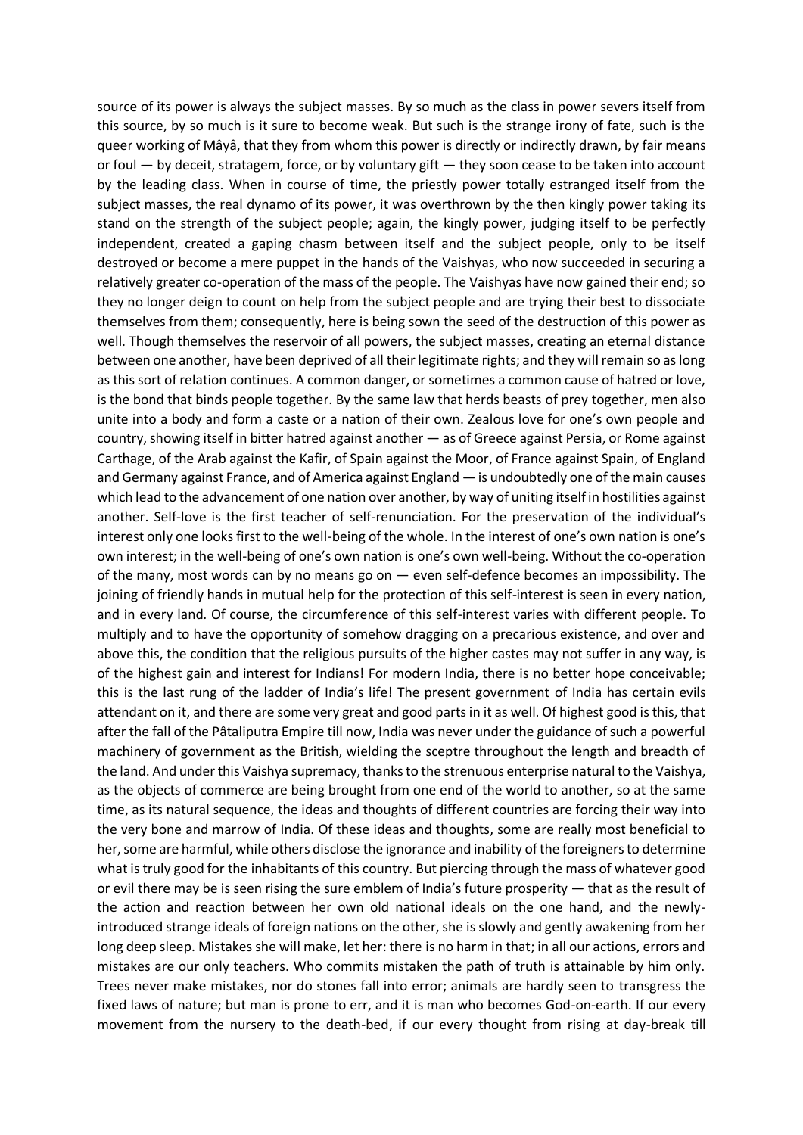source of its power is always the subject masses. By so much as the class in power severs itself from this source, by so much is it sure to become weak. But such is the strange irony of fate, such is the queer working of Mâyâ, that they from whom this power is directly or indirectly drawn, by fair means or foul — by deceit, stratagem, force, or by voluntary gift — they soon cease to be taken into account by the leading class. When in course of time, the priestly power totally estranged itself from the subject masses, the real dynamo of its power, it was overthrown by the then kingly power taking its stand on the strength of the subject people; again, the kingly power, judging itself to be perfectly independent, created a gaping chasm between itself and the subject people, only to be itself destroyed or become a mere puppet in the hands of the Vaishyas, who now succeeded in securing a relatively greater co-operation of the mass of the people. The Vaishyas have now gained their end; so they no longer deign to count on help from the subject people and are trying their best to dissociate themselves from them; consequently, here is being sown the seed of the destruction of this power as well. Though themselves the reservoir of all powers, the subject masses, creating an eternal distance between one another, have been deprived of all their legitimate rights; and they will remain so as long as this sort of relation continues. A common danger, or sometimes a common cause of hatred or love, is the bond that binds people together. By the same law that herds beasts of prey together, men also unite into a body and form a caste or a nation of their own. Zealous love for one's own people and country, showing itself in bitter hatred against another — as of Greece against Persia, or Rome against Carthage, of the Arab against the Kafir, of Spain against the Moor, of France against Spain, of England and Germany against France, and of America against England — is undoubtedly one of the main causes which lead to the advancement of one nation over another, by way of uniting itself in hostilities against another. Self-love is the first teacher of self-renunciation. For the preservation of the individual's interest only one looks first to the well-being of the whole. In the interest of one's own nation is one's own interest; in the well-being of one's own nation is one's own well-being. Without the co-operation of the many, most words can by no means go on — even self-defence becomes an impossibility. The joining of friendly hands in mutual help for the protection of this self-interest is seen in every nation, and in every land. Of course, the circumference of this self-interest varies with different people. To multiply and to have the opportunity of somehow dragging on a precarious existence, and over and above this, the condition that the religious pursuits of the higher castes may not suffer in any way, is of the highest gain and interest for Indians! For modern India, there is no better hope conceivable; this is the last rung of the ladder of India's life! The present government of India has certain evils attendant on it, and there are some very great and good parts in it as well. Of highest good is this, that after the fall of the Pâtaliputra Empire till now, India was never under the guidance of such a powerful machinery of government as the British, wielding the sceptre throughout the length and breadth of the land. And under this Vaishya supremacy, thanks to the strenuous enterprise natural to the Vaishya, as the objects of commerce are being brought from one end of the world to another, so at the same time, as its natural sequence, the ideas and thoughts of different countries are forcing their way into the very bone and marrow of India. Of these ideas and thoughts, some are really most beneficial to her, some are harmful, while others disclose the ignorance and inability of the foreigners to determine what is truly good for the inhabitants of this country. But piercing through the mass of whatever good or evil there may be is seen rising the sure emblem of India's future prosperity — that as the result of the action and reaction between her own old national ideals on the one hand, and the newlyintroduced strange ideals of foreign nations on the other, she is slowly and gently awakening from her long deep sleep. Mistakes she will make, let her: there is no harm in that; in all our actions, errors and mistakes are our only teachers. Who commits mistaken the path of truth is attainable by him only. Trees never make mistakes, nor do stones fall into error; animals are hardly seen to transgress the fixed laws of nature; but man is prone to err, and it is man who becomes God-on-earth. If our every movement from the nursery to the death-bed, if our every thought from rising at day-break till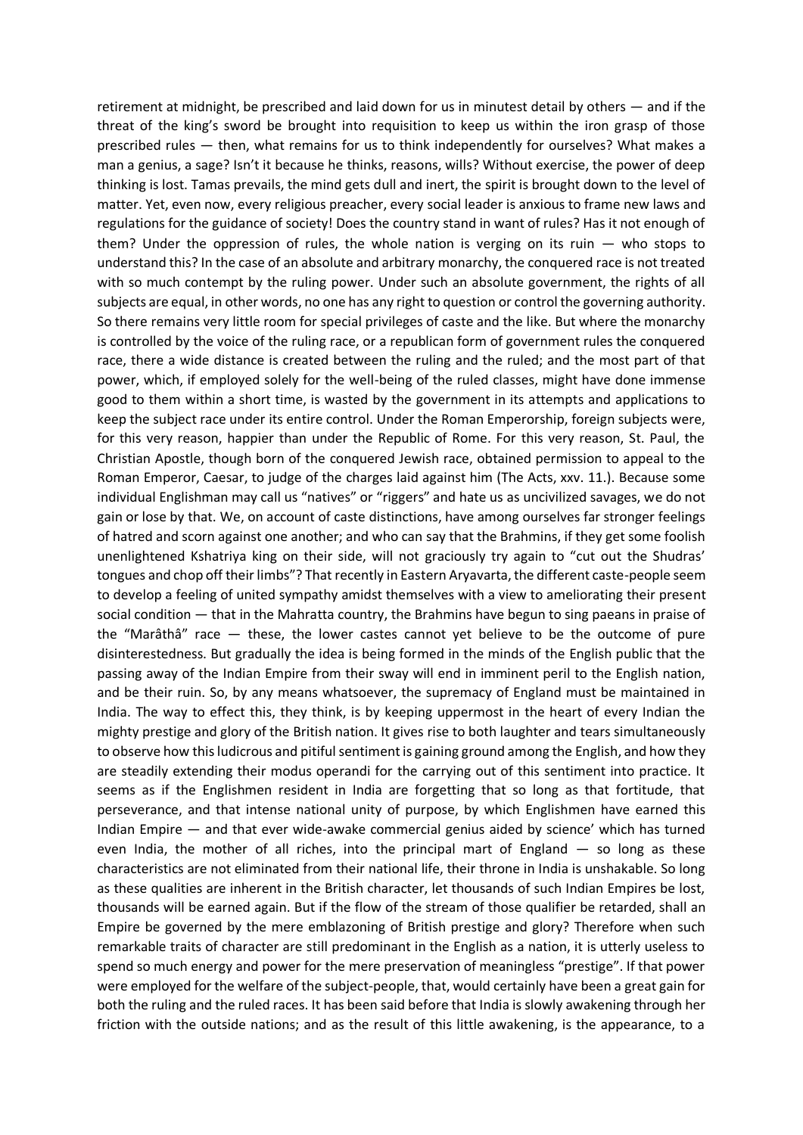retirement at midnight, be prescribed and laid down for us in minutest detail by others — and if the threat of the king's sword be brought into requisition to keep us within the iron grasp of those prescribed rules — then, what remains for us to think independently for ourselves? What makes a man a genius, a sage? Isn't it because he thinks, reasons, wills? Without exercise, the power of deep thinking is lost. Tamas prevails, the mind gets dull and inert, the spirit is brought down to the level of matter. Yet, even now, every religious preacher, every social leader is anxious to frame new laws and regulations for the guidance of society! Does the country stand in want of rules? Has it not enough of them? Under the oppression of rules, the whole nation is verging on its ruin  $-$  who stops to understand this? In the case of an absolute and arbitrary monarchy, the conquered race is not treated with so much contempt by the ruling power. Under such an absolute government, the rights of all subjects are equal, in other words, no one has any right to question or control the governing authority. So there remains very little room for special privileges of caste and the like. But where the monarchy is controlled by the voice of the ruling race, or a republican form of government rules the conquered race, there a wide distance is created between the ruling and the ruled; and the most part of that power, which, if employed solely for the well-being of the ruled classes, might have done immense good to them within a short time, is wasted by the government in its attempts and applications to keep the subject race under its entire control. Under the Roman Emperorship, foreign subjects were, for this very reason, happier than under the Republic of Rome. For this very reason, St. Paul, the Christian Apostle, though born of the conquered Jewish race, obtained permission to appeal to the Roman Emperor, Caesar, to judge of the charges laid against him (The Acts, xxv. 11.). Because some individual Englishman may call us "natives" or "riggers" and hate us as uncivilized savages, we do not gain or lose by that. We, on account of caste distinctions, have among ourselves far stronger feelings of hatred and scorn against one another; and who can say that the Brahmins, if they get some foolish unenlightened Kshatriya king on their side, will not graciously try again to "cut out the Shudras' tongues and chop off their limbs"? That recently in Eastern Aryavarta, the different caste-people seem to develop a feeling of united sympathy amidst themselves with a view to ameliorating their present social condition — that in the Mahratta country, the Brahmins have begun to sing paeans in praise of the "Marâthâ" race — these, the lower castes cannot yet believe to be the outcome of pure disinterestedness. But gradually the idea is being formed in the minds of the English public that the passing away of the Indian Empire from their sway will end in imminent peril to the English nation, and be their ruin. So, by any means whatsoever, the supremacy of England must be maintained in India. The way to effect this, they think, is by keeping uppermost in the heart of every Indian the mighty prestige and glory of the British nation. It gives rise to both laughter and tears simultaneously to observe how this ludicrous and pitiful sentiment is gaining ground among the English, and how they are steadily extending their modus operandi for the carrying out of this sentiment into practice. It seems as if the Englishmen resident in India are forgetting that so long as that fortitude, that perseverance, and that intense national unity of purpose, by which Englishmen have earned this Indian Empire — and that ever wide-awake commercial genius aided by science' which has turned even India, the mother of all riches, into the principal mart of England  $-$  so long as these characteristics are not eliminated from their national life, their throne in India is unshakable. So long as these qualities are inherent in the British character, let thousands of such Indian Empires be lost, thousands will be earned again. But if the flow of the stream of those qualifier be retarded, shall an Empire be governed by the mere emblazoning of British prestige and glory? Therefore when such remarkable traits of character are still predominant in the English as a nation, it is utterly useless to spend so much energy and power for the mere preservation of meaningless "prestige". If that power were employed for the welfare of the subject-people, that, would certainly have been a great gain for both the ruling and the ruled races. It has been said before that India is slowly awakening through her friction with the outside nations; and as the result of this little awakening, is the appearance, to a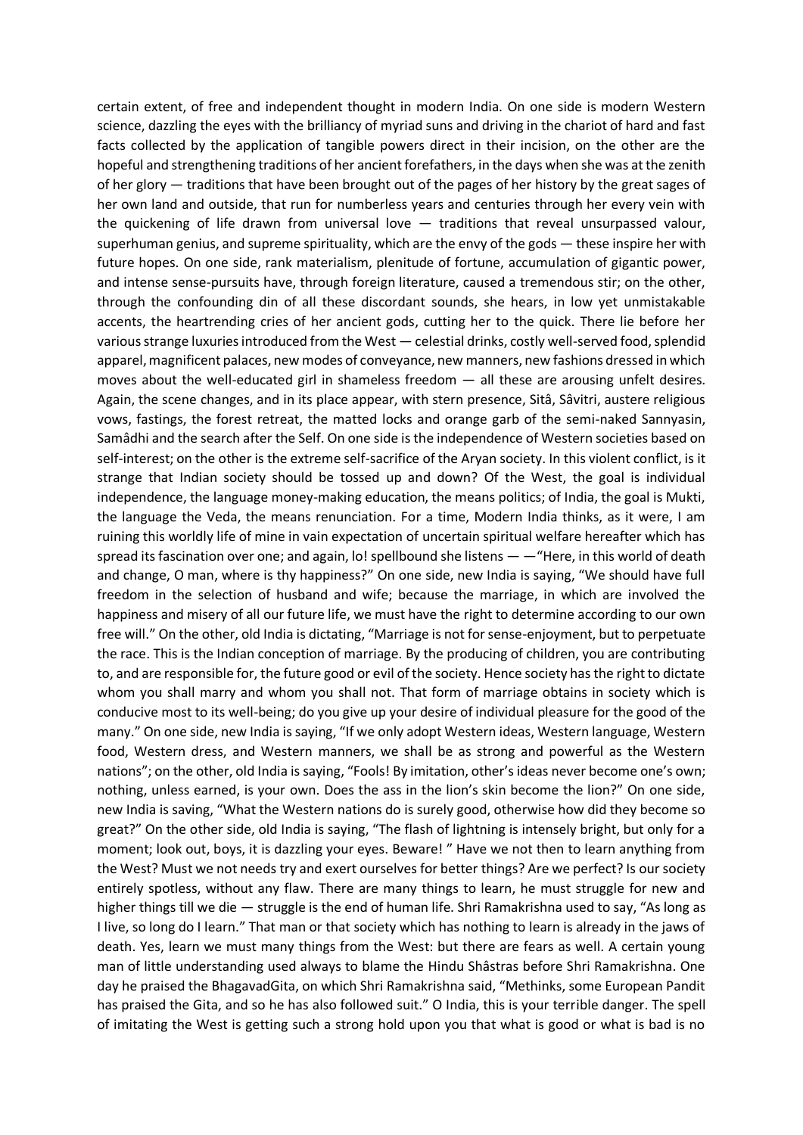certain extent, of free and independent thought in modern India. On one side is modern Western science, dazzling the eyes with the brilliancy of myriad suns and driving in the chariot of hard and fast facts collected by the application of tangible powers direct in their incision, on the other are the hopeful and strengthening traditions of her ancient forefathers, in the days when she was at the zenith of her glory — traditions that have been brought out of the pages of her history by the great sages of her own land and outside, that run for numberless years and centuries through her every vein with the quickening of life drawn from universal love — traditions that reveal unsurpassed valour, superhuman genius, and supreme spirituality, which are the envy of the gods — these inspire her with future hopes. On one side, rank materialism, plenitude of fortune, accumulation of gigantic power, and intense sense-pursuits have, through foreign literature, caused a tremendous stir; on the other, through the confounding din of all these discordant sounds, she hears, in low yet unmistakable accents, the heartrending cries of her ancient gods, cutting her to the quick. There lie before her various strange luxuries introduced from the West — celestial drinks, costly well-served food, splendid apparel, magnificent palaces, new modes of conveyance, new manners, new fashions dressed in which moves about the well-educated girl in shameless freedom — all these are arousing unfelt desires. Again, the scene changes, and in its place appear, with stern presence, Sitâ, Sâvitri, austere religious vows, fastings, the forest retreat, the matted locks and orange garb of the semi-naked Sannyasin, Samâdhi and the search after the Self. On one side is the independence of Western societies based on self-interest; on the other is the extreme self-sacrifice of the Aryan society. In this violent conflict, is it strange that Indian society should be tossed up and down? Of the West, the goal is individual independence, the language money-making education, the means politics; of India, the goal is Mukti, the language the Veda, the means renunciation. For a time, Modern India thinks, as it were, I am ruining this worldly life of mine in vain expectation of uncertain spiritual welfare hereafter which has spread its fascination over one; and again, lo! spellbound she listens — — "Here, in this world of death and change, O man, where is thy happiness?" On one side, new India is saying, "We should have full freedom in the selection of husband and wife; because the marriage, in which are involved the happiness and misery of all our future life, we must have the right to determine according to our own free will." On the other, old India is dictating, "Marriage is not for sense-enjoyment, but to perpetuate the race. This is the Indian conception of marriage. By the producing of children, you are contributing to, and are responsible for, the future good or evil of the society. Hence society has the right to dictate whom you shall marry and whom you shall not. That form of marriage obtains in society which is conducive most to its well-being; do you give up your desire of individual pleasure for the good of the many." On one side, new India is saying, "If we only adopt Western ideas, Western language, Western food, Western dress, and Western manners, we shall be as strong and powerful as the Western nations"; on the other, old India is saying, "Fools! By imitation, other's ideas never become one's own; nothing, unless earned, is your own. Does the ass in the lion's skin become the lion?" On one side, new India is saving, "What the Western nations do is surely good, otherwise how did they become so great?" On the other side, old India is saying, "The flash of lightning is intensely bright, but only for a moment; look out, boys, it is dazzling your eyes. Beware! " Have we not then to learn anything from the West? Must we not needs try and exert ourselves for better things? Are we perfect? Is our society entirely spotless, without any flaw. There are many things to learn, he must struggle for new and higher things till we die — struggle is the end of human life. Shri Ramakrishna used to say, "As long as I live, so long do I learn." That man or that society which has nothing to learn is already in the jaws of death. Yes, learn we must many things from the West: but there are fears as well. A certain young man of little understanding used always to blame the Hindu Shâstras before Shri Ramakrishna. One day he praised the BhagavadGita, on which Shri Ramakrishna said, "Methinks, some European Pandit has praised the Gita, and so he has also followed suit." O India, this is your terrible danger. The spell of imitating the West is getting such a strong hold upon you that what is good or what is bad is no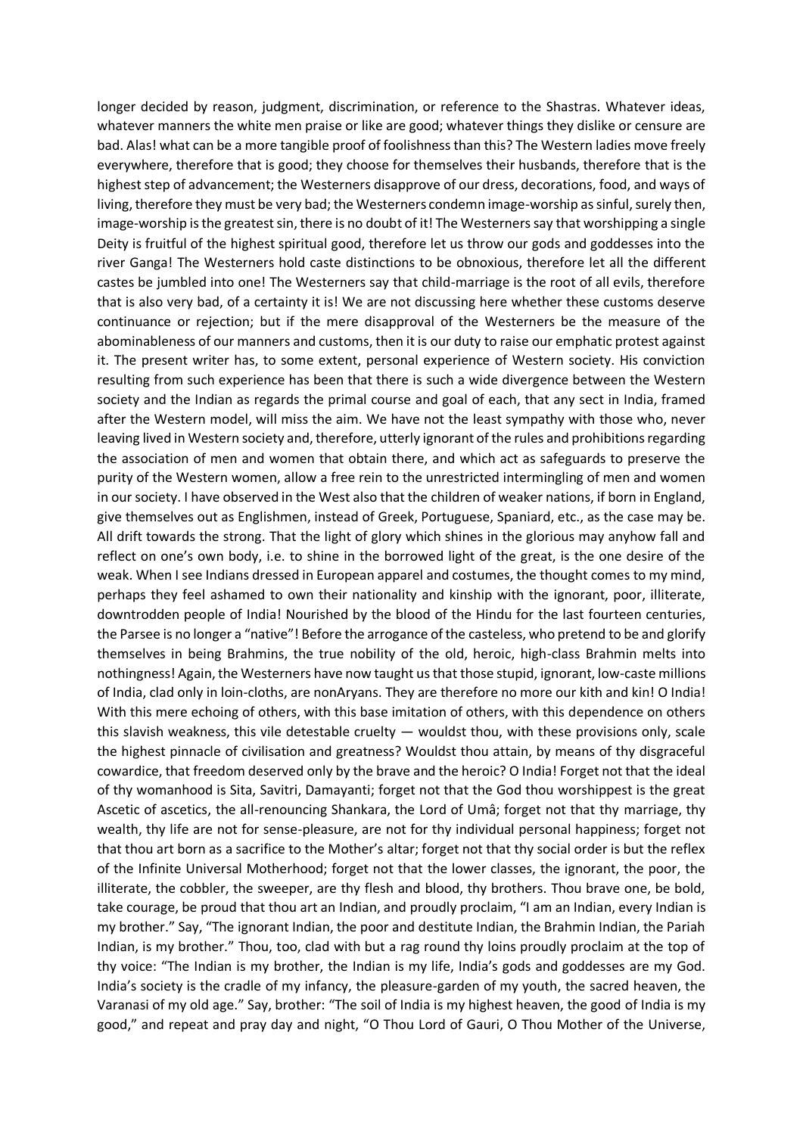longer decided by reason, judgment, discrimination, or reference to the Shastras. Whatever ideas, whatever manners the white men praise or like are good; whatever things they dislike or censure are bad. Alas! what can be a more tangible proof of foolishness than this? The Western ladies move freely everywhere, therefore that is good; they choose for themselves their husbands, therefore that is the highest step of advancement; the Westerners disapprove of our dress, decorations, food, and ways of living, therefore they must be very bad; the Westerners condemn image-worship as sinful, surely then, image-worship is the greatest sin, there is no doubt of it! The Westerners say that worshipping a single Deity is fruitful of the highest spiritual good, therefore let us throw our gods and goddesses into the river Ganga! The Westerners hold caste distinctions to be obnoxious, therefore let all the different castes be jumbled into one! The Westerners say that child-marriage is the root of all evils, therefore that is also very bad, of a certainty it is! We are not discussing here whether these customs deserve continuance or rejection; but if the mere disapproval of the Westerners be the measure of the abominableness of our manners and customs, then it is our duty to raise our emphatic protest against it. The present writer has, to some extent, personal experience of Western society. His conviction resulting from such experience has been that there is such a wide divergence between the Western society and the Indian as regards the primal course and goal of each, that any sect in India, framed after the Western model, will miss the aim. We have not the least sympathy with those who, never leaving lived in Western society and, therefore, utterly ignorant of the rules and prohibitions regarding the association of men and women that obtain there, and which act as safeguards to preserve the purity of the Western women, allow a free rein to the unrestricted intermingling of men and women in our society. I have observed in the West also that the children of weaker nations, if born in England, give themselves out as Englishmen, instead of Greek, Portuguese, Spaniard, etc., as the case may be. All drift towards the strong. That the light of glory which shines in the glorious may anyhow fall and reflect on one's own body, i.e. to shine in the borrowed light of the great, is the one desire of the weak. When I see Indians dressed in European apparel and costumes, the thought comes to my mind, perhaps they feel ashamed to own their nationality and kinship with the ignorant, poor, illiterate, downtrodden people of India! Nourished by the blood of the Hindu for the last fourteen centuries, the Parsee is no longer a "native"! Before the arrogance of the casteless, who pretend to be and glorify themselves in being Brahmins, the true nobility of the old, heroic, high-class Brahmin melts into nothingness! Again, the Westerners have now taught us that those stupid, ignorant, low-caste millions of India, clad only in loin-cloths, are nonAryans. They are therefore no more our kith and kin! O India! With this mere echoing of others, with this base imitation of others, with this dependence on others this slavish weakness, this vile detestable cruelty — wouldst thou, with these provisions only, scale the highest pinnacle of civilisation and greatness? Wouldst thou attain, by means of thy disgraceful cowardice, that freedom deserved only by the brave and the heroic? O India! Forget not that the ideal of thy womanhood is Sita, Savitri, Damayanti; forget not that the God thou worshippest is the great Ascetic of ascetics, the all-renouncing Shankara, the Lord of Umâ; forget not that thy marriage, thy wealth, thy life are not for sense-pleasure, are not for thy individual personal happiness; forget not that thou art born as a sacrifice to the Mother's altar; forget not that thy social order is but the reflex of the Infinite Universal Motherhood; forget not that the lower classes, the ignorant, the poor, the illiterate, the cobbler, the sweeper, are thy flesh and blood, thy brothers. Thou brave one, be bold, take courage, be proud that thou art an Indian, and proudly proclaim, "I am an Indian, every Indian is my brother." Say, "The ignorant Indian, the poor and destitute Indian, the Brahmin Indian, the Pariah Indian, is my brother." Thou, too, clad with but a rag round thy loins proudly proclaim at the top of thy voice: "The Indian is my brother, the Indian is my life, India's gods and goddesses are my God. India's society is the cradle of my infancy, the pleasure-garden of my youth, the sacred heaven, the Varanasi of my old age." Say, brother: "The soil of India is my highest heaven, the good of India is my good," and repeat and pray day and night, "O Thou Lord of Gauri, O Thou Mother of the Universe,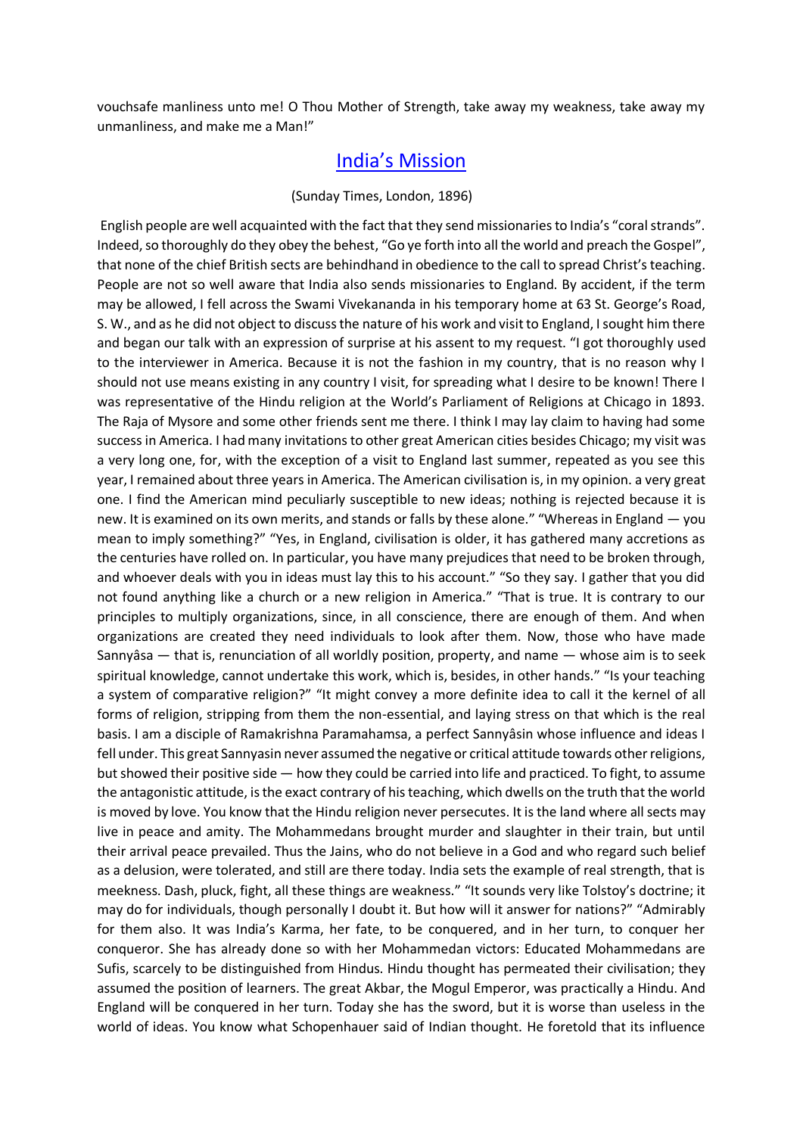vouchsafe manliness unto me! O Thou Mother of Strength, take away my weakness, take away my unmanliness, and make me a Man!"

## India's Mission

#### (Sunday Times, London, 1896)

English people are well acquainted with the fact that they send missionaries to India's "coral strands". Indeed, so thoroughly do they obey the behest, "Go ye forth into all the world and preach the Gospel", that none of the chief British sects are behindhand in obedience to the call to spread Christ's teaching. People are not so well aware that India also sends missionaries to England. By accident, if the term may be allowed, I fell across the Swami Vivekananda in his temporary home at 63 St. George's Road, S. W., and as he did not object to discuss the nature of his work and visit to England, I sought him there and began our talk with an expression of surprise at his assent to my request. "I got thoroughly used to the interviewer in America. Because it is not the fashion in my country, that is no reason why I should not use means existing in any country I visit, for spreading what I desire to be known! There I was representative of the Hindu religion at the World's Parliament of Religions at Chicago in 1893. The Raja of Mysore and some other friends sent me there. I think I may lay claim to having had some success in America. I had many invitations to other great American cities besides Chicago; my visit was a very long one, for, with the exception of a visit to England last summer, repeated as you see this year, I remained about three years in America. The American civilisation is, in my opinion. a very great one. I find the American mind peculiarly susceptible to new ideas; nothing is rejected because it is new. It is examined on its own merits, and stands or falls by these alone." "Whereas in England — you mean to imply something?" "Yes, in England, civilisation is older, it has gathered many accretions as the centuries have rolled on. In particular, you have many prejudices that need to be broken through, and whoever deals with you in ideas must lay this to his account." "So they say. I gather that you did not found anything like a church or a new religion in America." "That is true. It is contrary to our principles to multiply organizations, since, in all conscience, there are enough of them. And when organizations are created they need individuals to look after them. Now, those who have made Sannyâsa — that is, renunciation of all worldly position, property, and name — whose aim is to seek spiritual knowledge, cannot undertake this work, which is, besides, in other hands." "Is your teaching a system of comparative religion?" "It might convey a more definite idea to call it the kernel of all forms of religion, stripping from them the non-essential, and laying stress on that which is the real basis. I am a disciple of Ramakrishna Paramahamsa, a perfect Sannyâsin whose influence and ideas I fell under. This great Sannyasin never assumed the negative or critical attitude towards other religions, but showed their positive side — how they could be carried into life and practiced. To fight, to assume the antagonistic attitude, is the exact contrary of his teaching, which dwells on the truth that the world is moved by love. You know that the Hindu religion never persecutes. It is the land where all sects may live in peace and amity. The Mohammedans brought murder and slaughter in their train, but until their arrival peace prevailed. Thus the Jains, who do not believe in a God and who regard such belief as a delusion, were tolerated, and still are there today. India sets the example of real strength, that is meekness. Dash, pluck, fight, all these things are weakness." "It sounds very like Tolstoy's doctrine; it may do for individuals, though personally I doubt it. But how will it answer for nations?" "Admirably for them also. It was India's Karma, her fate, to be conquered, and in her turn, to conquer her conqueror. She has already done so with her Mohammedan victors: Educated Mohammedans are Sufis, scarcely to be distinguished from Hindus. Hindu thought has permeated their civilisation; they assumed the position of learners. The great Akbar, the Mogul Emperor, was practically a Hindu. And England will be conquered in her turn. Today she has the sword, but it is worse than useless in the world of ideas. You know what Schopenhauer said of Indian thought. He foretold that its influence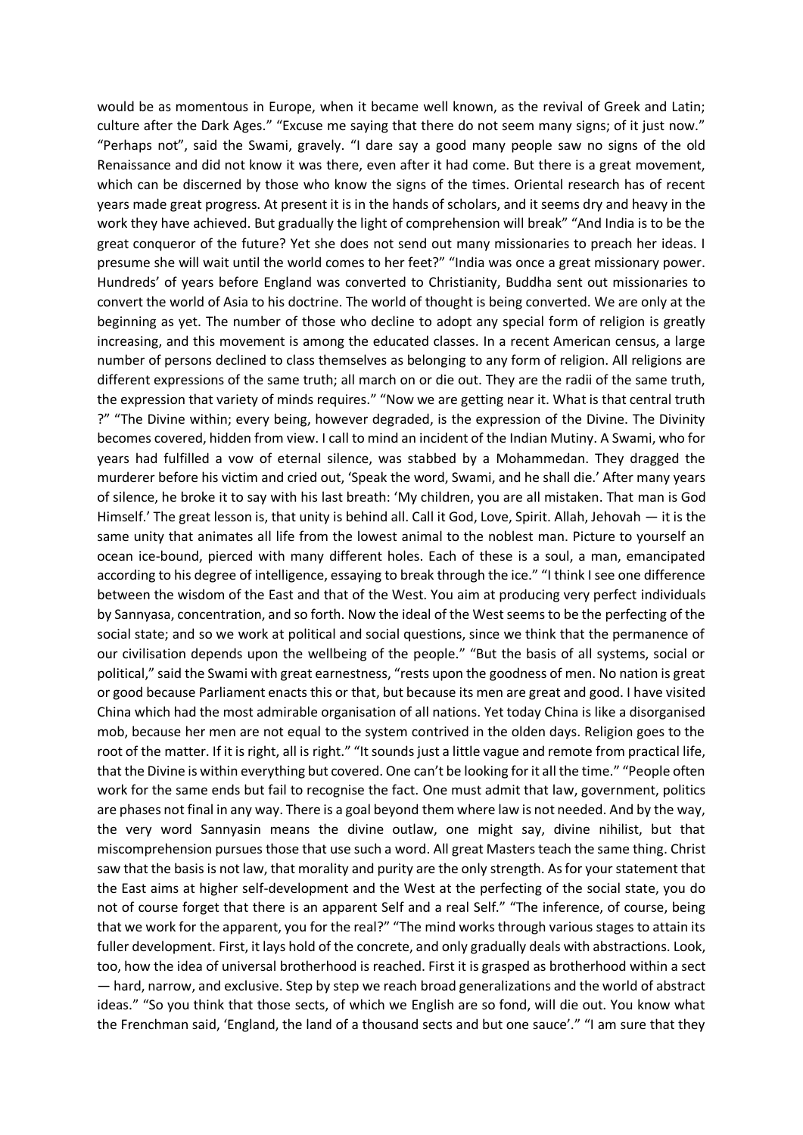would be as momentous in Europe, when it became well known, as the revival of Greek and Latin; culture after the Dark Ages." "Excuse me saying that there do not seem many signs; of it just now." "Perhaps not", said the Swami, gravely. "I dare say a good many people saw no signs of the old Renaissance and did not know it was there, even after it had come. But there is a great movement, which can be discerned by those who know the signs of the times. Oriental research has of recent years made great progress. At present it is in the hands of scholars, and it seems dry and heavy in the work they have achieved. But gradually the light of comprehension will break" "And India is to be the great conqueror of the future? Yet she does not send out many missionaries to preach her ideas. I presume she will wait until the world comes to her feet?" "India was once a great missionary power. Hundreds' of years before England was converted to Christianity, Buddha sent out missionaries to convert the world of Asia to his doctrine. The world of thought is being converted. We are only at the beginning as yet. The number of those who decline to adopt any special form of religion is greatly increasing, and this movement is among the educated classes. In a recent American census, a large number of persons declined to class themselves as belonging to any form of religion. All religions are different expressions of the same truth; all march on or die out. They are the radii of the same truth, the expression that variety of minds requires." "Now we are getting near it. What is that central truth ?" "The Divine within; every being, however degraded, is the expression of the Divine. The Divinity becomes covered, hidden from view. I call to mind an incident of the Indian Mutiny. A Swami, who for years had fulfilled a vow of eternal silence, was stabbed by a Mohammedan. They dragged the murderer before his victim and cried out, 'Speak the word, Swami, and he shall die.' After many years of silence, he broke it to say with his last breath: 'My children, you are all mistaken. That man is God Himself.' The great lesson is, that unity is behind all. Call it God, Love, Spirit. Allah, Jehovah — it is the same unity that animates all life from the lowest animal to the noblest man. Picture to yourself an ocean ice-bound, pierced with many different holes. Each of these is a soul, a man, emancipated according to his degree of intelligence, essaying to break through the ice." "I think I see one difference between the wisdom of the East and that of the West. You aim at producing very perfect individuals by Sannyasa, concentration, and so forth. Now the ideal of the West seems to be the perfecting of the social state; and so we work at political and social questions, since we think that the permanence of our civilisation depends upon the wellbeing of the people." "But the basis of all systems, social or political," said the Swami with great earnestness, "rests upon the goodness of men. No nation is great or good because Parliament enacts this or that, but because its men are great and good. I have visited China which had the most admirable organisation of all nations. Yet today China is like a disorganised mob, because her men are not equal to the system contrived in the olden days. Religion goes to the root of the matter. If it is right, all is right." "It sounds just a little vague and remote from practical life, that the Divine is within everything but covered. One can't be looking for it all the time." "People often work for the same ends but fail to recognise the fact. One must admit that law, government, politics are phases not final in any way. There is a goal beyond them where law is not needed. And by the way, the very word Sannyasin means the divine outlaw, one might say, divine nihilist, but that miscomprehension pursues those that use such a word. All great Masters teach the same thing. Christ saw that the basis is not law, that morality and purity are the only strength. As for your statement that the East aims at higher self-development and the West at the perfecting of the social state, you do not of course forget that there is an apparent Self and a real Self." "The inference, of course, being that we work for the apparent, you for the real?" "The mind works through various stages to attain its fuller development. First, it lays hold of the concrete, and only gradually deals with abstractions. Look, too, how the idea of universal brotherhood is reached. First it is grasped as brotherhood within a sect — hard, narrow, and exclusive. Step by step we reach broad generalizations and the world of abstract ideas." "So you think that those sects, of which we English are so fond, will die out. You know what the Frenchman said, 'England, the land of a thousand sects and but one sauce'." "I am sure that they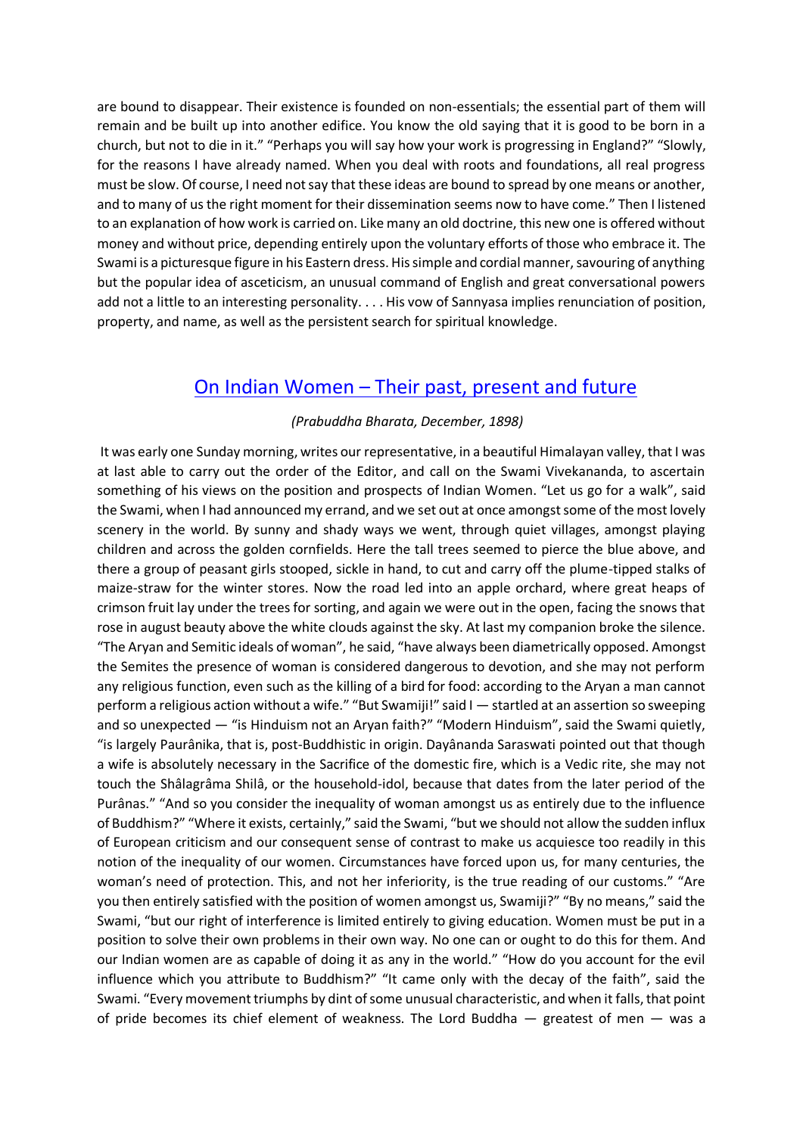are bound to disappear. Their existence is founded on non-essentials; the essential part of them will remain and be built up into another edifice. You know the old saying that it is good to be born in a church, but not to die in it." "Perhaps you will say how your work is progressing in England?" "Slowly, for the reasons I have already named. When you deal with roots and foundations, all real progress must be slow. Of course, I need not say that these ideas are bound to spread by one means or another, and to many of us the right moment for their dissemination seems now to have come." Then I listened to an explanation of how work is carried on. Like many an old doctrine, this new one is offered without money and without price, depending entirely upon the voluntary efforts of those who embrace it. The Swami is a picturesque figure in his Eastern dress. His simple and cordial manner, savouring of anything but the popular idea of asceticism, an unusual command of English and great conversational powers add not a little to an interesting personality. . . . His vow of Sannyasa implies renunciation of position, property, and name, as well as the persistent search for spiritual knowledge.

## On Indian Women – Their past, present and future

### *(Prabuddha Bharata, December, 1898)*

It was early one Sunday morning, writes our representative, in a beautiful Himalayan valley, that I was at last able to carry out the order of the Editor, and call on the Swami Vivekananda, to ascertain something of his views on the position and prospects of Indian Women. "Let us go for a walk", said the Swami, when I had announced my errand, and we set out at once amongst some of the most lovely scenery in the world. By sunny and shady ways we went, through quiet villages, amongst playing children and across the golden cornfields. Here the tall trees seemed to pierce the blue above, and there a group of peasant girls stooped, sickle in hand, to cut and carry off the plume-tipped stalks of maize-straw for the winter stores. Now the road led into an apple orchard, where great heaps of crimson fruit lay under the trees for sorting, and again we were out in the open, facing the snows that rose in august beauty above the white clouds against the sky. At last my companion broke the silence. "The Aryan and Semitic ideals of woman", he said, "have always been diametrically opposed. Amongst the Semites the presence of woman is considered dangerous to devotion, and she may not perform any religious function, even such as the killing of a bird for food: according to the Aryan a man cannot perform a religious action without a wife." "But Swamiji!" said I — startled at an assertion so sweeping and so unexpected — "is Hinduism not an Aryan faith?" "Modern Hinduism", said the Swami quietly, "is largely Paurânika, that is, post-Buddhistic in origin. Dayânanda Saraswati pointed out that though a wife is absolutely necessary in the Sacrifice of the domestic fire, which is a Vedic rite, she may not touch the Shâlagrâma Shilâ, or the household-idol, because that dates from the later period of the Purânas." "And so you consider the inequality of woman amongst us as entirely due to the influence of Buddhism?" "Where it exists, certainly," said the Swami, "but we should not allow the sudden influx of European criticism and our consequent sense of contrast to make us acquiesce too readily in this notion of the inequality of our women. Circumstances have forced upon us, for many centuries, the woman's need of protection. This, and not her inferiority, is the true reading of our customs." "Are you then entirely satisfied with the position of women amongst us, Swamiji?" "By no means," said the Swami, "but our right of interference is limited entirely to giving education. Women must be put in a position to solve their own problems in their own way. No one can or ought to do this for them. And our Indian women are as capable of doing it as any in the world." "How do you account for the evil influence which you attribute to Buddhism?" "It came only with the decay of the faith", said the Swami. "Every movement triumphs by dint of some unusual characteristic, and when it falls, that point of pride becomes its chief element of weakness. The Lord Buddha — greatest of men — was a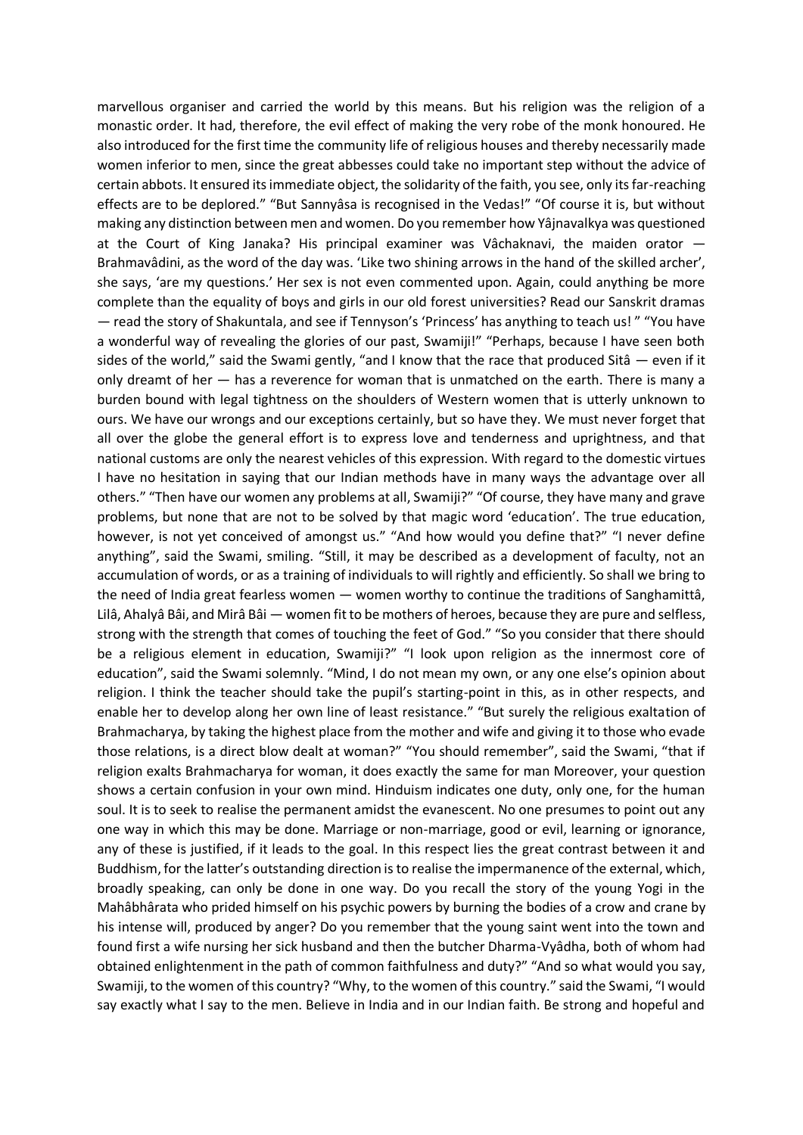marvellous organiser and carried the world by this means. But his religion was the religion of a monastic order. It had, therefore, the evil effect of making the very robe of the monk honoured. He also introduced for the first time the community life of religious houses and thereby necessarily made women inferior to men, since the great abbesses could take no important step without the advice of certain abbots. It ensured its immediate object, the solidarity of the faith, you see, only its far-reaching effects are to be deplored." "But Sannyâsa is recognised in the Vedas!" "Of course it is, but without making any distinction between men and women. Do you remember how Yâjnavalkya was questioned at the Court of King Janaka? His principal examiner was Vâchaknavi, the maiden orator — Brahmavâdini, as the word of the day was. 'Like two shining arrows in the hand of the skilled archer', she says, 'are my questions.' Her sex is not even commented upon. Again, could anything be more complete than the equality of boys and girls in our old forest universities? Read our Sanskrit dramas — read the story of Shakuntala, and see if Tennyson's 'Princess' has anything to teach us! " "You have a wonderful way of revealing the glories of our past, Swamiji!" "Perhaps, because I have seen both sides of the world," said the Swami gently, "and I know that the race that produced Sitâ - even if it only dreamt of her — has a reverence for woman that is unmatched on the earth. There is many a burden bound with legal tightness on the shoulders of Western women that is utterly unknown to ours. We have our wrongs and our exceptions certainly, but so have they. We must never forget that all over the globe the general effort is to express love and tenderness and uprightness, and that national customs are only the nearest vehicles of this expression. With regard to the domestic virtues I have no hesitation in saying that our Indian methods have in many ways the advantage over all others." "Then have our women any problems at all, Swamiji?" "Of course, they have many and grave problems, but none that are not to be solved by that magic word 'education'. The true education, however, is not yet conceived of amongst us." "And how would you define that?" "I never define anything", said the Swami, smiling. "Still, it may be described as a development of faculty, not an accumulation of words, or as a training of individuals to will rightly and efficiently. So shall we bring to the need of India great fearless women — women worthy to continue the traditions of Sanghamittâ, Lilâ, Ahalyâ Bâi, and Mirâ Bâi — women fit to be mothers of heroes, because they are pure and selfless, strong with the strength that comes of touching the feet of God." "So you consider that there should be a religious element in education, Swamiji?" "I look upon religion as the innermost core of education", said the Swami solemnly. "Mind, I do not mean my own, or any one else's opinion about religion. I think the teacher should take the pupil's starting-point in this, as in other respects, and enable her to develop along her own line of least resistance." "But surely the religious exaltation of Brahmacharya, by taking the highest place from the mother and wife and giving it to those who evade those relations, is a direct blow dealt at woman?" "You should remember", said the Swami, "that if religion exalts Brahmacharya for woman, it does exactly the same for man Moreover, your question shows a certain confusion in your own mind. Hinduism indicates one duty, only one, for the human soul. It is to seek to realise the permanent amidst the evanescent. No one presumes to point out any one way in which this may be done. Marriage or non-marriage, good or evil, learning or ignorance, any of these is justified, if it leads to the goal. In this respect lies the great contrast between it and Buddhism, for the latter's outstanding direction is to realise the impermanence of the external, which, broadly speaking, can only be done in one way. Do you recall the story of the young Yogi in the Mahâbhârata who prided himself on his psychic powers by burning the bodies of a crow and crane by his intense will, produced by anger? Do you remember that the young saint went into the town and found first a wife nursing her sick husband and then the butcher Dharma-Vyâdha, both of whom had obtained enlightenment in the path of common faithfulness and duty?" "And so what would you say, Swamiji, to the women of this country? "Why, to the women of this country." said the Swami, "I would say exactly what I say to the men. Believe in India and in our Indian faith. Be strong and hopeful and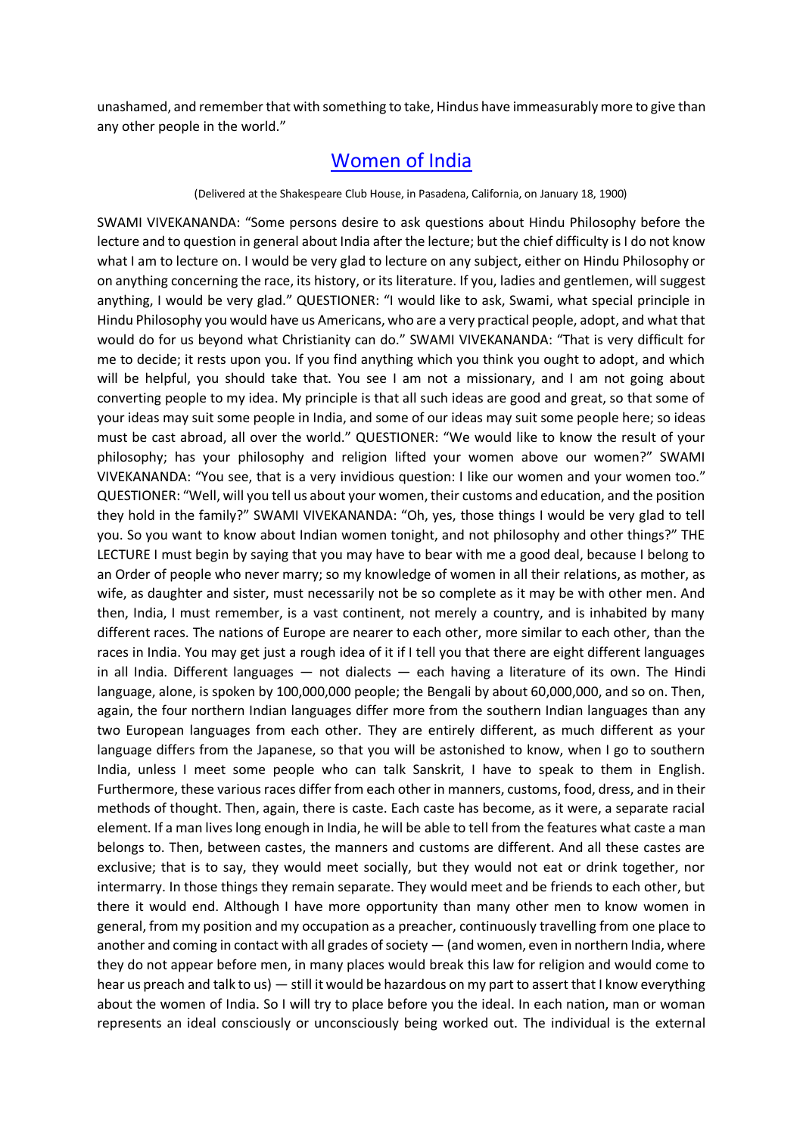unashamed, and remember that with something to take, Hindus have immeasurably more to give than any other people in the world."

# Women of India

(Delivered at the Shakespeare Club House, in Pasadena, California, on January 18, 1900)

SWAMI VIVEKANANDA: "Some persons desire to ask questions about Hindu Philosophy before the lecture and to question in general about India after the lecture; but the chief difficulty is I do not know what I am to lecture on. I would be very glad to lecture on any subject, either on Hindu Philosophy or on anything concerning the race, its history, or its literature. If you, ladies and gentlemen, will suggest anything, I would be very glad." QUESTIONER: "I would like to ask, Swami, what special principle in Hindu Philosophy you would have us Americans, who are a very practical people, adopt, and what that would do for us beyond what Christianity can do." SWAMI VIVEKANANDA: "That is very difficult for me to decide; it rests upon you. If you find anything which you think you ought to adopt, and which will be helpful, you should take that. You see I am not a missionary, and I am not going about converting people to my idea. My principle is that all such ideas are good and great, so that some of your ideas may suit some people in India, and some of our ideas may suit some people here; so ideas must be cast abroad, all over the world." QUESTIONER: "We would like to know the result of your philosophy; has your philosophy and religion lifted your women above our women?" SWAMI VIVEKANANDA: "You see, that is a very invidious question: I like our women and your women too." QUESTIONER: "Well, will you tell us about your women, their customs and education, and the position they hold in the family?" SWAMI VIVEKANANDA: "Oh, yes, those things I would be very glad to tell you. So you want to know about Indian women tonight, and not philosophy and other things?" THE LECTURE I must begin by saying that you may have to bear with me a good deal, because I belong to an Order of people who never marry; so my knowledge of women in all their relations, as mother, as wife, as daughter and sister, must necessarily not be so complete as it may be with other men. And then, India, I must remember, is a vast continent, not merely a country, and is inhabited by many different races. The nations of Europe are nearer to each other, more similar to each other, than the races in India. You may get just a rough idea of it if I tell you that there are eight different languages in all India. Different languages  $-$  not dialects  $-$  each having a literature of its own. The Hindi language, alone, is spoken by 100,000,000 people; the Bengali by about 60,000,000, and so on. Then, again, the four northern Indian languages differ more from the southern Indian languages than any two European languages from each other. They are entirely different, as much different as your language differs from the Japanese, so that you will be astonished to know, when I go to southern India, unless I meet some people who can talk Sanskrit, I have to speak to them in English. Furthermore, these various races differ from each other in manners, customs, food, dress, and in their methods of thought. Then, again, there is caste. Each caste has become, as it were, a separate racial element. If a man lives long enough in India, he will be able to tell from the features what caste a man belongs to. Then, between castes, the manners and customs are different. And all these castes are exclusive; that is to say, they would meet socially, but they would not eat or drink together, nor intermarry. In those things they remain separate. They would meet and be friends to each other, but there it would end. Although I have more opportunity than many other men to know women in general, from my position and my occupation as a preacher, continuously travelling from one place to another and coming in contact with all grades of society — (and women, even in northern India, where they do not appear before men, in many places would break this law for religion and would come to hear us preach and talk to us) — still it would be hazardous on my part to assert that I know everything about the women of India. So I will try to place before you the ideal. In each nation, man or woman represents an ideal consciously or unconsciously being worked out. The individual is the external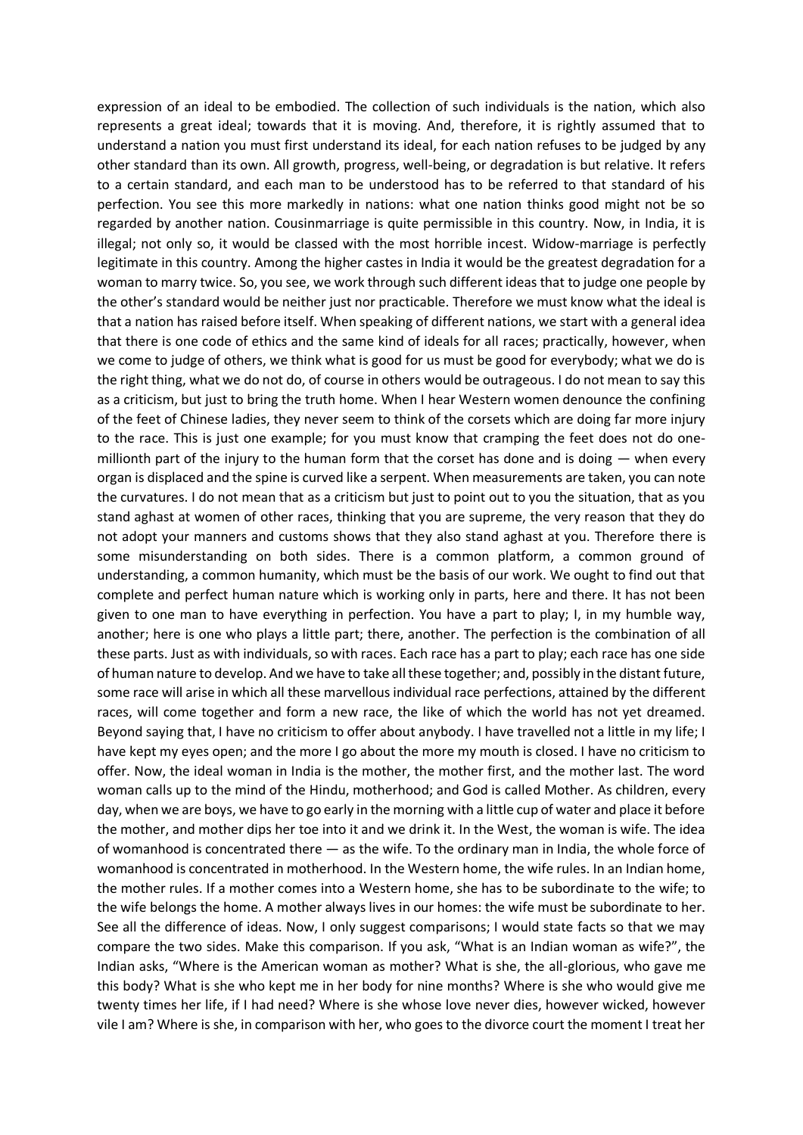expression of an ideal to be embodied. The collection of such individuals is the nation, which also represents a great ideal; towards that it is moving. And, therefore, it is rightly assumed that to understand a nation you must first understand its ideal, for each nation refuses to be judged by any other standard than its own. All growth, progress, well-being, or degradation is but relative. It refers to a certain standard, and each man to be understood has to be referred to that standard of his perfection. You see this more markedly in nations: what one nation thinks good might not be so regarded by another nation. Cousinmarriage is quite permissible in this country. Now, in India, it is illegal; not only so, it would be classed with the most horrible incest. Widow-marriage is perfectly legitimate in this country. Among the higher castes in India it would be the greatest degradation for a woman to marry twice. So, you see, we work through such different ideas that to judge one people by the other's standard would be neither just nor practicable. Therefore we must know what the ideal is that a nation has raised before itself. When speaking of different nations, we start with a general idea that there is one code of ethics and the same kind of ideals for all races; practically, however, when we come to judge of others, we think what is good for us must be good for everybody; what we do is the right thing, what we do not do, of course in others would be outrageous. I do not mean to say this as a criticism, but just to bring the truth home. When I hear Western women denounce the confining of the feet of Chinese ladies, they never seem to think of the corsets which are doing far more injury to the race. This is just one example; for you must know that cramping the feet does not do onemillionth part of the injury to the human form that the corset has done and is doing  $-$  when every organ is displaced and the spine is curved like a serpent. When measurements are taken, you can note the curvatures. I do not mean that as a criticism but just to point out to you the situation, that as you stand aghast at women of other races, thinking that you are supreme, the very reason that they do not adopt your manners and customs shows that they also stand aghast at you. Therefore there is some misunderstanding on both sides. There is a common platform, a common ground of understanding, a common humanity, which must be the basis of our work. We ought to find out that complete and perfect human nature which is working only in parts, here and there. It has not been given to one man to have everything in perfection. You have a part to play; I, in my humble way, another; here is one who plays a little part; there, another. The perfection is the combination of all these parts. Just as with individuals, so with races. Each race has a part to play; each race has one side of human nature to develop. And we have to take all these together; and, possibly in the distant future, some race will arise in which all these marvellous individual race perfections, attained by the different races, will come together and form a new race, the like of which the world has not yet dreamed. Beyond saying that, I have no criticism to offer about anybody. I have travelled not a little in my life; I have kept my eyes open; and the more I go about the more my mouth is closed. I have no criticism to offer. Now, the ideal woman in India is the mother, the mother first, and the mother last. The word woman calls up to the mind of the Hindu, motherhood; and God is called Mother. As children, every day, when we are boys, we have to go early in the morning with a little cup of water and place it before the mother, and mother dips her toe into it and we drink it. In the West, the woman is wife. The idea of womanhood is concentrated there — as the wife. To the ordinary man in India, the whole force of womanhood is concentrated in motherhood. In the Western home, the wife rules. In an Indian home, the mother rules. If a mother comes into a Western home, she has to be subordinate to the wife; to the wife belongs the home. A mother always lives in our homes: the wife must be subordinate to her. See all the difference of ideas. Now, I only suggest comparisons; I would state facts so that we may compare the two sides. Make this comparison. If you ask, "What is an Indian woman as wife?", the Indian asks, "Where is the American woman as mother? What is she, the all-glorious, who gave me this body? What is she who kept me in her body for nine months? Where is she who would give me twenty times her life, if I had need? Where is she whose love never dies, however wicked, however vile I am? Where is she, in comparison with her, who goes to the divorce court the moment I treat her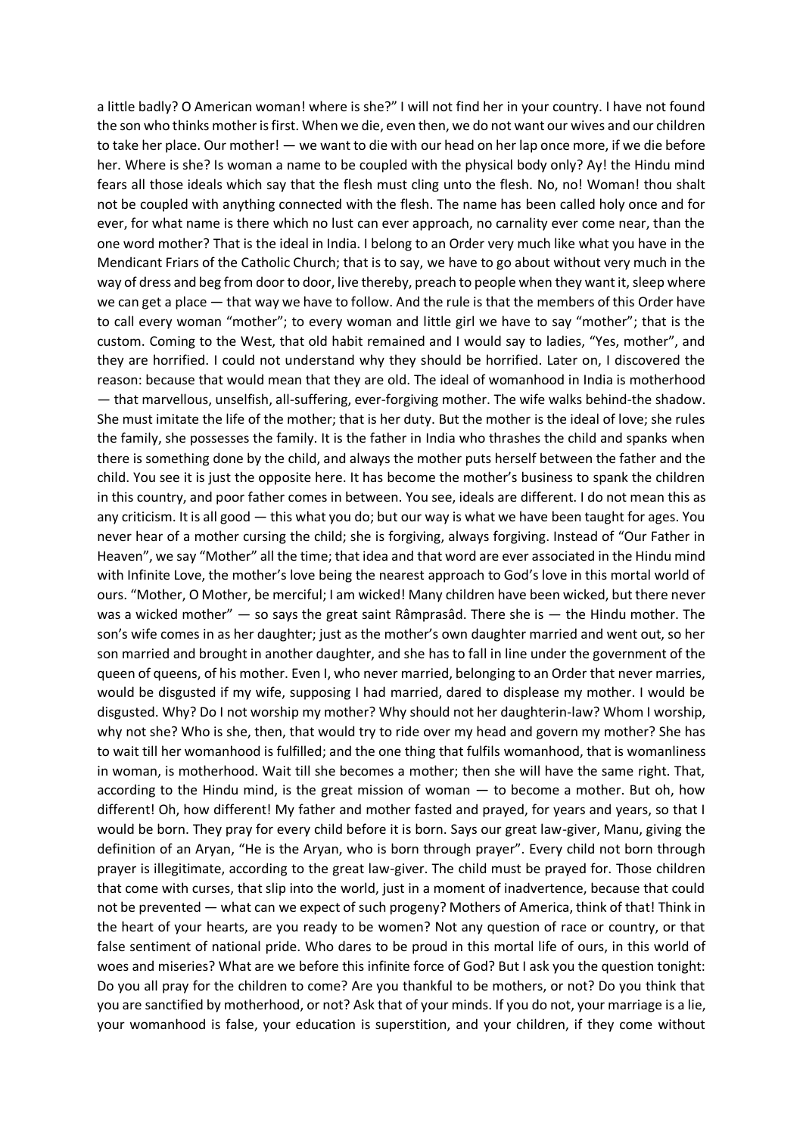a little badly? O American woman! where is she?" I will not find her in your country. I have not found the son who thinks mother is first. When we die, even then, we do not want our wives and our children to take her place. Our mother! — we want to die with our head on her lap once more, if we die before her. Where is she? Is woman a name to be coupled with the physical body only? Ay! the Hindu mind fears all those ideals which say that the flesh must cling unto the flesh. No, no! Woman! thou shalt not be coupled with anything connected with the flesh. The name has been called holy once and for ever, for what name is there which no lust can ever approach, no carnality ever come near, than the one word mother? That is the ideal in India. I belong to an Order very much like what you have in the Mendicant Friars of the Catholic Church; that is to say, we have to go about without very much in the way of dress and beg from door to door, live thereby, preach to people when they want it, sleep where we can get a place — that way we have to follow. And the rule is that the members of this Order have to call every woman "mother"; to every woman and little girl we have to say "mother"; that is the custom. Coming to the West, that old habit remained and I would say to ladies, "Yes, mother", and they are horrified. I could not understand why they should be horrified. Later on, I discovered the reason: because that would mean that they are old. The ideal of womanhood in India is motherhood — that marvellous, unselfish, all-suffering, ever-forgiving mother. The wife walks behind-the shadow. She must imitate the life of the mother; that is her duty. But the mother is the ideal of love; she rules the family, she possesses the family. It is the father in India who thrashes the child and spanks when there is something done by the child, and always the mother puts herself between the father and the child. You see it is just the opposite here. It has become the mother's business to spank the children in this country, and poor father comes in between. You see, ideals are different. I do not mean this as any criticism. It is all good — this what you do; but our way is what we have been taught for ages. You never hear of a mother cursing the child; she is forgiving, always forgiving. Instead of "Our Father in Heaven", we say "Mother" all the time; that idea and that word are ever associated in the Hindu mind with Infinite Love, the mother's love being the nearest approach to God's love in this mortal world of ours. "Mother, O Mother, be merciful; I am wicked! Many children have been wicked, but there never was a wicked mother" — so says the great saint Râmprasâd. There she is — the Hindu mother. The son's wife comes in as her daughter; just as the mother's own daughter married and went out, so her son married and brought in another daughter, and she has to fall in line under the government of the queen of queens, of his mother. Even I, who never married, belonging to an Order that never marries, would be disgusted if my wife, supposing I had married, dared to displease my mother. I would be disgusted. Why? Do I not worship my mother? Why should not her daughterin-law? Whom I worship, why not she? Who is she, then, that would try to ride over my head and govern my mother? She has to wait till her womanhood is fulfilled; and the one thing that fulfils womanhood, that is womanliness in woman, is motherhood. Wait till she becomes a mother; then she will have the same right. That, according to the Hindu mind, is the great mission of woman — to become a mother. But oh, how different! Oh, how different! My father and mother fasted and prayed, for years and years, so that I would be born. They pray for every child before it is born. Says our great law-giver, Manu, giving the definition of an Aryan, "He is the Aryan, who is born through prayer". Every child not born through prayer is illegitimate, according to the great law-giver. The child must be prayed for. Those children that come with curses, that slip into the world, just in a moment of inadvertence, because that could not be prevented — what can we expect of such progeny? Mothers of America, think of that! Think in the heart of your hearts, are you ready to be women? Not any question of race or country, or that false sentiment of national pride. Who dares to be proud in this mortal life of ours, in this world of woes and miseries? What are we before this infinite force of God? But I ask you the question tonight: Do you all pray for the children to come? Are you thankful to be mothers, or not? Do you think that you are sanctified by motherhood, or not? Ask that of your minds. If you do not, your marriage is a lie, your womanhood is false, your education is superstition, and your children, if they come without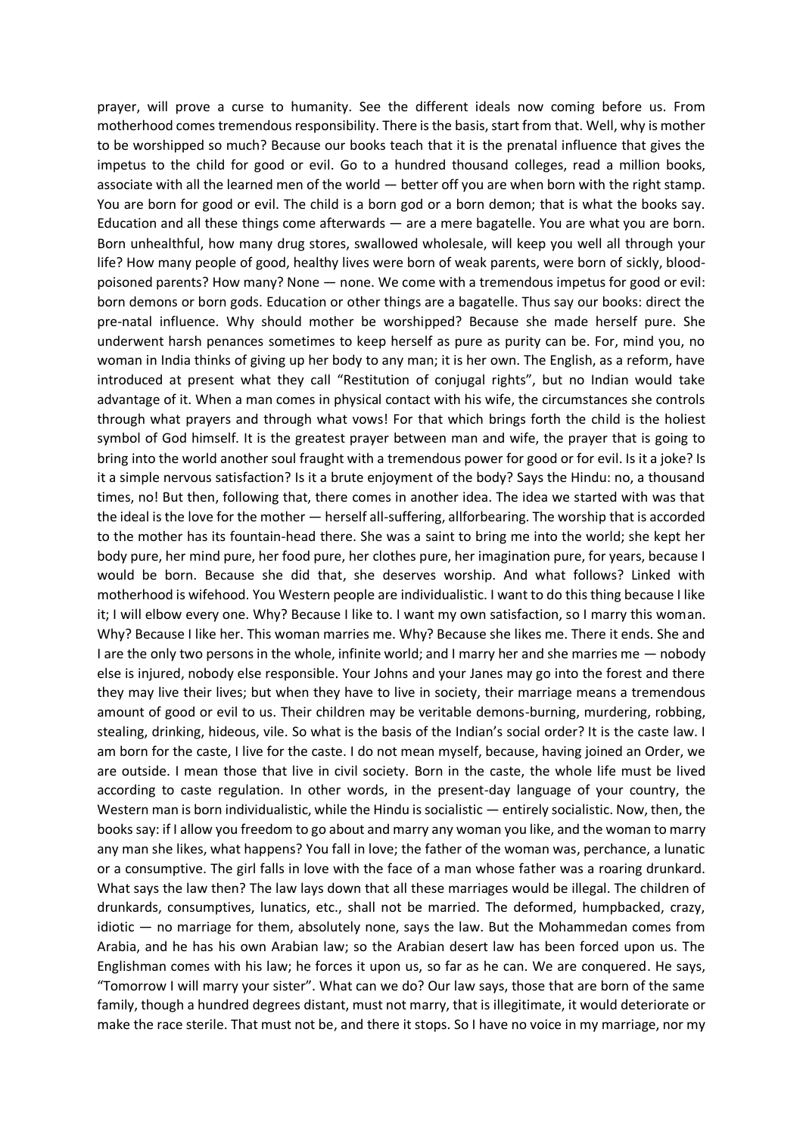prayer, will prove a curse to humanity. See the different ideals now coming before us. From motherhood comes tremendous responsibility. There is the basis, start from that. Well, why is mother to be worshipped so much? Because our books teach that it is the prenatal influence that gives the impetus to the child for good or evil. Go to a hundred thousand colleges, read a million books, associate with all the learned men of the world — better off you are when born with the right stamp. You are born for good or evil. The child is a born god or a born demon; that is what the books say. Education and all these things come afterwards — are a mere bagatelle. You are what you are born. Born unhealthful, how many drug stores, swallowed wholesale, will keep you well all through your life? How many people of good, healthy lives were born of weak parents, were born of sickly, bloodpoisoned parents? How many? None — none. We come with a tremendous impetus for good or evil: born demons or born gods. Education or other things are a bagatelle. Thus say our books: direct the pre-natal influence. Why should mother be worshipped? Because she made herself pure. She underwent harsh penances sometimes to keep herself as pure as purity can be. For, mind you, no woman in India thinks of giving up her body to any man; it is her own. The English, as a reform, have introduced at present what they call "Restitution of conjugal rights", but no Indian would take advantage of it. When a man comes in physical contact with his wife, the circumstances she controls through what prayers and through what vows! For that which brings forth the child is the holiest symbol of God himself. It is the greatest prayer between man and wife, the prayer that is going to bring into the world another soul fraught with a tremendous power for good or for evil. Is it a joke? Is it a simple nervous satisfaction? Is it a brute enjoyment of the body? Says the Hindu: no, a thousand times, no! But then, following that, there comes in another idea. The idea we started with was that the ideal is the love for the mother — herself all-suffering, allforbearing. The worship that is accorded to the mother has its fountain-head there. She was a saint to bring me into the world; she kept her body pure, her mind pure, her food pure, her clothes pure, her imagination pure, for years, because I would be born. Because she did that, she deserves worship. And what follows? Linked with motherhood is wifehood. You Western people are individualistic. I want to do this thing because I like it; I will elbow every one. Why? Because I like to. I want my own satisfaction, so I marry this woman. Why? Because I like her. This woman marries me. Why? Because she likes me. There it ends. She and I are the only two persons in the whole, infinite world; and I marry her and she marries me — nobody else is injured, nobody else responsible. Your Johns and your Janes may go into the forest and there they may live their lives; but when they have to live in society, their marriage means a tremendous amount of good or evil to us. Their children may be veritable demons-burning, murdering, robbing, stealing, drinking, hideous, vile. So what is the basis of the Indian's social order? It is the caste law. I am born for the caste, I live for the caste. I do not mean myself, because, having joined an Order, we are outside. I mean those that live in civil society. Born in the caste, the whole life must be lived according to caste regulation. In other words, in the present-day language of your country, the Western man is born individualistic, while the Hindu is socialistic — entirely socialistic. Now, then, the books say: if I allow you freedom to go about and marry any woman you like, and the woman to marry any man she likes, what happens? You fall in love; the father of the woman was, perchance, a lunatic or a consumptive. The girl falls in love with the face of a man whose father was a roaring drunkard. What says the law then? The law lays down that all these marriages would be illegal. The children of drunkards, consumptives, lunatics, etc., shall not be married. The deformed, humpbacked, crazy, idiotic — no marriage for them, absolutely none, says the law. But the Mohammedan comes from Arabia, and he has his own Arabian law; so the Arabian desert law has been forced upon us. The Englishman comes with his law; he forces it upon us, so far as he can. We are conquered. He says, "Tomorrow I will marry your sister". What can we do? Our law says, those that are born of the same family, though a hundred degrees distant, must not marry, that is illegitimate, it would deteriorate or make the race sterile. That must not be, and there it stops. So I have no voice in my marriage, nor my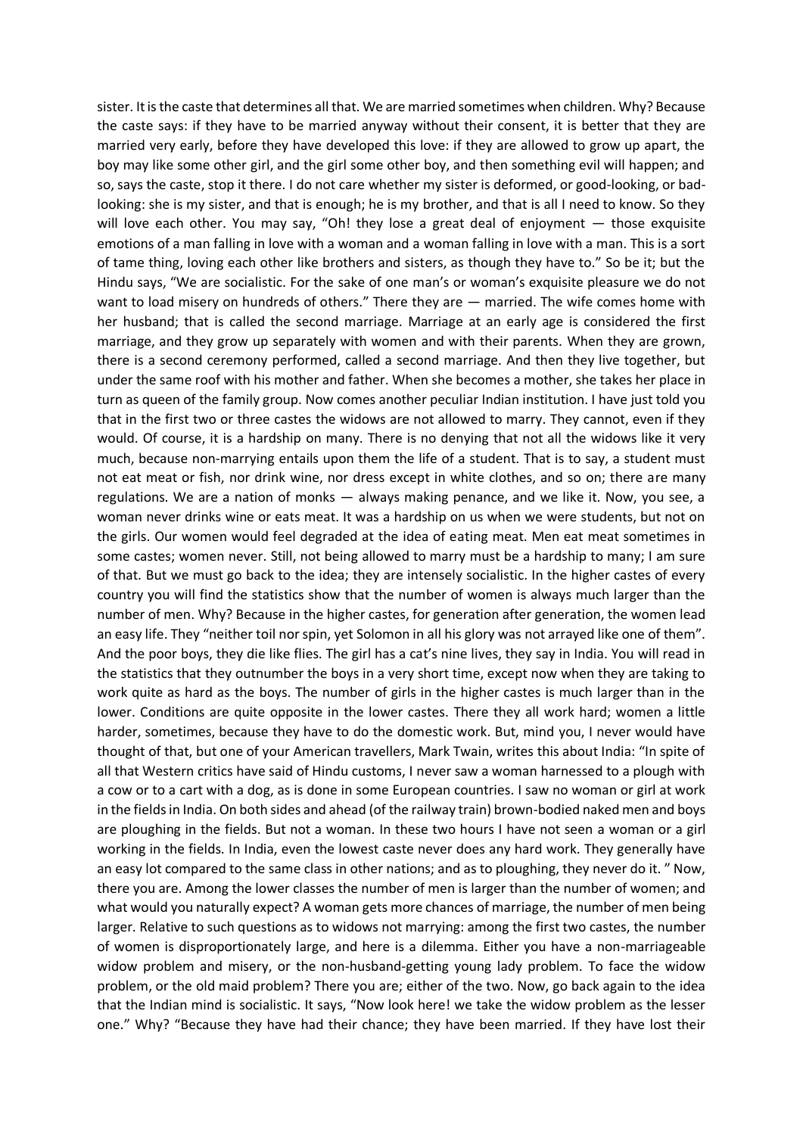sister. It is the caste that determines all that. We are married sometimes when children. Why? Because the caste says: if they have to be married anyway without their consent, it is better that they are married very early, before they have developed this love: if they are allowed to grow up apart, the boy may like some other girl, and the girl some other boy, and then something evil will happen; and so, says the caste, stop it there. I do not care whether my sister is deformed, or good-looking, or badlooking: she is my sister, and that is enough; he is my brother, and that is all I need to know. So they will love each other. You may say, "Oh! they lose a great deal of enjoyment — those exquisite emotions of a man falling in love with a woman and a woman falling in love with a man. This is a sort of tame thing, loving each other like brothers and sisters, as though they have to." So be it; but the Hindu says, "We are socialistic. For the sake of one man's or woman's exquisite pleasure we do not want to load misery on hundreds of others." There they are — married. The wife comes home with her husband; that is called the second marriage. Marriage at an early age is considered the first marriage, and they grow up separately with women and with their parents. When they are grown, there is a second ceremony performed, called a second marriage. And then they live together, but under the same roof with his mother and father. When she becomes a mother, she takes her place in turn as queen of the family group. Now comes another peculiar Indian institution. I have just told you that in the first two or three castes the widows are not allowed to marry. They cannot, even if they would. Of course, it is a hardship on many. There is no denying that not all the widows like it very much, because non-marrying entails upon them the life of a student. That is to say, a student must not eat meat or fish, nor drink wine, nor dress except in white clothes, and so on; there are many regulations. We are a nation of monks — always making penance, and we like it. Now, you see, a woman never drinks wine or eats meat. It was a hardship on us when we were students, but not on the girls. Our women would feel degraded at the idea of eating meat. Men eat meat sometimes in some castes; women never. Still, not being allowed to marry must be a hardship to many; I am sure of that. But we must go back to the idea; they are intensely socialistic. In the higher castes of every country you will find the statistics show that the number of women is always much larger than the number of men. Why? Because in the higher castes, for generation after generation, the women lead an easy life. They "neither toil nor spin, yet Solomon in all his glory was not arrayed like one of them". And the poor boys, they die like flies. The girl has a cat's nine lives, they say in India. You will read in the statistics that they outnumber the boys in a very short time, except now when they are taking to work quite as hard as the boys. The number of girls in the higher castes is much larger than in the lower. Conditions are quite opposite in the lower castes. There they all work hard; women a little harder, sometimes, because they have to do the domestic work. But, mind you, I never would have thought of that, but one of your American travellers, Mark Twain, writes this about India: "In spite of all that Western critics have said of Hindu customs, I never saw a woman harnessed to a plough with a cow or to a cart with a dog, as is done in some European countries. I saw no woman or girl at work in the fields in India. On both sides and ahead (of the railway train) brown-bodied naked men and boys are ploughing in the fields. But not a woman. In these two hours I have not seen a woman or a girl working in the fields. In India, even the lowest caste never does any hard work. They generally have an easy lot compared to the same class in other nations; and as to ploughing, they never do it. " Now, there you are. Among the lower classes the number of men is larger than the number of women; and what would you naturally expect? A woman gets more chances of marriage, the number of men being larger. Relative to such questions as to widows not marrying: among the first two castes, the number of women is disproportionately large, and here is a dilemma. Either you have a non-marriageable widow problem and misery, or the non-husband-getting young lady problem. To face the widow problem, or the old maid problem? There you are; either of the two. Now, go back again to the idea that the Indian mind is socialistic. It says, "Now look here! we take the widow problem as the lesser one." Why? "Because they have had their chance; they have been married. If they have lost their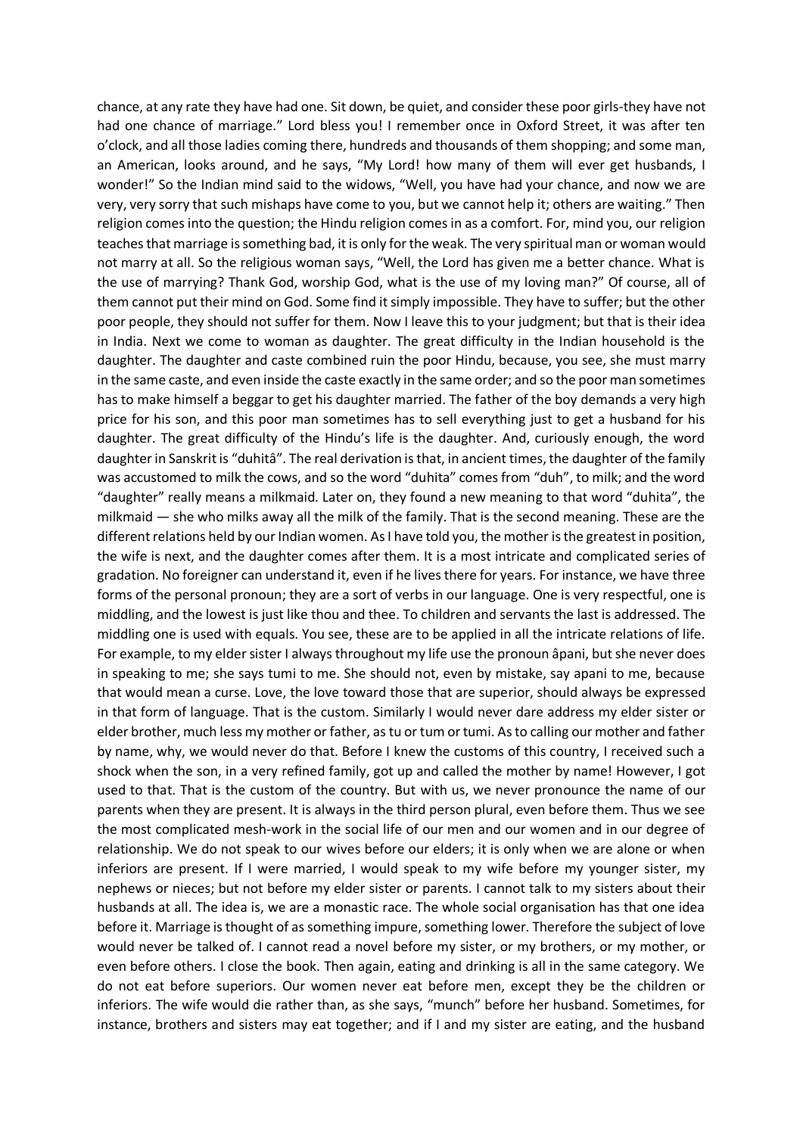chance, at any rate they have had one. Sit down, be quiet, and consider these poor girls-they have not had one chance of marriage." Lord bless you! I remember once in Oxford Street, it was after ten o'clock, and all those ladies coming there, hundreds and thousands of them shopping; and some man, an American, looks around, and he says, "My Lord! how many of them will ever get husbands, I wonder!" So the Indian mind said to the widows, "Well, you have had your chance, and now we are very, very sorry that such mishaps have come to you, but we cannot help it; others are waiting." Then religion comes into the question; the Hindu religion comes in as a comfort. For, mind you, our religion teaches that marriage is something bad, it is only for the weak. The very spiritual man or woman would not marry at all. So the religious woman says, "Well, the Lord has given me a better chance. What is the use of marrying? Thank God, worship God, what is the use of my loving man?" Of course, all of them cannot put their mind on God. Some find it simply impossible. They have to suffer; but the other poor people, they should not suffer for them. Now I leave this to your judgment; but that is their idea in India. Next we come to woman as daughter. The great difficulty in the Indian household is the daughter. The daughter and caste combined ruin the poor Hindu, because, you see, she must marry in the same caste, and even inside the caste exactly in the same order; and so the poor man sometimes has to make himself a beggar to get his daughter married. The father of the boy demands a very high price for his son, and this poor man sometimes has to sell everything just to get a husband for his daughter. The great difficulty of the Hindu's life is the daughter. And, curiously enough, the word daughter in Sanskrit is "duhitâ". The real derivation is that, in ancient times, the daughter of the family was accustomed to milk the cows, and so the word "duhita" comes from "duh", to milk; and the word "daughter" really means a milkmaid. Later on, they found a new meaning to that word "duhita", the milkmaid — she who milks away all the milk of the family. That is the second meaning. These are the different relations held by our Indian women. As I have told you, the mother is the greatest in position, the wife is next, and the daughter comes after them. It is a most intricate and complicated series of gradation. No foreigner can understand it, even if he lives there for years. For instance, we have three forms of the personal pronoun; they are a sort of verbs in our language. One is very respectful, one is middling, and the lowest is just like thou and thee. To children and servants the last is addressed. The middling one is used with equals. You see, these are to be applied in all the intricate relations of life. For example, to my elder sister I always throughout my life use the pronoun âpani, but she never does in speaking to me; she says tumi to me. She should not, even by mistake, say apani to me, because that would mean a curse. Love, the love toward those that are superior, should always be expressed in that form of language. That is the custom. Similarly I would never dare address my elder sister or elder brother, much less my mother or father, as tu or tum or tumi. As to calling our mother and father by name, why, we would never do that. Before I knew the customs of this country, I received such a shock when the son, in a very refined family, got up and called the mother by name! However, I got used to that. That is the custom of the country. But with us, we never pronounce the name of our parents when they are present. It is always in the third person plural, even before them. Thus we see the most complicated mesh-work in the social life of our men and our women and in our degree of relationship. We do not speak to our wives before our elders; it is only when we are alone or when inferiors are present. If I were married, I would speak to my wife before my younger sister, my nephews or nieces; but not before my elder sister or parents. I cannot talk to my sisters about their husbands at all. The idea is, we are a monastic race. The whole social organisation has that one idea before it. Marriage is thought of as something impure, something lower. Therefore the subject of love would never be talked of. I cannot read a novel before my sister, or my brothers, or my mother, or even before others. I close the book. Then again, eating and drinking is all in the same category. We do not eat before superiors. Our women never eat before men, except they be the children or inferiors. The wife would die rather than, as she says, "munch" before her husband. Sometimes, for instance, brothers and sisters may eat together; and if I and my sister are eating, and the husband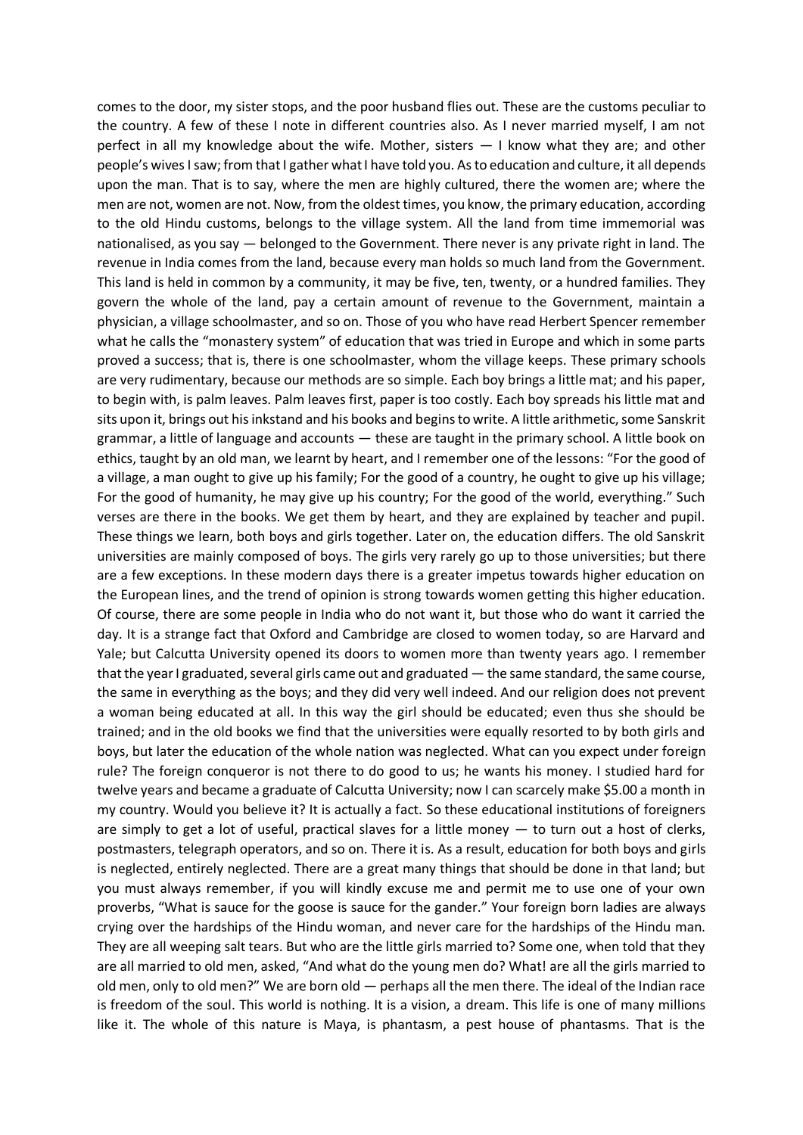comes to the door, my sister stops, and the poor husband flies out. These are the customs peculiar to the country. A few of these I note in different countries also. As I never married myself, I am not perfect in all my knowledge about the wife. Mother, sisters — I know what they are; and other people's wives I saw; from that I gather what I have told you. As to education and culture, it all depends upon the man. That is to say, where the men are highly cultured, there the women are; where the men are not, women are not. Now, from the oldest times, you know, the primary education, according to the old Hindu customs, belongs to the village system. All the land from time immemorial was nationalised, as you say — belonged to the Government. There never is any private right in land. The revenue in India comes from the land, because every man holds so much land from the Government. This land is held in common by a community, it may be five, ten, twenty, or a hundred families. They govern the whole of the land, pay a certain amount of revenue to the Government, maintain a physician, a village schoolmaster, and so on. Those of you who have read Herbert Spencer remember what he calls the "monastery system" of education that was tried in Europe and which in some parts proved a success; that is, there is one schoolmaster, whom the village keeps. These primary schools are very rudimentary, because our methods are so simple. Each boy brings a little mat; and his paper, to begin with, is palm leaves. Palm leaves first, paper is too costly. Each boy spreads his little mat and sits upon it, brings out his inkstand and his books and begins to write. A little arithmetic, some Sanskrit grammar, a little of language and accounts — these are taught in the primary school. A little book on ethics, taught by an old man, we learnt by heart, and I remember one of the lessons: "For the good of a village, a man ought to give up his family; For the good of a country, he ought to give up his village; For the good of humanity, he may give up his country; For the good of the world, everything." Such verses are there in the books. We get them by heart, and they are explained by teacher and pupil. These things we learn, both boys and girls together. Later on, the education differs. The old Sanskrit universities are mainly composed of boys. The girls very rarely go up to those universities; but there are a few exceptions. In these modern days there is a greater impetus towards higher education on the European lines, and the trend of opinion is strong towards women getting this higher education. Of course, there are some people in India who do not want it, but those who do want it carried the day. It is a strange fact that Oxford and Cambridge are closed to women today, so are Harvard and Yale; but Calcutta University opened its doors to women more than twenty years ago. I remember that the year I graduated, several girls came out and graduated — the same standard, the same course, the same in everything as the boys; and they did very well indeed. And our religion does not prevent a woman being educated at all. In this way the girl should be educated; even thus she should be trained; and in the old books we find that the universities were equally resorted to by both girls and boys, but later the education of the whole nation was neglected. What can you expect under foreign rule? The foreign conqueror is not there to do good to us; he wants his money. I studied hard for twelve years and became a graduate of Calcutta University; now I can scarcely make \$5.00 a month in my country. Would you believe it? It is actually a fact. So these educational institutions of foreigners are simply to get a lot of useful, practical slaves for a little money — to turn out a host of clerks, postmasters, telegraph operators, and so on. There it is. As a result, education for both boys and girls is neglected, entirely neglected. There are a great many things that should be done in that land; but you must always remember, if you will kindly excuse me and permit me to use one of your own proverbs, "What is sauce for the goose is sauce for the gander." Your foreign born ladies are always crying over the hardships of the Hindu woman, and never care for the hardships of the Hindu man. They are all weeping salt tears. But who are the little girls married to? Some one, when told that they are all married to old men, asked, "And what do the young men do? What! are all the girls married to old men, only to old men?" We are born old — perhaps all the men there. The ideal of the Indian race is freedom of the soul. This world is nothing. It is a vision, a dream. This life is one of many millions like it. The whole of this nature is Maya, is phantasm, a pest house of phantasms. That is the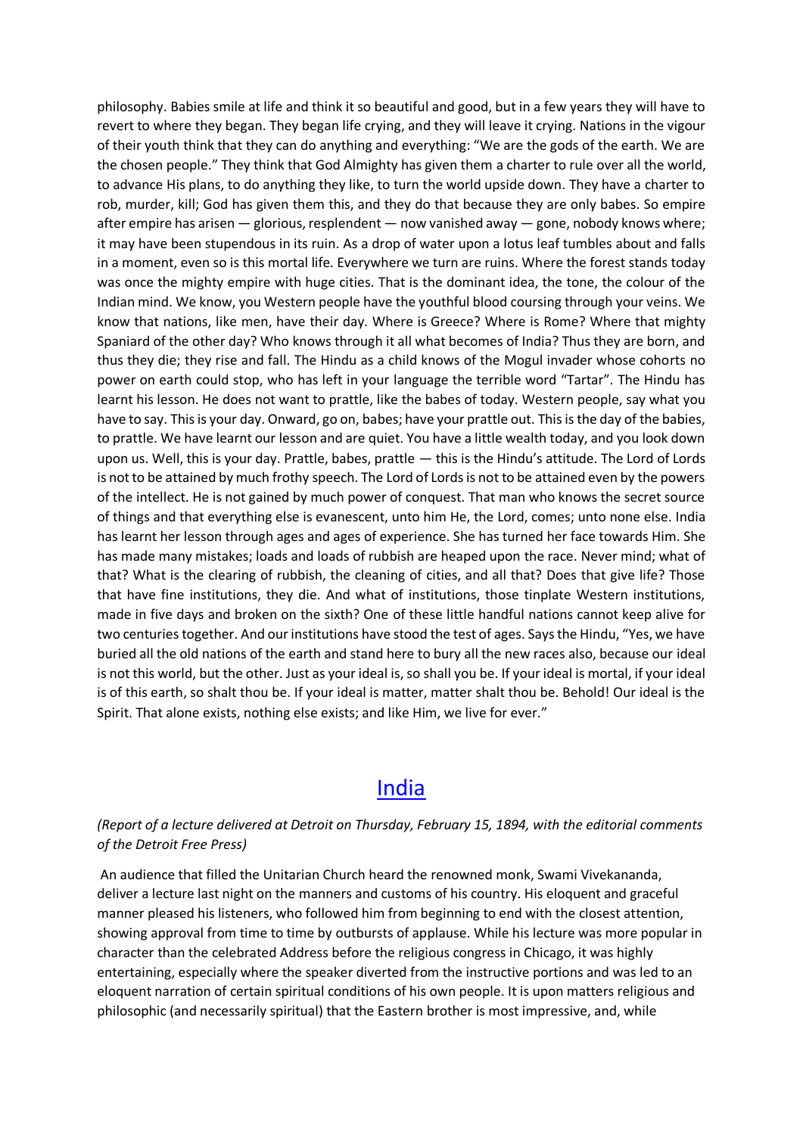philosophy. Babies smile at life and think it so beautiful and good, but in a few years they will have to revert to where they began. They began life crying, and they will leave it crying. Nations in the vigour of their youth think that they can do anything and everything: "We are the gods of the earth. We are the chosen people." They think that God Almighty has given them a charter to rule over all the world, to advance His plans, to do anything they like, to turn the world upside down. They have a charter to rob, murder, kill; God has given them this, and they do that because they are only babes. So empire after empire has arisen — glorious, resplendent — now vanished away — gone, nobody knows where; it may have been stupendous in its ruin. As a drop of water upon a lotus leaf tumbles about and falls in a moment, even so is this mortal life. Everywhere we turn are ruins. Where the forest stands today was once the mighty empire with huge cities. That is the dominant idea, the tone, the colour of the Indian mind. We know, you Western people have the youthful blood coursing through your veins. We know that nations, like men, have their day. Where is Greece? Where is Rome? Where that mighty Spaniard of the other day? Who knows through it all what becomes of India? Thus they are born, and thus they die; they rise and fall. The Hindu as a child knows of the Mogul invader whose cohorts no power on earth could stop, who has left in your language the terrible word "Tartar". The Hindu has learnt his lesson. He does not want to prattle, like the babes of today. Western people, say what you have to say. This is your day. Onward, go on, babes; have your prattle out. This is the day of the babies, to prattle. We have learnt our lesson and are quiet. You have a little wealth today, and you look down upon us. Well, this is your day. Prattle, babes, prattle — this is the Hindu's attitude. The Lord of Lords is not to be attained by much frothy speech. The Lord of Lords is not to be attained even by the powers of the intellect. He is not gained by much power of conquest. That man who knows the secret source of things and that everything else is evanescent, unto him He, the Lord, comes; unto none else. India has learnt her lesson through ages and ages of experience. She has turned her face towards Him. She has made many mistakes; loads and loads of rubbish are heaped upon the race. Never mind; what of that? What is the clearing of rubbish, the cleaning of cities, and all that? Does that give life? Those that have fine institutions, they die. And what of institutions, those tinplate Western institutions, made in five days and broken on the sixth? One of these little handful nations cannot keep alive for two centuries together. And our institutions have stood the test of ages. Says the Hindu, "Yes, we have buried all the old nations of the earth and stand here to bury all the new races also, because our ideal is not this world, but the other. Just as your ideal is, so shall you be. If your ideal is mortal, if your ideal is of this earth, so shalt thou be. If your ideal is matter, matter shalt thou be. Behold! Our ideal is the Spirit. That alone exists, nothing else exists; and like Him, we live for ever."

# India

### *(Report of a lecture delivered at Detroit on Thursday, February 15, 1894, with the editorial comments of the Detroit Free Press)*

An audience that filled the Unitarian Church heard the renowned monk, Swami Vivekananda, deliver a lecture last night on the manners and customs of his country. His eloquent and graceful manner pleased his listeners, who followed him from beginning to end with the closest attention, showing approval from time to time by outbursts of applause. While his lecture was more popular in character than the celebrated Address before the religious congress in Chicago, it was highly entertaining, especially where the speaker diverted from the instructive portions and was led to an eloquent narration of certain spiritual conditions of his own people. It is upon matters religious and philosophic (and necessarily spiritual) that the Eastern brother is most impressive, and, while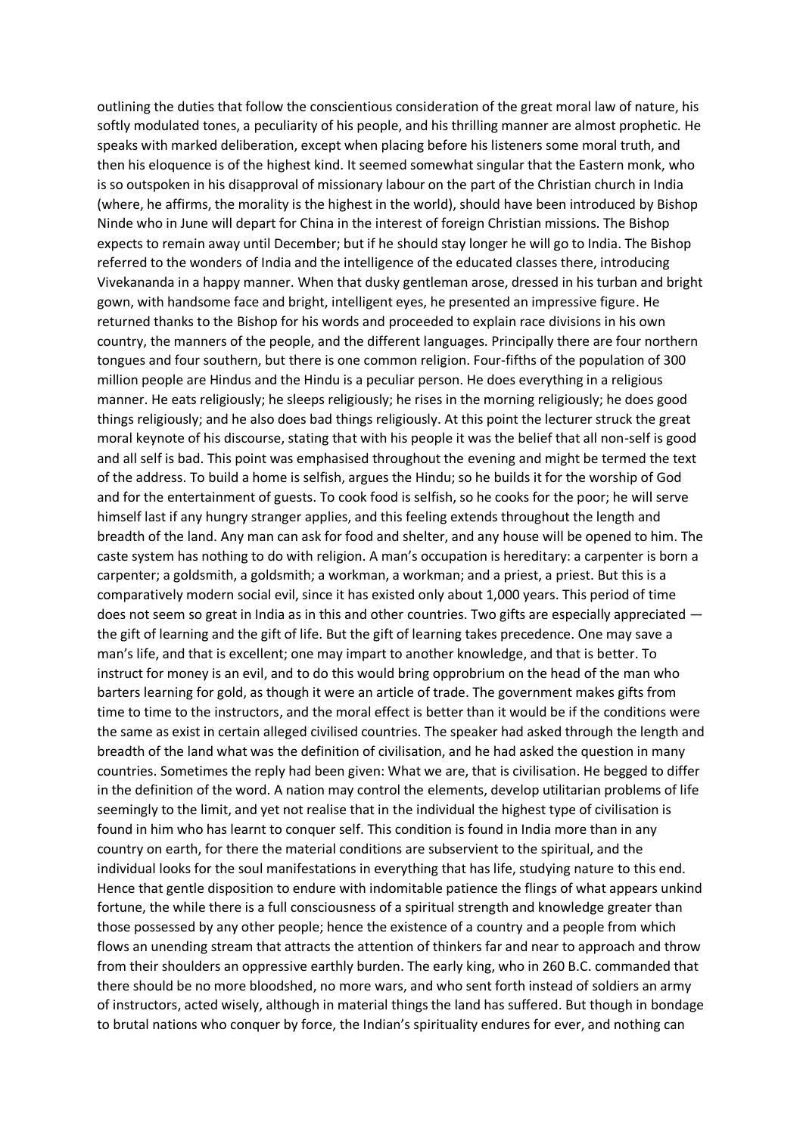outlining the duties that follow the conscientious consideration of the great moral law of nature, his softly modulated tones, a peculiarity of his people, and his thrilling manner are almost prophetic. He speaks with marked deliberation, except when placing before his listeners some moral truth, and then his eloquence is of the highest kind. It seemed somewhat singular that the Eastern monk, who is so outspoken in his disapproval of missionary labour on the part of the Christian church in India (where, he affirms, the morality is the highest in the world), should have been introduced by Bishop Ninde who in June will depart for China in the interest of foreign Christian missions. The Bishop expects to remain away until December; but if he should stay longer he will go to India. The Bishop referred to the wonders of India and the intelligence of the educated classes there, introducing Vivekananda in a happy manner. When that dusky gentleman arose, dressed in his turban and bright gown, with handsome face and bright, intelligent eyes, he presented an impressive figure. He returned thanks to the Bishop for his words and proceeded to explain race divisions in his own country, the manners of the people, and the different languages. Principally there are four northern tongues and four southern, but there is one common religion. Four-fifths of the population of 300 million people are Hindus and the Hindu is a peculiar person. He does everything in a religious manner. He eats religiously; he sleeps religiously; he rises in the morning religiously; he does good things religiously; and he also does bad things religiously. At this point the lecturer struck the great moral keynote of his discourse, stating that with his people it was the belief that all non-self is good and all self is bad. This point was emphasised throughout the evening and might be termed the text of the address. To build a home is selfish, argues the Hindu; so he builds it for the worship of God and for the entertainment of guests. To cook food is selfish, so he cooks for the poor; he will serve himself last if any hungry stranger applies, and this feeling extends throughout the length and breadth of the land. Any man can ask for food and shelter, and any house will be opened to him. The caste system has nothing to do with religion. A man's occupation is hereditary: a carpenter is born a carpenter; a goldsmith, a goldsmith; a workman, a workman; and a priest, a priest. But this is a comparatively modern social evil, since it has existed only about 1,000 years. This period of time does not seem so great in India as in this and other countries. Two gifts are especially appreciated the gift of learning and the gift of life. But the gift of learning takes precedence. One may save a man's life, and that is excellent; one may impart to another knowledge, and that is better. To instruct for money is an evil, and to do this would bring opprobrium on the head of the man who barters learning for gold, as though it were an article of trade. The government makes gifts from time to time to the instructors, and the moral effect is better than it would be if the conditions were the same as exist in certain alleged civilised countries. The speaker had asked through the length and breadth of the land what was the definition of civilisation, and he had asked the question in many countries. Sometimes the reply had been given: What we are, that is civilisation. He begged to differ in the definition of the word. A nation may control the elements, develop utilitarian problems of life seemingly to the limit, and yet not realise that in the individual the highest type of civilisation is found in him who has learnt to conquer self. This condition is found in India more than in any country on earth, for there the material conditions are subservient to the spiritual, and the individual looks for the soul manifestations in everything that has life, studying nature to this end. Hence that gentle disposition to endure with indomitable patience the flings of what appears unkind fortune, the while there is a full consciousness of a spiritual strength and knowledge greater than those possessed by any other people; hence the existence of a country and a people from which flows an unending stream that attracts the attention of thinkers far and near to approach and throw from their shoulders an oppressive earthly burden. The early king, who in 260 B.C. commanded that there should be no more bloodshed, no more wars, and who sent forth instead of soldiers an army of instructors, acted wisely, although in material things the land has suffered. But though in bondage to brutal nations who conquer by force, the Indian's spirituality endures for ever, and nothing can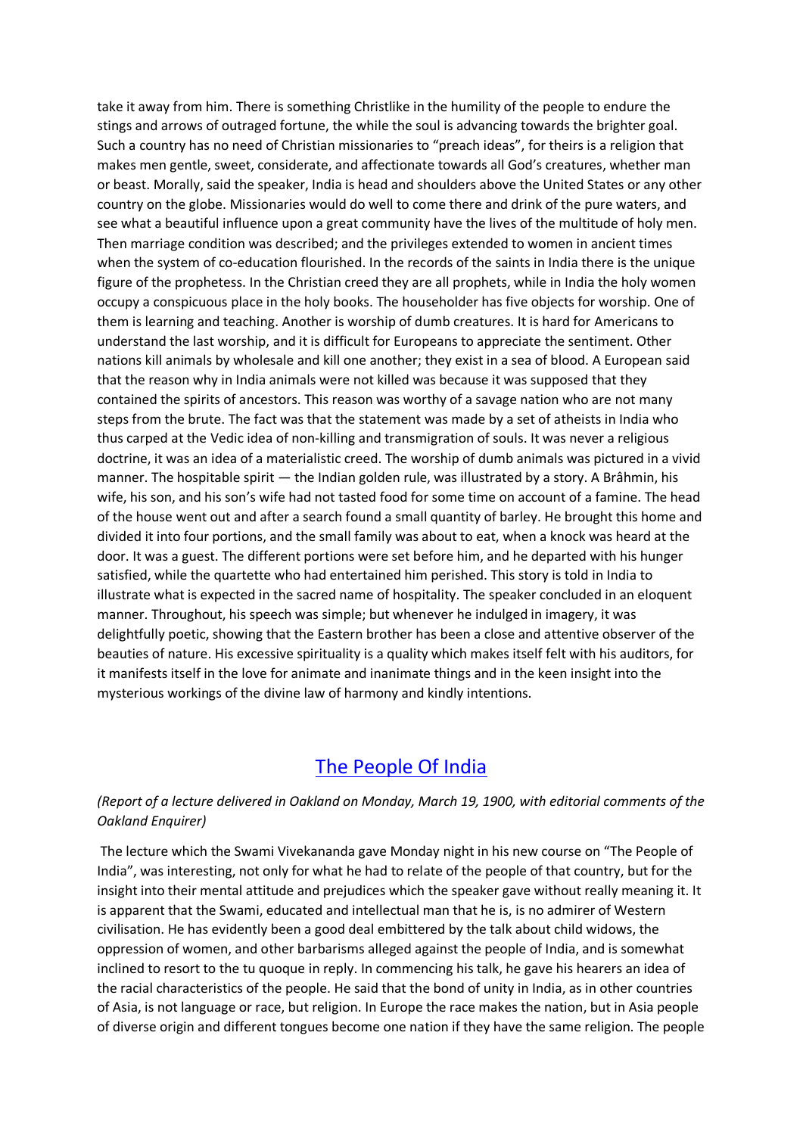take it away from him. There is something Christlike in the humility of the people to endure the stings and arrows of outraged fortune, the while the soul is advancing towards the brighter goal. Such a country has no need of Christian missionaries to "preach ideas", for theirs is a religion that makes men gentle, sweet, considerate, and affectionate towards all God's creatures, whether man or beast. Morally, said the speaker, India is head and shoulders above the United States or any other country on the globe. Missionaries would do well to come there and drink of the pure waters, and see what a beautiful influence upon a great community have the lives of the multitude of holy men. Then marriage condition was described; and the privileges extended to women in ancient times when the system of co-education flourished. In the records of the saints in India there is the unique figure of the prophetess. In the Christian creed they are all prophets, while in India the holy women occupy a conspicuous place in the holy books. The householder has five objects for worship. One of them is learning and teaching. Another is worship of dumb creatures. It is hard for Americans to understand the last worship, and it is difficult for Europeans to appreciate the sentiment. Other nations kill animals by wholesale and kill one another; they exist in a sea of blood. A European said that the reason why in India animals were not killed was because it was supposed that they contained the spirits of ancestors. This reason was worthy of a savage nation who are not many steps from the brute. The fact was that the statement was made by a set of atheists in India who thus carped at the Vedic idea of non-killing and transmigration of souls. It was never a religious doctrine, it was an idea of a materialistic creed. The worship of dumb animals was pictured in a vivid manner. The hospitable spirit — the Indian golden rule, was illustrated by a story. A Brâhmin, his wife, his son, and his son's wife had not tasted food for some time on account of a famine. The head of the house went out and after a search found a small quantity of barley. He brought this home and divided it into four portions, and the small family was about to eat, when a knock was heard at the door. It was a guest. The different portions were set before him, and he departed with his hunger satisfied, while the quartette who had entertained him perished. This story is told in India to illustrate what is expected in the sacred name of hospitality. The speaker concluded in an eloquent manner. Throughout, his speech was simple; but whenever he indulged in imagery, it was delightfully poetic, showing that the Eastern brother has been a close and attentive observer of the beauties of nature. His excessive spirituality is a quality which makes itself felt with his auditors, for it manifests itself in the love for animate and inanimate things and in the keen insight into the mysterious workings of the divine law of harmony and kindly intentions.

# The People Of India

### *(Report of a lecture delivered in Oakland on Monday, March 19, 1900, with editorial comments of the Oakland Enquirer)*

The lecture which the Swami Vivekananda gave Monday night in his new course on "The People of India", was interesting, not only for what he had to relate of the people of that country, but for the insight into their mental attitude and prejudices which the speaker gave without really meaning it. It is apparent that the Swami, educated and intellectual man that he is, is no admirer of Western civilisation. He has evidently been a good deal embittered by the talk about child widows, the oppression of women, and other barbarisms alleged against the people of India, and is somewhat inclined to resort to the tu quoque in reply. In commencing his talk, he gave his hearers an idea of the racial characteristics of the people. He said that the bond of unity in India, as in other countries of Asia, is not language or race, but religion. In Europe the race makes the nation, but in Asia people of diverse origin and different tongues become one nation if they have the same religion. The people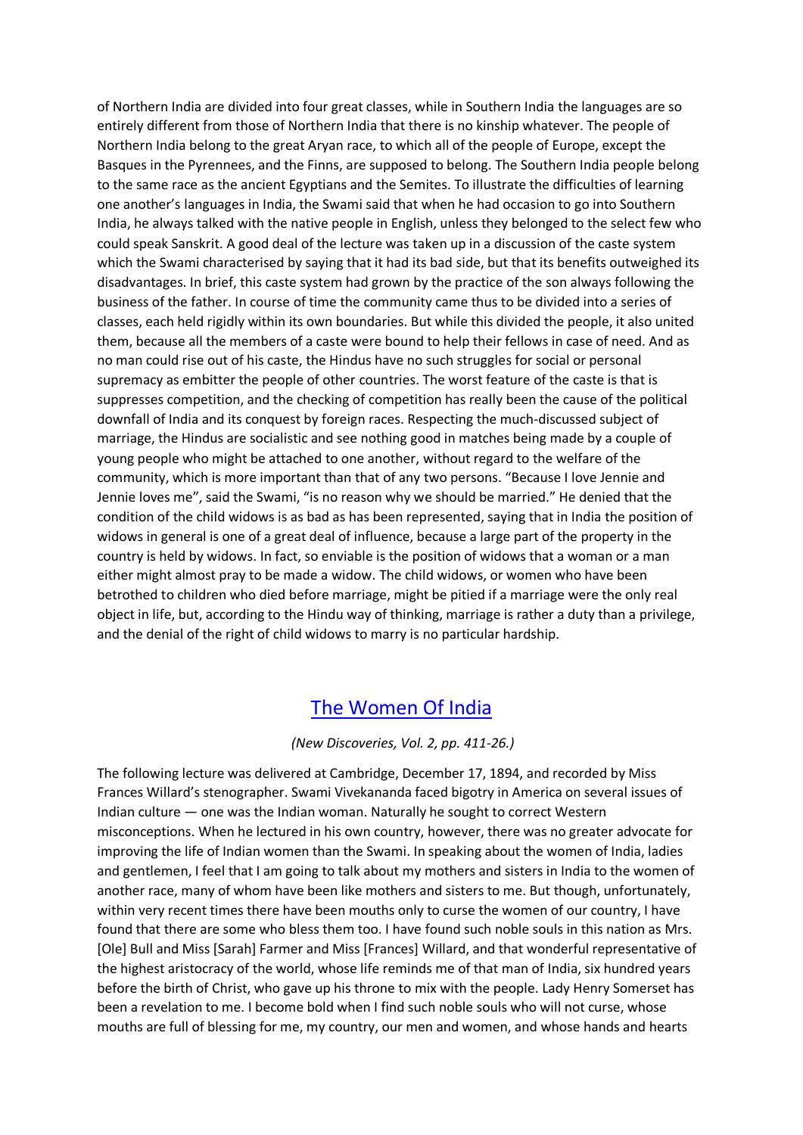of Northern India are divided into four great classes, while in Southern India the languages are so entirely different from those of Northern India that there is no kinship whatever. The people of Northern India belong to the great Aryan race, to which all of the people of Europe, except the Basques in the Pyrennees, and the Finns, are supposed to belong. The Southern India people belong to the same race as the ancient Egyptians and the Semites. To illustrate the difficulties of learning one another's languages in India, the Swami said that when he had occasion to go into Southern India, he always talked with the native people in English, unless they belonged to the select few who could speak Sanskrit. A good deal of the lecture was taken up in a discussion of the caste system which the Swami characterised by saying that it had its bad side, but that its benefits outweighed its disadvantages. In brief, this caste system had grown by the practice of the son always following the business of the father. In course of time the community came thus to be divided into a series of classes, each held rigidly within its own boundaries. But while this divided the people, it also united them, because all the members of a caste were bound to help their fellows in case of need. And as no man could rise out of his caste, the Hindus have no such struggles for social or personal supremacy as embitter the people of other countries. The worst feature of the caste is that is suppresses competition, and the checking of competition has really been the cause of the political downfall of India and its conquest by foreign races. Respecting the much-discussed subject of marriage, the Hindus are socialistic and see nothing good in matches being made by a couple of young people who might be attached to one another, without regard to the welfare of the community, which is more important than that of any two persons. "Because I love Jennie and Jennie loves me", said the Swami, "is no reason why we should be married." He denied that the condition of the child widows is as bad as has been represented, saying that in India the position of widows in general is one of a great deal of influence, because a large part of the property in the country is held by widows. In fact, so enviable is the position of widows that a woman or a man either might almost pray to be made a widow. The child widows, or women who have been betrothed to children who died before marriage, might be pitied if a marriage were the only real object in life, but, according to the Hindu way of thinking, marriage is rather a duty than a privilege, and the denial of the right of child widows to marry is no particular hardship.

# The Women Of India

### *(New Discoveries, Vol. 2, pp. 411-26.)*

The following lecture was delivered at Cambridge, December 17, 1894, and recorded by Miss Frances Willard's stenographer. Swami Vivekananda faced bigotry in America on several issues of Indian culture — one was the Indian woman. Naturally he sought to correct Western misconceptions. When he lectured in his own country, however, there was no greater advocate for improving the life of Indian women than the Swami. In speaking about the women of India, ladies and gentlemen, I feel that I am going to talk about my mothers and sisters in India to the women of another race, many of whom have been like mothers and sisters to me. But though, unfortunately, within very recent times there have been mouths only to curse the women of our country, I have found that there are some who bless them too. I have found such noble souls in this nation as Mrs. [Ole] Bull and Miss [Sarah] Farmer and Miss [Frances] Willard, and that wonderful representative of the highest aristocracy of the world, whose life reminds me of that man of India, six hundred years before the birth of Christ, who gave up his throne to mix with the people. Lady Henry Somerset has been a revelation to me. I become bold when I find such noble souls who will not curse, whose mouths are full of blessing for me, my country, our men and women, and whose hands and hearts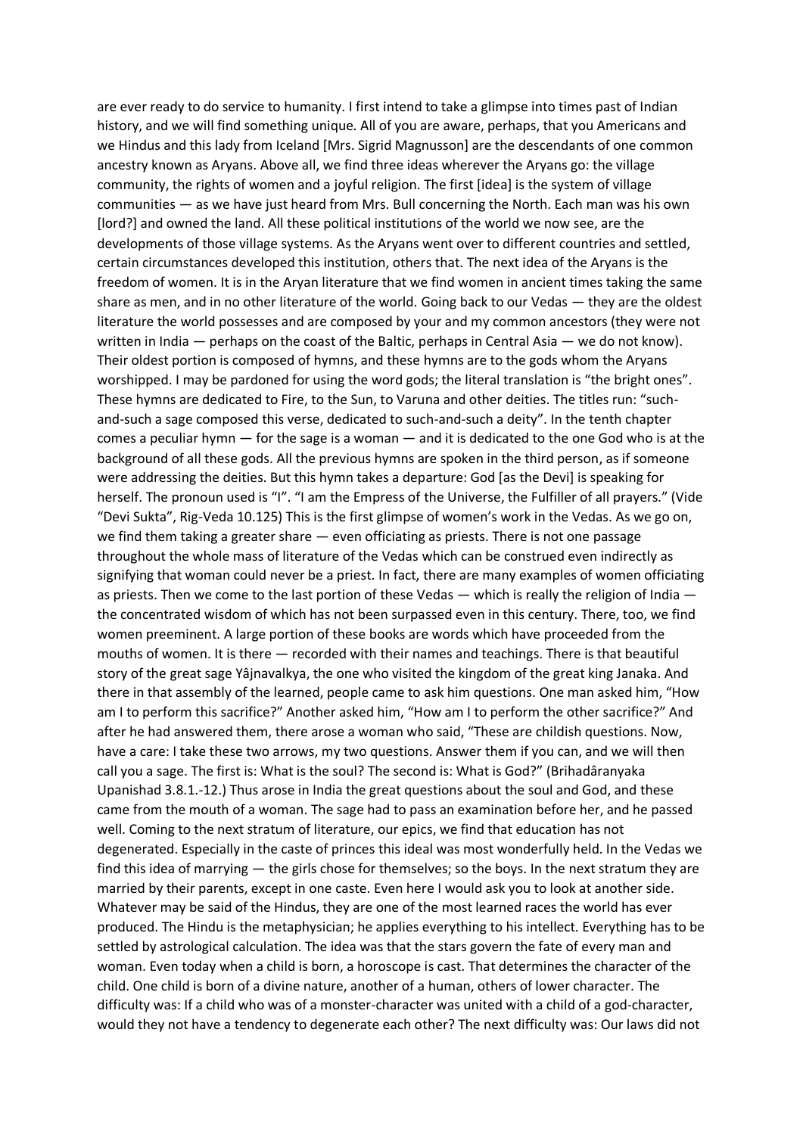are ever ready to do service to humanity. I first intend to take a glimpse into times past of Indian history, and we will find something unique. All of you are aware, perhaps, that you Americans and we Hindus and this lady from Iceland [Mrs. Sigrid Magnusson] are the descendants of one common ancestry known as Aryans. Above all, we find three ideas wherever the Aryans go: the village community, the rights of women and a joyful religion. The first [idea] is the system of village communities — as we have just heard from Mrs. Bull concerning the North. Each man was his own [lord?] and owned the land. All these political institutions of the world we now see, are the developments of those village systems. As the Aryans went over to different countries and settled, certain circumstances developed this institution, others that. The next idea of the Aryans is the freedom of women. It is in the Aryan literature that we find women in ancient times taking the same share as men, and in no other literature of the world. Going back to our Vedas — they are the oldest literature the world possesses and are composed by your and my common ancestors (they were not written in India — perhaps on the coast of the Baltic, perhaps in Central Asia — we do not know). Their oldest portion is composed of hymns, and these hymns are to the gods whom the Aryans worshipped. I may be pardoned for using the word gods; the literal translation is "the bright ones". These hymns are dedicated to Fire, to the Sun, to Varuna and other deities. The titles run: "suchand-such a sage composed this verse, dedicated to such-and-such a deity". In the tenth chapter comes a peculiar hymn — for the sage is a woman — and it is dedicated to the one God who is at the background of all these gods. All the previous hymns are spoken in the third person, as if someone were addressing the deities. But this hymn takes a departure: God [as the Devi] is speaking for herself. The pronoun used is "I". "I am the Empress of the Universe, the Fulfiller of all prayers." (Vide "Devi Sukta", Rig-Veda 10.125) This is the first glimpse of women's work in the Vedas. As we go on, we find them taking a greater share — even officiating as priests. There is not one passage throughout the whole mass of literature of the Vedas which can be construed even indirectly as signifying that woman could never be a priest. In fact, there are many examples of women officiating as priests. Then we come to the last portion of these Vedas — which is really the religion of India the concentrated wisdom of which has not been surpassed even in this century. There, too, we find women preeminent. A large portion of these books are words which have proceeded from the mouths of women. It is there — recorded with their names and teachings. There is that beautiful story of the great sage Yâjnavalkya, the one who visited the kingdom of the great king Janaka. And there in that assembly of the learned, people came to ask him questions. One man asked him, "How am I to perform this sacrifice?" Another asked him, "How am I to perform the other sacrifice?" And after he had answered them, there arose a woman who said, "These are childish questions. Now, have a care: I take these two arrows, my two questions. Answer them if you can, and we will then call you a sage. The first is: What is the soul? The second is: What is God?" (Brihadâranyaka Upanishad 3.8.1.-12.) Thus arose in India the great questions about the soul and God, and these came from the mouth of a woman. The sage had to pass an examination before her, and he passed well. Coming to the next stratum of literature, our epics, we find that education has not degenerated. Especially in the caste of princes this ideal was most wonderfully held. In the Vedas we find this idea of marrying — the girls chose for themselves; so the boys. In the next stratum they are married by their parents, except in one caste. Even here I would ask you to look at another side. Whatever may be said of the Hindus, they are one of the most learned races the world has ever produced. The Hindu is the metaphysician; he applies everything to his intellect. Everything has to be settled by astrological calculation. The idea was that the stars govern the fate of every man and woman. Even today when a child is born, a horoscope is cast. That determines the character of the child. One child is born of a divine nature, another of a human, others of lower character. The difficulty was: If a child who was of a monster-character was united with a child of a god-character, would they not have a tendency to degenerate each other? The next difficulty was: Our laws did not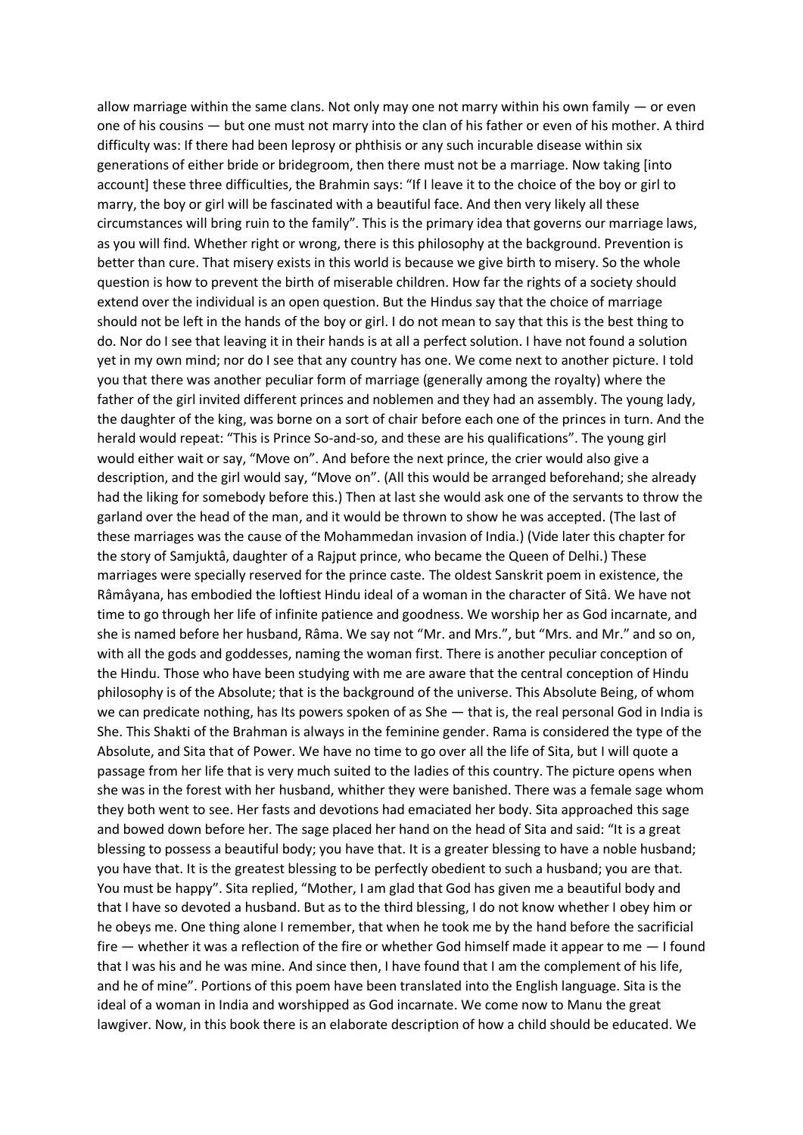allow marriage within the same clans. Not only may one not marry within his own family  $-$  or even one of his cousins — but one must not marry into the clan of his father or even of his mother. A third difficulty was: If there had been leprosy or phthisis or any such incurable disease within six generations of either bride or bridegroom, then there must not be a marriage. Now taking [into account] these three difficulties, the Brahmin says: "If I leave it to the choice of the boy or girl to marry, the boy or girl will be fascinated with a beautiful face. And then very likely all these circumstances will bring ruin to the family". This is the primary idea that governs our marriage laws, as you will find. Whether right or wrong, there is this philosophy at the background. Prevention is better than cure. That misery exists in this world is because we give birth to misery. So the whole question is how to prevent the birth of miserable children. How far the rights of a society should extend over the individual is an open question. But the Hindus say that the choice of marriage should not be left in the hands of the boy or girl. I do not mean to say that this is the best thing to do. Nor do I see that leaving it in their hands is at all a perfect solution. I have not found a solution yet in my own mind; nor do I see that any country has one. We come next to another picture. I told you that there was another peculiar form of marriage (generally among the royalty) where the father of the girl invited different princes and noblemen and they had an assembly. The young lady, the daughter of the king, was borne on a sort of chair before each one of the princes in turn. And the herald would repeat: "This is Prince So-and-so, and these are his qualifications". The young girl would either wait or say, "Move on". And before the next prince, the crier would also give a description, and the girl would say, "Move on". (All this would be arranged beforehand; she already had the liking for somebody before this.) Then at last she would ask one of the servants to throw the garland over the head of the man, and it would be thrown to show he was accepted. (The last of these marriages was the cause of the Mohammedan invasion of India.) (Vide later this chapter for the story of Samjuktâ, daughter of a Rajput prince, who became the Queen of Delhi.) These marriages were specially reserved for the prince caste. The oldest Sanskrit poem in existence, the Râmâyana, has embodied the loftiest Hindu ideal of a woman in the character of Sitâ. We have not time to go through her life of infinite patience and goodness. We worship her as God incarnate, and she is named before her husband, Râma. We say not "Mr. and Mrs.", but "Mrs. and Mr." and so on, with all the gods and goddesses, naming the woman first. There is another peculiar conception of the Hindu. Those who have been studying with me are aware that the central conception of Hindu philosophy is of the Absolute; that is the background of the universe. This Absolute Being, of whom we can predicate nothing, has Its powers spoken of as She — that is, the real personal God in India is She. This Shakti of the Brahman is always in the feminine gender. Rama is considered the type of the Absolute, and Sita that of Power. We have no time to go over all the life of Sita, but I will quote a passage from her life that is very much suited to the ladies of this country. The picture opens when she was in the forest with her husband, whither they were banished. There was a female sage whom they both went to see. Her fasts and devotions had emaciated her body. Sita approached this sage and bowed down before her. The sage placed her hand on the head of Sita and said: "It is a great blessing to possess a beautiful body; you have that. It is a greater blessing to have a noble husband; you have that. It is the greatest blessing to be perfectly obedient to such a husband; you are that. You must be happy". Sita replied, "Mother, I am glad that God has given me a beautiful body and that I have so devoted a husband. But as to the third blessing, I do not know whether I obey him or he obeys me. One thing alone I remember, that when he took me by the hand before the sacrificial fire — whether it was a reflection of the fire or whether God himself made it appear to me — I found that I was his and he was mine. And since then, I have found that I am the complement of his life, and he of mine". Portions of this poem have been translated into the English language. Sita is the ideal of a woman in India and worshipped as God incarnate. We come now to Manu the great lawgiver. Now, in this book there is an elaborate description of how a child should be educated. We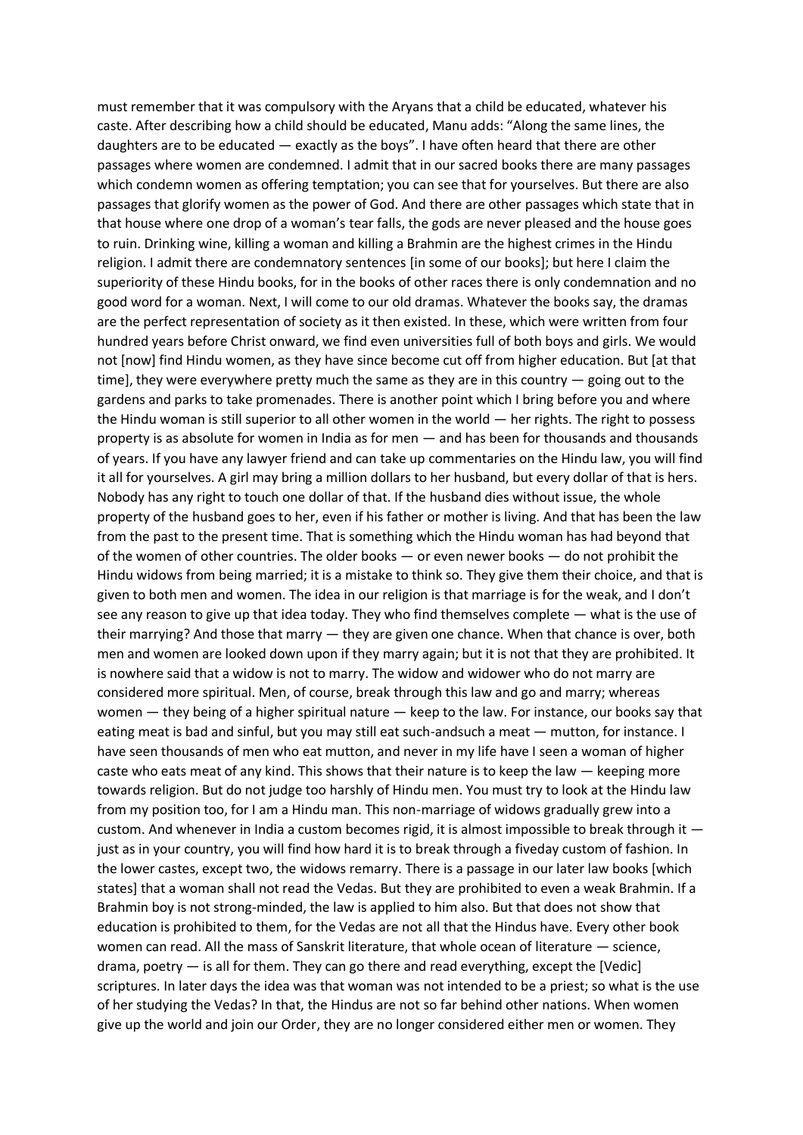must remember that it was compulsory with the Aryans that a child be educated, whatever his caste. After describing how a child should be educated, Manu adds: "Along the same lines, the daughters are to be educated — exactly as the boys". I have often heard that there are other passages where women are condemned. I admit that in our sacred books there are many passages which condemn women as offering temptation; you can see that for yourselves. But there are also passages that glorify women as the power of God. And there are other passages which state that in that house where one drop of a woman's tear falls, the gods are never pleased and the house goes to ruin. Drinking wine, killing a woman and killing a Brahmin are the highest crimes in the Hindu religion. I admit there are condemnatory sentences [in some of our books]; but here I claim the superiority of these Hindu books, for in the books of other races there is only condemnation and no good word for a woman. Next, I will come to our old dramas. Whatever the books say, the dramas are the perfect representation of society as it then existed. In these, which were written from four hundred years before Christ onward, we find even universities full of both boys and girls. We would not [now] find Hindu women, as they have since become cut off from higher education. But [at that time], they were everywhere pretty much the same as they are in this country — going out to the gardens and parks to take promenades. There is another point which I bring before you and where the Hindu woman is still superior to all other women in the world — her rights. The right to possess property is as absolute for women in India as for men — and has been for thousands and thousands of years. If you have any lawyer friend and can take up commentaries on the Hindu law, you will find it all for yourselves. A girl may bring a million dollars to her husband, but every dollar of that is hers. Nobody has any right to touch one dollar of that. If the husband dies without issue, the whole property of the husband goes to her, even if his father or mother is living. And that has been the law from the past to the present time. That is something which the Hindu woman has had beyond that of the women of other countries. The older books — or even newer books — do not prohibit the Hindu widows from being married; it is a mistake to think so. They give them their choice, and that is given to both men and women. The idea in our religion is that marriage is for the weak, and I don't see any reason to give up that idea today. They who find themselves complete — what is the use of their marrying? And those that marry — they are given one chance. When that chance is over, both men and women are looked down upon if they marry again; but it is not that they are prohibited. It is nowhere said that a widow is not to marry. The widow and widower who do not marry are considered more spiritual. Men, of course, break through this law and go and marry; whereas women — they being of a higher spiritual nature — keep to the law. For instance, our books say that eating meat is bad and sinful, but you may still eat such-andsuch a meat — mutton, for instance. I have seen thousands of men who eat mutton, and never in my life have I seen a woman of higher caste who eats meat of any kind. This shows that their nature is to keep the law — keeping more towards religion. But do not judge too harshly of Hindu men. You must try to look at the Hindu law from my position too, for I am a Hindu man. This non-marriage of widows gradually grew into a custom. And whenever in India a custom becomes rigid, it is almost impossible to break through it just as in your country, you will find how hard it is to break through a fiveday custom of fashion. In the lower castes, except two, the widows remarry. There is a passage in our later law books [which states] that a woman shall not read the Vedas. But they are prohibited to even a weak Brahmin. If a Brahmin boy is not strong-minded, the law is applied to him also. But that does not show that education is prohibited to them, for the Vedas are not all that the Hindus have. Every other book women can read. All the mass of Sanskrit literature, that whole ocean of literature — science, drama, poetry — is all for them. They can go there and read everything, except the [Vedic] scriptures. In later days the idea was that woman was not intended to be a priest; so what is the use of her studying the Vedas? In that, the Hindus are not so far behind other nations. When women give up the world and join our Order, they are no longer considered either men or women. They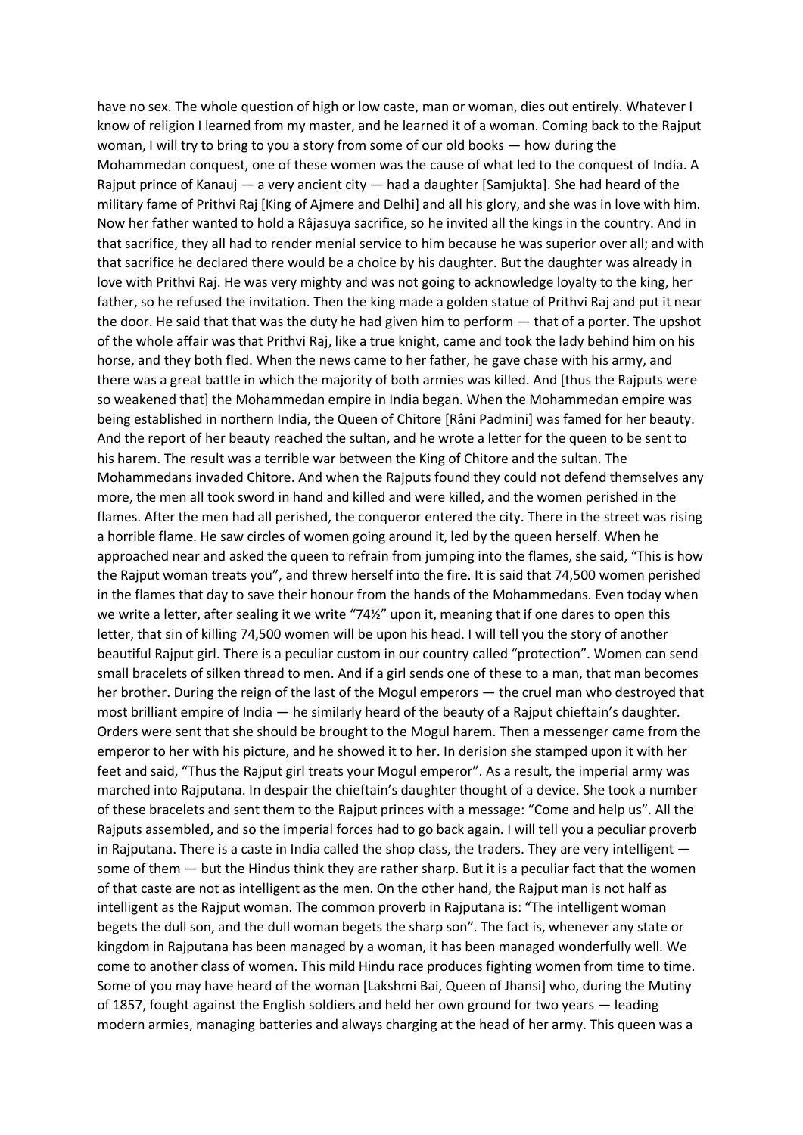have no sex. The whole question of high or low caste, man or woman, dies out entirely. Whatever I know of religion I learned from my master, and he learned it of a woman. Coming back to the Rajput woman, I will try to bring to you a story from some of our old books — how during the Mohammedan conquest, one of these women was the cause of what led to the conquest of India. A Rajput prince of Kanauj — a very ancient city — had a daughter [Samjukta]. She had heard of the military fame of Prithvi Raj [King of Ajmere and Delhi] and all his glory, and she was in love with him. Now her father wanted to hold a Râjasuya sacrifice, so he invited all the kings in the country. And in that sacrifice, they all had to render menial service to him because he was superior over all; and with that sacrifice he declared there would be a choice by his daughter. But the daughter was already in love with Prithvi Raj. He was very mighty and was not going to acknowledge loyalty to the king, her father, so he refused the invitation. Then the king made a golden statue of Prithvi Raj and put it near the door. He said that that was the duty he had given him to perform — that of a porter. The upshot of the whole affair was that Prithvi Raj, like a true knight, came and took the lady behind him on his horse, and they both fled. When the news came to her father, he gave chase with his army, and there was a great battle in which the majority of both armies was killed. And [thus the Rajputs were so weakened that] the Mohammedan empire in India began. When the Mohammedan empire was being established in northern India, the Queen of Chitore [Râni Padmini] was famed for her beauty. And the report of her beauty reached the sultan, and he wrote a letter for the queen to be sent to his harem. The result was a terrible war between the King of Chitore and the sultan. The Mohammedans invaded Chitore. And when the Rajputs found they could not defend themselves any more, the men all took sword in hand and killed and were killed, and the women perished in the flames. After the men had all perished, the conqueror entered the city. There in the street was rising a horrible flame. He saw circles of women going around it, led by the queen herself. When he approached near and asked the queen to refrain from jumping into the flames, she said, "This is how the Rajput woman treats you", and threw herself into the fire. It is said that 74,500 women perished in the flames that day to save their honour from the hands of the Mohammedans. Even today when we write a letter, after sealing it we write "74½" upon it, meaning that if one dares to open this letter, that sin of killing 74,500 women will be upon his head. I will tell you the story of another beautiful Rajput girl. There is a peculiar custom in our country called "protection". Women can send small bracelets of silken thread to men. And if a girl sends one of these to a man, that man becomes her brother. During the reign of the last of the Mogul emperors — the cruel man who destroyed that most brilliant empire of India — he similarly heard of the beauty of a Rajput chieftain's daughter. Orders were sent that she should be brought to the Mogul harem. Then a messenger came from the emperor to her with his picture, and he showed it to her. In derision she stamped upon it with her feet and said, "Thus the Rajput girl treats your Mogul emperor". As a result, the imperial army was marched into Rajputana. In despair the chieftain's daughter thought of a device. She took a number of these bracelets and sent them to the Rajput princes with a message: "Come and help us". All the Rajputs assembled, and so the imperial forces had to go back again. I will tell you a peculiar proverb in Rajputana. There is a caste in India called the shop class, the traders. They are very intelligent some of them — but the Hindus think they are rather sharp. But it is a peculiar fact that the women of that caste are not as intelligent as the men. On the other hand, the Rajput man is not half as intelligent as the Rajput woman. The common proverb in Rajputana is: "The intelligent woman begets the dull son, and the dull woman begets the sharp son". The fact is, whenever any state or kingdom in Rajputana has been managed by a woman, it has been managed wonderfully well. We come to another class of women. This mild Hindu race produces fighting women from time to time. Some of you may have heard of the woman [Lakshmi Bai, Queen of Jhansi] who, during the Mutiny of 1857, fought against the English soldiers and held her own ground for two years — leading modern armies, managing batteries and always charging at the head of her army. This queen was a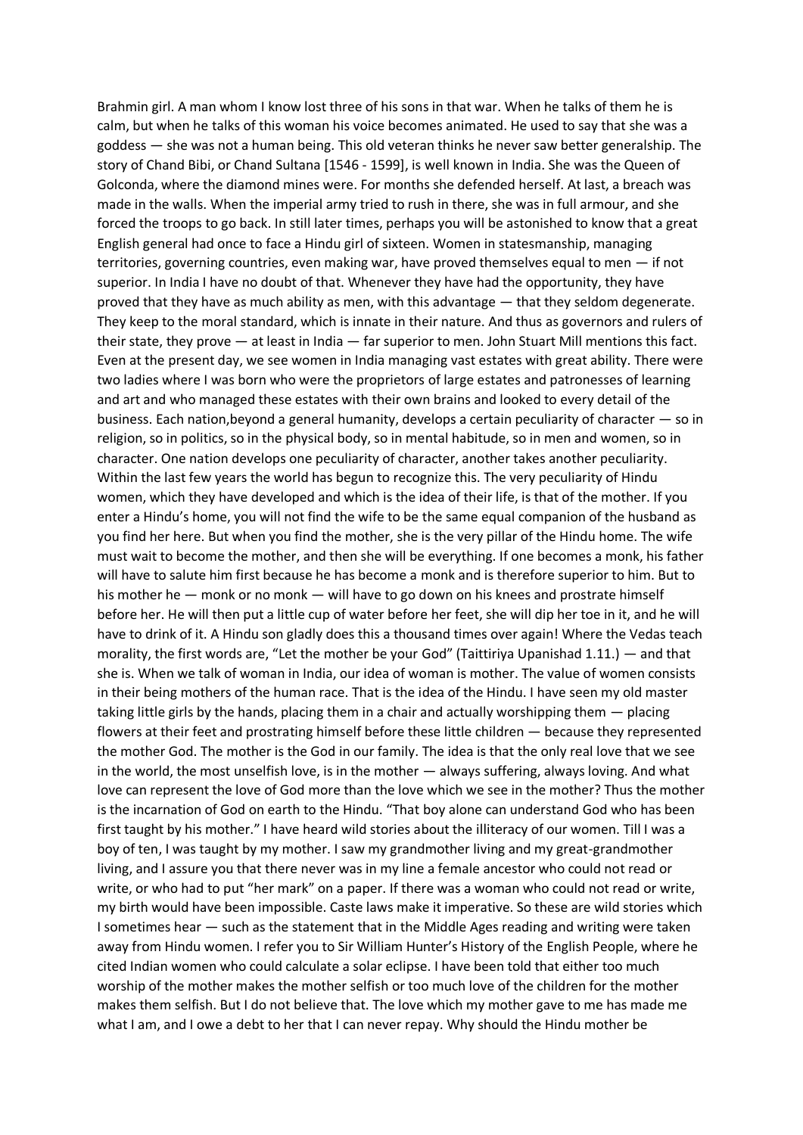Brahmin girl. A man whom I know lost three of his sons in that war. When he talks of them he is calm, but when he talks of this woman his voice becomes animated. He used to say that she was a goddess — she was not a human being. This old veteran thinks he never saw better generalship. The story of Chand Bibi, or Chand Sultana [1546 - 1599], is well known in India. She was the Queen of Golconda, where the diamond mines were. For months she defended herself. At last, a breach was made in the walls. When the imperial army tried to rush in there, she was in full armour, and she forced the troops to go back. In still later times, perhaps you will be astonished to know that a great English general had once to face a Hindu girl of sixteen. Women in statesmanship, managing territories, governing countries, even making war, have proved themselves equal to men — if not superior. In India I have no doubt of that. Whenever they have had the opportunity, they have proved that they have as much ability as men, with this advantage — that they seldom degenerate. They keep to the moral standard, which is innate in their nature. And thus as governors and rulers of their state, they prove — at least in India — far superior to men. John Stuart Mill mentions this fact. Even at the present day, we see women in India managing vast estates with great ability. There were two ladies where I was born who were the proprietors of large estates and patronesses of learning and art and who managed these estates with their own brains and looked to every detail of the business. Each nation,beyond a general humanity, develops a certain peculiarity of character — so in religion, so in politics, so in the physical body, so in mental habitude, so in men and women, so in character. One nation develops one peculiarity of character, another takes another peculiarity. Within the last few years the world has begun to recognize this. The very peculiarity of Hindu women, which they have developed and which is the idea of their life, is that of the mother. If you enter a Hindu's home, you will not find the wife to be the same equal companion of the husband as you find her here. But when you find the mother, she is the very pillar of the Hindu home. The wife must wait to become the mother, and then she will be everything. If one becomes a monk, his father will have to salute him first because he has become a monk and is therefore superior to him. But to his mother he — monk or no monk — will have to go down on his knees and prostrate himself before her. He will then put a little cup of water before her feet, she will dip her toe in it, and he will have to drink of it. A Hindu son gladly does this a thousand times over again! Where the Vedas teach morality, the first words are, "Let the mother be your God" (Taittiriya Upanishad 1.11.) — and that she is. When we talk of woman in India, our idea of woman is mother. The value of women consists in their being mothers of the human race. That is the idea of the Hindu. I have seen my old master taking little girls by the hands, placing them in a chair and actually worshipping them — placing flowers at their feet and prostrating himself before these little children — because they represented the mother God. The mother is the God in our family. The idea is that the only real love that we see in the world, the most unselfish love, is in the mother — always suffering, always loving. And what love can represent the love of God more than the love which we see in the mother? Thus the mother is the incarnation of God on earth to the Hindu. "That boy alone can understand God who has been first taught by his mother." I have heard wild stories about the illiteracy of our women. Till I was a boy of ten, I was taught by my mother. I saw my grandmother living and my great-grandmother living, and I assure you that there never was in my line a female ancestor who could not read or write, or who had to put "her mark" on a paper. If there was a woman who could not read or write, my birth would have been impossible. Caste laws make it imperative. So these are wild stories which I sometimes hear — such as the statement that in the Middle Ages reading and writing were taken away from Hindu women. I refer you to Sir William Hunter's History of the English People, where he cited Indian women who could calculate a solar eclipse. I have been told that either too much worship of the mother makes the mother selfish or too much love of the children for the mother makes them selfish. But I do not believe that. The love which my mother gave to me has made me what I am, and I owe a debt to her that I can never repay. Why should the Hindu mother be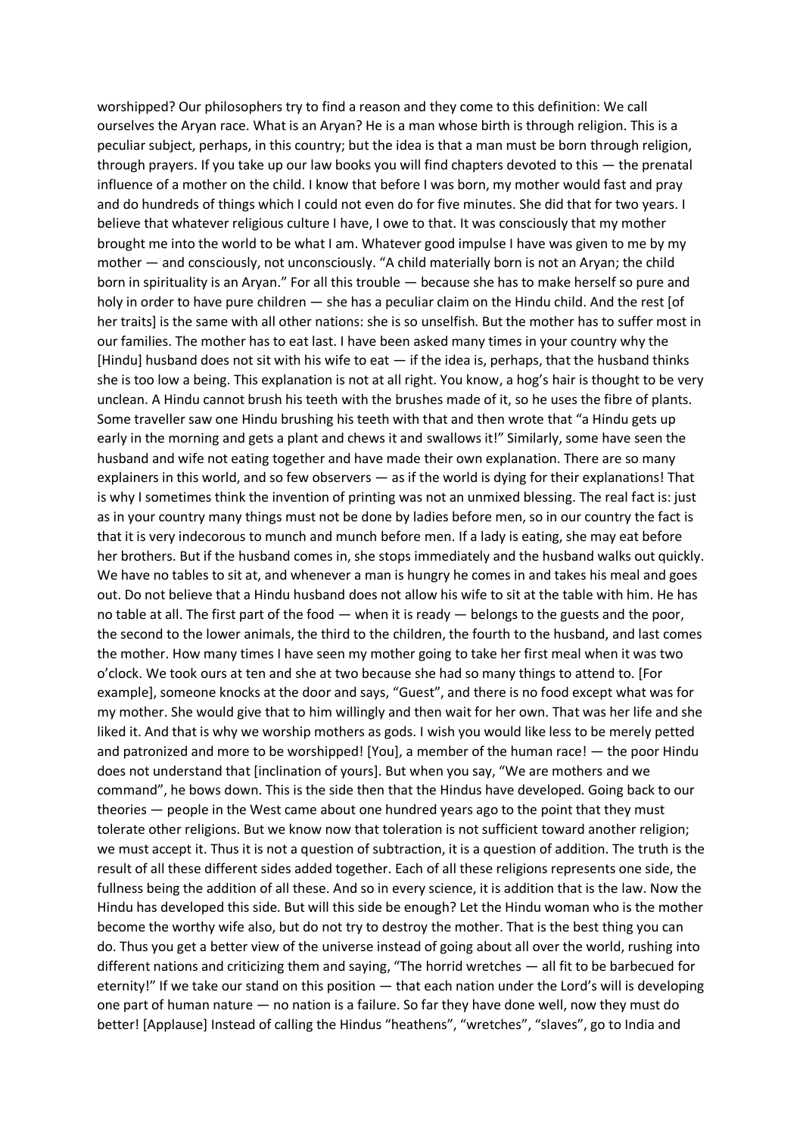worshipped? Our philosophers try to find a reason and they come to this definition: We call ourselves the Aryan race. What is an Aryan? He is a man whose birth is through religion. This is a peculiar subject, perhaps, in this country; but the idea is that a man must be born through religion, through prayers. If you take up our law books you will find chapters devoted to this  $-$  the prenatal influence of a mother on the child. I know that before I was born, my mother would fast and pray and do hundreds of things which I could not even do for five minutes. She did that for two years. I believe that whatever religious culture I have, I owe to that. It was consciously that my mother brought me into the world to be what I am. Whatever good impulse I have was given to me by my mother — and consciously, not unconsciously. "A child materially born is not an Aryan; the child born in spirituality is an Aryan." For all this trouble — because she has to make herself so pure and holy in order to have pure children — she has a peculiar claim on the Hindu child. And the rest [of her traits] is the same with all other nations: she is so unselfish. But the mother has to suffer most in our families. The mother has to eat last. I have been asked many times in your country why the [Hindu] husband does not sit with his wife to eat — if the idea is, perhaps, that the husband thinks she is too low a being. This explanation is not at all right. You know, a hog's hair is thought to be very unclean. A Hindu cannot brush his teeth with the brushes made of it, so he uses the fibre of plants. Some traveller saw one Hindu brushing his teeth with that and then wrote that "a Hindu gets up early in the morning and gets a plant and chews it and swallows it!" Similarly, some have seen the husband and wife not eating together and have made their own explanation. There are so many explainers in this world, and so few observers — as if the world is dying for their explanations! That is why I sometimes think the invention of printing was not an unmixed blessing. The real fact is: just as in your country many things must not be done by ladies before men, so in our country the fact is that it is very indecorous to munch and munch before men. If a lady is eating, she may eat before her brothers. But if the husband comes in, she stops immediately and the husband walks out quickly. We have no tables to sit at, and whenever a man is hungry he comes in and takes his meal and goes out. Do not believe that a Hindu husband does not allow his wife to sit at the table with him. He has no table at all. The first part of the food — when it is ready — belongs to the guests and the poor, the second to the lower animals, the third to the children, the fourth to the husband, and last comes the mother. How many times I have seen my mother going to take her first meal when it was two o'clock. We took ours at ten and she at two because she had so many things to attend to. [For example], someone knocks at the door and says, "Guest", and there is no food except what was for my mother. She would give that to him willingly and then wait for her own. That was her life and she liked it. And that is why we worship mothers as gods. I wish you would like less to be merely petted and patronized and more to be worshipped! [You], a member of the human race! — the poor Hindu does not understand that [inclination of yours]. But when you say, "We are mothers and we command", he bows down. This is the side then that the Hindus have developed. Going back to our theories — people in the West came about one hundred years ago to the point that they must tolerate other religions. But we know now that toleration is not sufficient toward another religion; we must accept it. Thus it is not a question of subtraction, it is a question of addition. The truth is the result of all these different sides added together. Each of all these religions represents one side, the fullness being the addition of all these. And so in every science, it is addition that is the law. Now the Hindu has developed this side. But will this side be enough? Let the Hindu woman who is the mother become the worthy wife also, but do not try to destroy the mother. That is the best thing you can do. Thus you get a better view of the universe instead of going about all over the world, rushing into different nations and criticizing them and saying, "The horrid wretches — all fit to be barbecued for eternity!" If we take our stand on this position — that each nation under the Lord's will is developing one part of human nature — no nation is a failure. So far they have done well, now they must do better! [Applause] Instead of calling the Hindus "heathens", "wretches", "slaves", go to India and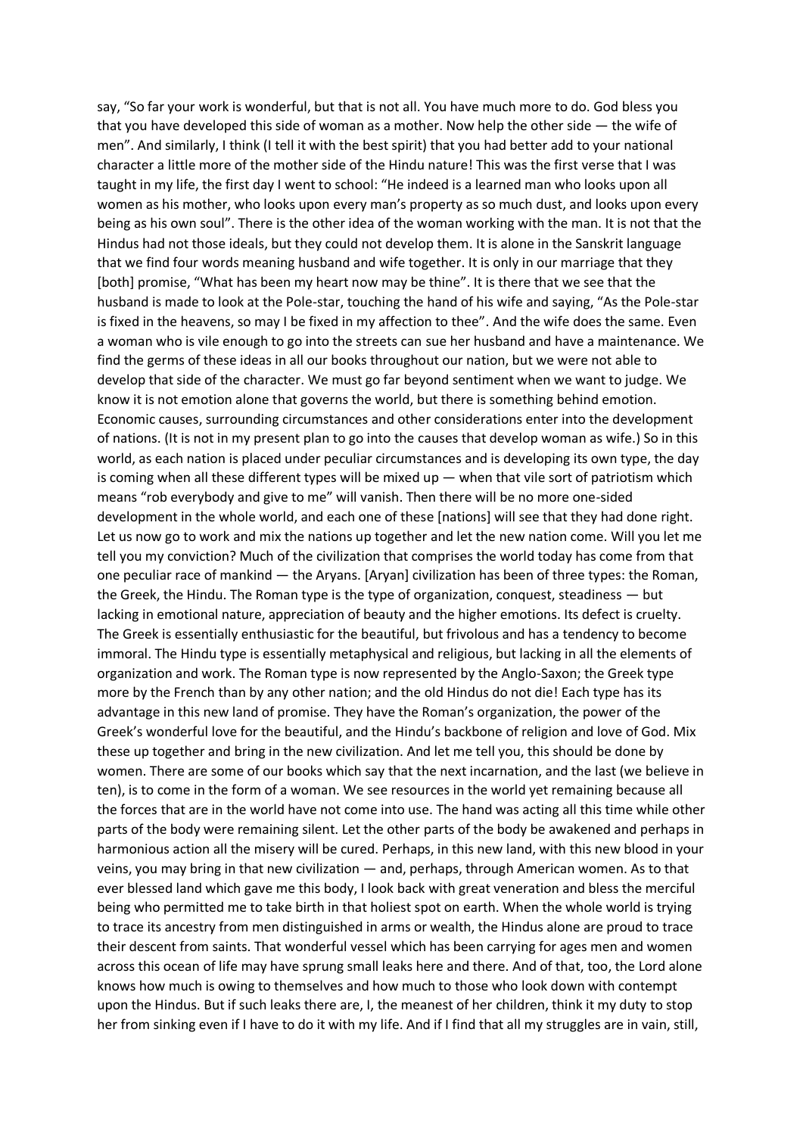say, "So far your work is wonderful, but that is not all. You have much more to do. God bless you that you have developed this side of woman as a mother. Now help the other side — the wife of men". And similarly, I think (I tell it with the best spirit) that you had better add to your national character a little more of the mother side of the Hindu nature! This was the first verse that I was taught in my life, the first day I went to school: "He indeed is a learned man who looks upon all women as his mother, who looks upon every man's property as so much dust, and looks upon every being as his own soul". There is the other idea of the woman working with the man. It is not that the Hindus had not those ideals, but they could not develop them. It is alone in the Sanskrit language that we find four words meaning husband and wife together. It is only in our marriage that they [both] promise, "What has been my heart now may be thine". It is there that we see that the husband is made to look at the Pole-star, touching the hand of his wife and saying, "As the Pole-star is fixed in the heavens, so may I be fixed in my affection to thee". And the wife does the same. Even a woman who is vile enough to go into the streets can sue her husband and have a maintenance. We find the germs of these ideas in all our books throughout our nation, but we were not able to develop that side of the character. We must go far beyond sentiment when we want to judge. We know it is not emotion alone that governs the world, but there is something behind emotion. Economic causes, surrounding circumstances and other considerations enter into the development of nations. (It is not in my present plan to go into the causes that develop woman as wife.) So in this world, as each nation is placed under peculiar circumstances and is developing its own type, the day is coming when all these different types will be mixed up  $-$  when that vile sort of patriotism which means "rob everybody and give to me" will vanish. Then there will be no more one-sided development in the whole world, and each one of these [nations] will see that they had done right. Let us now go to work and mix the nations up together and let the new nation come. Will you let me tell you my conviction? Much of the civilization that comprises the world today has come from that one peculiar race of mankind — the Aryans. [Aryan] civilization has been of three types: the Roman, the Greek, the Hindu. The Roman type is the type of organization, conquest, steadiness — but lacking in emotional nature, appreciation of beauty and the higher emotions. Its defect is cruelty. The Greek is essentially enthusiastic for the beautiful, but frivolous and has a tendency to become immoral. The Hindu type is essentially metaphysical and religious, but lacking in all the elements of organization and work. The Roman type is now represented by the Anglo-Saxon; the Greek type more by the French than by any other nation; and the old Hindus do not die! Each type has its advantage in this new land of promise. They have the Roman's organization, the power of the Greek's wonderful love for the beautiful, and the Hindu's backbone of religion and love of God. Mix these up together and bring in the new civilization. And let me tell you, this should be done by women. There are some of our books which say that the next incarnation, and the last (we believe in ten), is to come in the form of a woman. We see resources in the world yet remaining because all the forces that are in the world have not come into use. The hand was acting all this time while other parts of the body were remaining silent. Let the other parts of the body be awakened and perhaps in harmonious action all the misery will be cured. Perhaps, in this new land, with this new blood in your veins, you may bring in that new civilization — and, perhaps, through American women. As to that ever blessed land which gave me this body, I look back with great veneration and bless the merciful being who permitted me to take birth in that holiest spot on earth. When the whole world is trying to trace its ancestry from men distinguished in arms or wealth, the Hindus alone are proud to trace their descent from saints. That wonderful vessel which has been carrying for ages men and women across this ocean of life may have sprung small leaks here and there. And of that, too, the Lord alone knows how much is owing to themselves and how much to those who look down with contempt upon the Hindus. But if such leaks there are, I, the meanest of her children, think it my duty to stop her from sinking even if I have to do it with my life. And if I find that all my struggles are in vain, still,